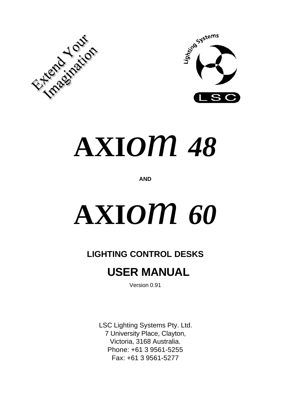



# **AXI***Om <sup>48</sup>*

**AND**

# **AXI***Om <sup>60</sup>*

# **LIGHTING CONTROL DESKS**

# **USER MANUAL**

Version 0.91

LSC Lighting Systems Pty. Ltd. 7 University Place, Clayton, Victoria, 3168 Australia. Phone: +61 3 9561-5255 Fax: +61 3 9561-5277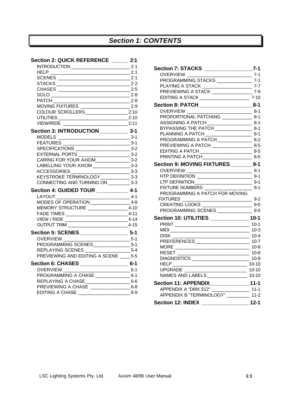# *Section 1: CONTENTS*

| Section 2: QUICK REFERENCE ______ 2:1           |         |
|-------------------------------------------------|---------|
|                                                 |         |
|                                                 |         |
|                                                 |         |
|                                                 |         |
|                                                 |         |
|                                                 |         |
| PATCH<br>$\frac{1}{28}$ 2:8                     |         |
|                                                 |         |
|                                                 |         |
|                                                 |         |
|                                                 |         |
| Section 3: INTRODUCTION_____________ 3-1        |         |
|                                                 |         |
|                                                 |         |
|                                                 |         |
|                                                 |         |
|                                                 |         |
| LABELLING YOUR AXIOM ___________________3-3     |         |
| ACCESSORIES                                     | $3 - 3$ |
| KEYSTROKE TERMINOLOGY______________3-3          |         |
|                                                 |         |
| Section 4: GUIDED TOUR ____________ 4-1         |         |
|                                                 |         |
| MODES OF OPERATION _________________________4-8 |         |
| MEMORY STRUCTURE ___________________4-10        |         |
|                                                 |         |
|                                                 |         |
| <b>OUTPUT TRIM</b><br>4-15                      |         |
| Section 5: SCENES ______________________ 5-1    |         |
| <b>OVERVIEW</b>                                 |         |
| PROGRAMMING SCENES________________5-1           |         |
|                                                 |         |
| PREVIEWING AND EDITING A SCENE ____ 5-5         |         |
| Section 6: CHASES _______________________ 6-1   |         |
| OVERVIEW 6-1                                    |         |
|                                                 |         |
|                                                 |         |
|                                                 |         |
|                                                 |         |

| Section 7: STACKS ___________________7-1       |           |
|------------------------------------------------|-----------|
| OVERVIEW _________                             |           |
| PROGRAMMING STACKS _________________7-1        |           |
|                                                |           |
| PREVIEWING A STACK _____________________7-9    |           |
|                                                |           |
| Section 8: PATCH__________________________8-1  |           |
|                                                |           |
|                                                |           |
|                                                |           |
|                                                |           |
|                                                |           |
| PROGRAMMING A PATCH 8-2                        |           |
| PREVIEWING A PATCH ______________________ 8-5  |           |
|                                                |           |
| PRINTING A PATCH 8-5                           |           |
| Section 9: MOVING FIXTURES_______9-1           |           |
|                                                |           |
|                                                |           |
|                                                |           |
|                                                |           |
| PROGRAMMING A PATCH FOR MOVING                 |           |
| <b>FIXTURES</b>                                |           |
| CREATING LOOKS                                 |           |
| PROGRAMMING SCENES ____________________9-5     |           |
| Section 10: UTILITIES _______________10-1      |           |
|                                                |           |
| MIDI 10-3                                      |           |
| DISK <b>DISK</b><br>10-4                       |           |
|                                                | $10 - 7$  |
|                                                |           |
| $\overline{\phantom{a}10\cdot8}$<br>RESET      |           |
|                                                |           |
|                                                | $10 - 10$ |
| UPGRADE _________________________              | $10 - 10$ |
| NAMES AND LABELS _______________________ 10-10 |           |
| Section 11: APPENDIX______________11-1         |           |
| APPENDIX A "DMX 512" ____________________ 11-1 |           |
| APPENDIX B "TERMINOLOGY" __________ 11-2       |           |
| <b>Section 12: INDEX</b>                       | $12 - 1$  |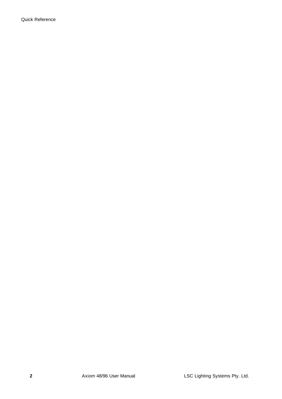Quick Reference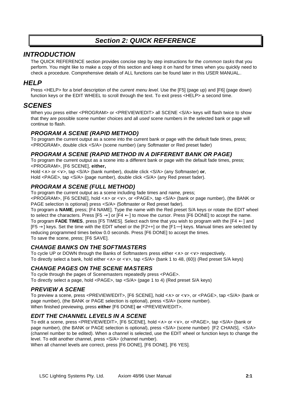## *Section 2: QUICK REFERENCE*

## *INTRODUCTION*

The QUICK REFERENCE section provides concise step by step instructions for the *common tasks* that you perform. You might like to make a copy of this section and keep it on hand for times when you quickly need to check a procedure. Comprehensive details of ALL functions can be found later in this USER MANUAL..

## *HELP*

Press <HELP> for a brief description of the *current menu level*. Use the [F5] (page up) and [F6] (page down) function keys or the EDIT WHEEL to scroll through the text. To exit press <HELP> a second time.

## *SCENES*

When you press either <PROGRAM> or <PREVIEW/EDIT> all SCENE <S/A> keys will flash twice to show that they are possible scene number choices and all *used* scene numbers in the selected bank or page will continue to flash.

## *PROGRAM A SCENE (RAPID METHOD)*

To program the current output as a scene into the current bank or page with the default fade times, press; <PROGRAM>, double click <S/A> (scene number) (any Softmaster or Red preset fader)

## *PROGRAM A SCENE (RAPID METHOD IN A DIFFERENT BANK OR PAGE)*

To program the current output as a scene into a different bank or page with the default fade times, press; <PROGRAM>, [F6 SCENE], **either,**

Hold <∧> or <∨>, tap <S/A> (bank number), double click <S/A> (any Softmaster) **or**,

Hold <PAGE>, tap <S/A> (page number), double click <S/A> (any Red preset fader).

## *PROGRAM A SCENE (FULL METHOD)*

To program the current output as a scene including fade times and name, press;

<PROGRAM>, [F6 SCENE], hold <∧> or <∨>, or <PAGE>, tap <S/A> (bank or page number), (the BANK or PAGE selection is optional) press <S/A> (Softmaster or Red preset fader).

To program a **NAME**, press; [F4 NAME]. Type the name with the Red preset S/A keys or rotate the EDIT wheel to select the characters. Press  $[F5 \rightarrow]$  or  $[F4 \leftarrow]$  to move the cursor. Press  $[F6$  DONE] to accept the name. To program **FADE TIMES**, press [F5 TIMES]. Select each time that you wish to program with the [F4 ←] and [F5 →] keys. Set the time with the EDIT wheel or the [F2++] or the [F1−−] keys. Manual times are selected by reducing programmed times below 0.0 seconds. Press [F6 DONE] to accept the times. To save the scene, press; [F6 SAVE].

## *CHANGE BANKS ON THE SOFTMASTERS*

To cycle UP or DOWN through the Banks of Softmasters press either <∧> or <∨> respectively. To directly select a bank, hold either <∧> or <∨>, tap <S/A> (bank 1 to 48, (60)) (Red preset S/A keys)

## *CHANGE PAGES ON THE SCENE MASTERS*

To cycle through the pages of Scenemasters repeatedly press <PAGE>. To directly select a page, hold <PAGE>, tap <S/A> (page 1 to 4) (Red preset S/A keys)

## *PREVIEW A SCENE*

To preview a scene, press <PREVIEW/EDIT>, [F6 SCENE], hold <∧> or <∨>, or <PAGE>, tap <S/A> (bank or page number), (the BANK or PAGE selection is optional), press <S/A> (scene number). When finished previewing, press **either** [F6 DONE] **or** <PREVIEW/EDIT>.

## *EDIT THE CHANNEL LEVELS IN A SCENE*

To edit a scene, press <PREVIEW/EDIT>, [F6 SCENE], hold <∧> or <∨>, or <PAGE>, tap <S/A> (bank or page number), (the BANK or PAGE selection is optional), press <S/A> (scene number) [F2 CHANS], <S/A> (channel number to be edited). When a channel is selected, use the EDIT wheel or function keys to change the level. To edit another channel, press <S/A> (channel number).

When all channel levels are correct, press [F6 DONE], [F6 DONE], [F6 YES].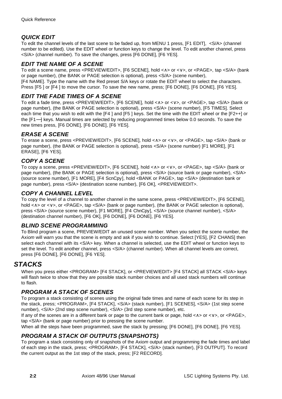## *QUICK EDIT*

To edit the channel levels of the last scene to be faded up, from MENU 1 press, [F1 EDIT], <S/A> (channel number to be edited). Use the EDIT wheel or function keys to change the level. To edit another channel, press <S/A> (channel number). To save the changes, press [F6 DONE], [F6 YES].

## *EDIT THE NAME OF A SCENE*

To edit a scene name, press <PREVIEW/EDIT>, [F6 SCENE], hold <∧> or <∨>, or <PAGE>, tap <S/A> (bank or page number), (the BANK or PAGE selection is optional), press <S/A> (scene number), [F4 NAME]. Type the name with the Red preset S/A keys or rotate the EDIT wheel to select the characters. Press [F5 ] or [F4 ] to move the cursor. To save the new name, press; [F6 DONE], [F6 DONE], [F6 YES].

## *EDIT THE FADE TIMES OF A SCENE*

To edit a fade time, press <PREVIEW/EDIT>, [F6 SCENE], hold <∧> or <∨>, or <PAGE>, tap <S/A> (bank or page number), (the BANK or PAGE selection is optional), press <S/A> (scene number), [F5 TIMES]. Select each time that you wish to edit with the [F4 ] and [F5 ] keys. Set the time with the EDIT wheel or the [F2++] or the [F1−−] keys. Manual times are selected by reducing programmed times below 0.0 seconds. To save the new times press, [F6 DONE], [F6 DONE], [F6 YES].

## *ERASE A SCENE*

To erase a scene, press <PREVIEW/EDIT>, [F6 SCENE], hold <∧> or <∨>, or <PAGE>, tap <S/A> (bank or page number), (the BANK or PAGE selection is optional), press <S/A> (scene number) [F1 MORE], [F1 ERASE], [F6 YES].

## *COPY A SCENE*

To copy a scene, press <PREVIEW/EDIT>, [F6 SCENE], hold <∧> or <∨>, or <PAGE>, tap <S/A> (bank or page number), (the BANK or PAGE selection is optional), press <S/A> (source bank or page number), <S/A> (source scene number), [F1 MORE], [F4 ScnCpy], hold <BANK or PAGE>, tap <S/A> (destination bank or page number), press <S/A> (destination scene number), [F6 OK], <PREVIEW/EDIT>.

#### *COPY A CHANNEL LEVEL*

To copy the level of a channel to another channel in the same scene, press <PREVIEW/EDIT>, [F6 SCENE], hold <∧> or <∨>, or <PAGE>, tap <S/A> (bank or page number), (the BANK or PAGE selection is optional), press <S/A> (source scene number), [F1 MORE], [F4 ChnCpy], <S/A> (source channel number), <S/A> (destination channel number), [F6 OK], [F6 DONE], [F6 DONE], [F6 YES].

## *BLIND SCENE PROGRAMMING*

To Blind program a scene, PREVIEW/EDIT an unused scene number. When you select the scene number, the Axi*om* will warn you that the scene is empty and ask if you wish to continue. Select [YES], [F2 CHANS] then select each channel with its <S/A> key. When a channel is selected, use the EDIT wheel or function keys to set the level. To edit another channel, press <S/A> (channel number). When all channel levels are correct, press [F6 DONE], [F6 DONE], [F6 YES].

## *STACKS*

When you press either <PROGRAM> [F4 STACK], or <PREVIEW/EDIT> [F4 STACK] all STACK <S/A> keys will flash twice to show that they are possible stack number choices and all used stack numbers will continue to flash.

## *PROGRAM A STACK OF SCENES*

To program a stack consisting of scenes using the original fade times and name of each scene for its step in the stack, press; <PROGRAM>, [F4 STACK], <S/A> (stack number), [F1 SCENES], <S/A> (1st step scene number), <S/A> (2nd step scene number), <S/A> (3rd step scene number), etc.

If any of the scenes are in a different bank or page to the current bank or page, hold <∧> or <∨>, or <PAGE>, tap <S/A> (bank or page number) prior to pressing the scene number.

When all the steps have been programmed, save the stack by pressing; [F6 DONE], [F6 DONE], [F6 YES].

## *PROGRAM A STACK OF OUTPUTS (SNAPSHOTS)*

To program a stack consisting only of snapshots of the Axi*om* output and programming the fade times and label of each step in the stack, press; <PROGRAM>, [F4 STACK], <S/A> (stack number), [F3 OUTPUT]. To record the current output as the 1st step of the stack, press; [F2 RECORD].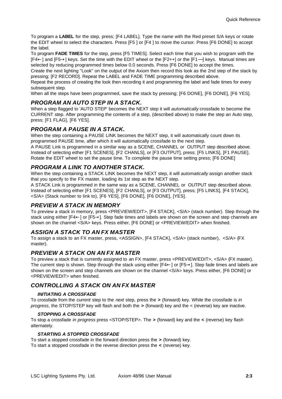To program a **LABEL** for the step, press; [F4 LABEL]. Type the name with the Red preset S/A keys or rotate the EDIT wheel to select the characters. Press [F5 ] or [F4 ] to move the cursor. Press [F6 DONE] to accept the label.

To program **FADE TIMES** for the step, press [F5 TIMES]. Select each time that you wish to program with the [F4←] and [F5→] keys. Set the time with the EDIT wheel or the [F2++] or the [F1−−] keys. Manual times are selected by reducing programmed times below 0.0 seconds. Press [F6 DONE] to accept the times.

Create the next lighting "Look" on the output of the Axi*om* then record this look as the 2nd step of the stack by pressing; [F2 RECORD]. Repeat the LABEL and FADE TIME programming described above.

Repeat the process of creating the look then recording it and programming the label and fade times for every subsequent step.

When all the steps have been programmed, save the stack by pressing; [F6 DONE], [F6 DONE], [F6 YES].

## *PROGRAM AN AUTO STEP IN A STACK.*

When a step flagged to 'AUTO STEP' becomes the NEXT step it will *automatically* crossfade to become the CURRENT step. After programming the contents of a step, (described above) to make the step an Auto step, press; [F1 FLAG], [F6 YES].

## *PROGRAM A PAUSE IN A STACK.*

When the step containing a PAUSE LINK becomes the NEXT step, it will automatically count down its programmed PAUSE time, after which it will automatically crossfade to the next step.

A PAUSE Link is programmed in a similar way as a SCENE, CHANNEL or OUTPUT step described above. Instead of selecting either [F1 SCENES], [F2 CHANLS], or [F3 OUTPUT], press; [F5 LINKS], [F1 PAUSE]. Rotate the EDIT wheel to set the pause time. To complete the pause time setting press; [F6 DONE]

## *PROGRAM A LINK TO ANOTHER STACK.*

When the step containing a STACK LINK becomes the NEXT step, it will *automatically* assign another stack that you specify to the FX master, loading its 1st step as the NEXT step.

A STACK Link is programmed in the same way as a SCENE, CHANNEL or OUTPUT step described above. Instead of selecting either [F1 SCENES], [F2 CHANLS], or [F3 OUTPUT], press; [F5 LINKS], [F4 STACK], <S/A> (Stack number to link to), [F6 YES], [F6 DONE], [F6 DONE], [YES].

## *PREVIEW A STACK IN MEMORY*

To preview a stack in memory, press <PREVIEW/EDIT>, [F4 STACK], <S/A> (stack number). Step through the stack using either [F4←] or [F5→]. Step fade times and labels are shown on the screen and step channels are shown on the channel <S/A> keys. Press either, [F6 DONE] or <PREVIEW/EDIT> when finished.

#### *ASSIGN A STACK TO AN FX MASTER*

To assign a stack to an FX master, press, <ASSIGN>, [F4 STACK], <S/A> (stack number), <S/A> (FX master).

#### *PREVIEW A STACK ON AN FX MASTER*

To preview a stack that is currently assigned to an FX master, press <PREVIEW/EDIT>, <S/A> (FX master). The current step is shown. Step through the stack using either [F4←] or [F5→]. Step fade times and labels are shown on the screen and step channels are shown on the channel <S/A> keys. Press either, [F6 DONE] or <PREVIEW/EDIT> when finished.

## *CONTROLLING A STACK ON AN FX MASTER*

#### *INITIATING A CROSSFADE*

To crossfade from the *current* step to the *next* step, press the **>** (forward) key. While the crossfade is *in progress*, the STOP/STEP key will flash and both the **>** (forward) key and the < (reverse) key are inactive.

#### *STOPPING A CROSSFADE*

To stop a crossfade *in progress* press <STOP/STEP>. The **>** (forward) key and the **<** (reverse) key flash alternately.

#### *STARTING A STOPPED CROSSFADE*

To start a stopped crossfade in the forward direction press the **>** (forward) key. To start a stopped crossfade in the reverse direction press the **<** (reverse) key.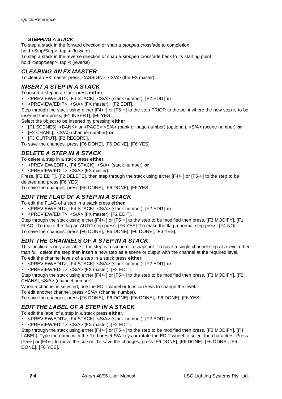#### *STEPPING A STACK*

To step a stack in the forward direction or snap a *stopped* crossfade to completion; hold <Stop/Step>, tap **>** (forward) To step a stack in the reverse direction or snap a *stopped* crossfade back to its starting point; hold <Stop/Step>, tap **<** (reverse)

## *CLEARING AN FX MASTER*

To clear an FX master press, <ASSIGN>, <S/A> (the FX master).

## *INSERT A STEP IN A STACK*

To insert a step in a stack press **either**,

- <PREVIEW/EDIT>, [F4 STACK], <S/A> (stack number), [F2 EDIT] **or**
- <PREVIEW/EDIT>, <S/A> (FX master), [F2 EDIT].

Step through the stack using either [F4←] or [F5→] to the step PRIOR to the point where the new step is to be inserted then press, [F1 INSERT], [F6 YES].

Select the object to be inserted by pressing **either,**

- [F1 SCENES], <BANK> or <PAGE> <S/A> (bank or page number) (optional), <S/A> (scene number) **or**
- [F2 CHANL], <S/A> (channel number) **or**
- [F3 OUTPUT], [F2 RECORD].

To save the changes, press [F6 DONE], [F6 DONE], [F6 YES].

## *DELETE A STEP IN A STACK*

To delete a step in a stack press **either**,

- <PREVIEW/EDIT>, [F4 STACK], <S/A> (stack number) **or**
- <PREVIEW/EDIT>, <S/A> (FX master).

Press, [F2 EDIT], [F2 DELETE], then step through the stack using either [F4←] or [F5→] to the step to be deleted and press [F6 YES].

To save the changes, press [F6 DONE], [F6 DONE], [F6 YES].

## *EDIT THE FLAG OF A STEP IN A STACK*

To edit the FLAG of a step in a stack press **either**,

- <PREVIEW/EDIT>, [F4 STACK], <S/A> (stack number), [F2 EDIT] **or**
- <PREVIEW/EDIT>, <S/A> (FX master), [F2 EDIT].

Step through the stack using either [F4←] or [F5→] to the step to be modified then press, [F3 MODIFY], [F1 FLAG]. To make the flag an AUTO step press, [F6 YES]. To make the flag a normal step press, [F4 NO]. To save the changes, press [F6 DONE], [F6 DONE], [F6 DONE], [F6 YES].

## *EDIT THE CHANNELS OF A STEP IN A STACK*

This function is only available if the step is a scene or a snapshot. To have a single channel step at a level other than full, delete the step then insert a new step as a scene or output with the channel at the required level. To edit the channel levels of a step in a stack press **either**,

- <PREVIEW/EDIT>, [F4 STACK], <S/A> (stack number), [F2 EDIT] **or**
- <PREVIEW/EDIT>, <S/A> (FX master), [F2 EDIT].

Step through the stack using either [F4←] or [F5→] to the step to be modified then press, [F3 MODIFY], [F2 CHANS], <S/A> (channel number).

When a channel is selected, use the EDIT wheel or function keys to change the level.

To edit another channel, press <S/A> (channel number).

To save the changes, press [F6 DONE], [F6 DONE], [F6 DONE], [F6 DONE], [F6 YES].

## *EDIT THE LABEL OF A STEP IN A STACK*

To edit the label of a step in a stack press **either**,

- <PREVIEW/EDIT>, [F4 STACK], <S/A> (stack number), [F2 EDIT] **or**
- <PREVIEW/EDIT>, <S/A> (FX master), [F2 EDIT].

Step through the stack using either [F4←] or [F5→] to the step to be modified then press, [F3 MODIFY], [F4 LABEL]. Type the name with the Red preset S/A keys or rotate the EDIT wheel to select the characters. Press [F5→] or [F4←] to move the cursor. To save the changes, press [F6 DONE], [F6 DONE], [F6 DONE], [F6 DONE], [F6 YES].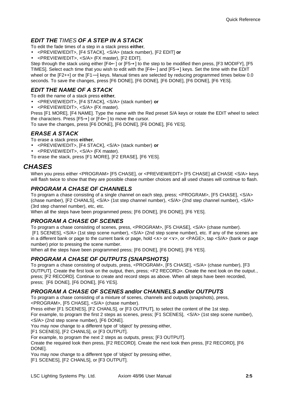## *EDIT THE TIMES OF A STEP IN A STACK*

To edit the fade times of a step in a stack press **either**,

- <PREVIEW/EDIT>, [F4 STACK], <S/A> (stack number), [F2 EDIT] **or**
- <PREVIEW/EDIT>, <S/A> (FX master), [F2 EDIT].

Step through the stack using either [F4←] or [F5→] to the step to be modified then press, [F3 MODIFY], [F5 TIMES]. Select each time that you wish to edit with the [F4←] and [F5→] keys. Set the time with the EDIT wheel or the [F2++] or the [F1--] keys. Manual times are selected by reducing programmed times below 0.0 seconds. To save the changes, press [F6 DONE], [F6 DONE], [F6 DONE], [F6 DONE], [F6 YES].

## *EDIT THE NAME OF A STACK*

To edit the name of a stack press **either**,

- <PREVIEW/EDIT>, [F4 STACK], <S/A> (stack number) **or**
- <PREVIEW/EDIT>, <S/A> (FX master).

Press [F1 MORE], [F4 NAME]. Type the name with the Red preset S/A keys or rotate the EDIT wheel to select the characters. Press [F5→] or [F4←] to move the cursor.

To save the changes, press [F6 DONE], [F6 DONE], [F6 DONE], [F6 YES].

## *ERASE A STACK*

To erase a stack press **either**,

- <PREVIEW/EDIT>, [F4 STACK], <S/A> (stack number) **or**
- <PREVIEW/EDIT>, <S/A> (FX master).
- To erase the stack, press [F1 MORE], [F2 ERASE], [F6 YES].

## *CHASES*

When you press either <PROGRAM> [F5 CHASE], or <PREVIEW/EDIT> [F5 CHASE] all CHASE <S/A> keys will flash twice to show that they are possible chase number choices and all used chases will continue to flash.

#### *PROGRAM A CHASE OF CHANNELS*

To program a chase consisting of a single channel on each step, press; <PROGRAM>, [F5 CHASE], <S/A> (chase number), [F2 CHANLS], <S/A> (1st step channel number), <S/A> (2nd step channel number), <S/A> (3rd step channel number), etc, etc.

When all the steps have been programmed press; [F6 DONE], [F6 DONE], [F6 YES].

## *PROGRAM A CHASE OF SCENES*

To program a chase consisting of scenes, press, <PROGRAM>, [F5 CHASE], <S/A> (chase number). [F1 SCENES], <S/A> (1st step scene number), <S/A> (2nd step scene number), etc. If any of the scenes are in a different bank or page to the current bank or page, hold <∧> or <∨>, or <PAGE>, tap <S/A> (bank or page number) prior to pressing the scene number.

When all the steps have been programmed press; [F6 DONE], [F6 DONE], [F6 YES].

## *PROGRAM A CHASE OF OUTPUTS (SNAPSHOTS)*

To program a chase consisting of outputs, press, <PROGRAM>, [F5 CHASE], <S/A> (chase number), [F3 OUTPUT]. Create the first look on the output, then, press; <F2 RECORD>. Create the next look on the output., press; [F2 RECORD]. Continue to create and record steps as above. When all steps have been recorded, press; [F6 DONE], [F6 DONE], [F6 YES].

## *PROGRAM A CHASE OF SCENES and/or CHANNELS and/or OUTPUTS*

To program a chase consisting of a mixture of scenes, channels and outputs (snapshots), press, <PROGRAM>, [F5 CHASE], <S/A> (chase number).

Press either [F1 SCENES], [F2 CHANLS], or [F3 OUTPUT], to select the content of the 1st step.

For example, to program the first 2 steps as scenes, press; [F1 SCENES], <S/A> (1st step scene number), <S/A> (2nd step scene number), [F6 DONE].

You may now change to a different type of 'object' by pressing either,

[F1 SCENES], [F2 CHANLS], or [F3 OUTPUT].

For example, to program the next 2 steps as outputs, press; [F3 OUTPUT].

Create the required look then press, [F2 RECORD]. Create the next look then press, [F2 RECORD], [F6 DONE].

You may now change to a different type of 'object' by pressing either,

[F1 SCENES], [F2 CHANLS], or [F3 OUTPUT].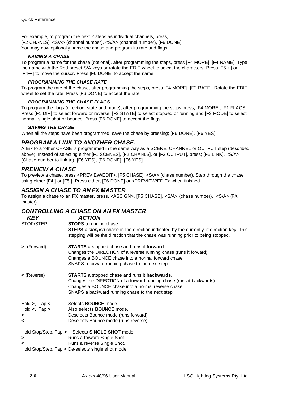For example, to program the next 2 steps as individual channels, press, [F2 CHANLS], <S/A> (channel number), <S/A> (channel number), [F6 DONE]. You may now optionally name the chase and program its rate and flags.

#### *NAMING A CHASE*

To program a name for the chase (optional), after programming the steps, press [F4 MORE], [F4 NAME]. Type the name with the Red preset S/A keys or rotate the EDIT wheel to select the characters. Press [F5→] or [F4←] to move the cursor. Press [F6 DONE] to accept the name.

#### *PROGRAMMING THE CHASE RATE*

To program the rate of the chase, after programming the steps, press [F4 MORE], [F2 RATE]. Rotate the EDIT wheel to set the rate. Press [F6 DONE] to accept the rate.

#### *PROGRAMMING THE CHASE FLAGS*

To program the flags (direction, state and mode), after programming the steps press, [F4 MORE], [F1 FLAGS]. Press [F1 DIR] to select forward or reverse, [F2 STATE] to select stopped or running and [F3 MODE] to select normal, single shot or bounce. Press [F6 DONE] to accept the flags.

#### *SAVING THE CHASE*

When all the steps have been programmed, save the chase by pressing; [F6 DONE], [F6 YES].

#### *PROGRAM A LINK TO ANOTHER CHASE.*

A link to another CHASE is programmed in the same way as a SCENE, CHANNEL or OUTPUT step (described above). Instead of selecting either [F1 SCENES], [F2 CHANLS], or [F3 OUTPUT], press; [F5 LINK], <S/A> (Chase number to link to), [F6 YES], [F6 DONE], [F6 YES].

#### *PREVIEW A CHASE*

To preview a chase, press <PREVIEW/EDIT>, [F5 CHASE], <S/A> (chase number). Step through the chase using either [F4 ] or [F5 ]. Press either, [F6 DONE] or <PREVIEW/EDIT> when finished.

#### *ASSIGN A CHASE TO AN FX MASTER*

To assign a chase to an FX master, press, <ASSIGN>, [F5 CHASE], <S/A> (chase number), <S/A> (FX master).

## *CONTROLLING A CHASE ON AN FX MASTER*

| <b>KEY</b>             | <b>ACTION</b>                                                                             |
|------------------------|-------------------------------------------------------------------------------------------|
| STOP/STEP              | <b>STOPS</b> a running chase.                                                             |
|                        | STEPS a stopped chase in the direction indicated by the currently lit direction key. This |
|                        | stepping will be the direction that the chase was running prior to being stopped.         |
| > (Forward)            | <b>STARTS</b> a stopped chase and runs it forward.                                        |
|                        | Changes the DIRECTION of a reverse running chase (runs it forward).                       |
|                        | Changes a BOUNCE chase into a normal forward chase.                                       |
|                        | SNAPS a forward running chase to the next step.                                           |
| $\leq$ (Reverse)       | <b>STARTS</b> a stopped chase and runs it <b>backwards</b> .                              |
|                        | Changes the DIRECTION of a forward running chase (runs it backwards).                     |
|                        | Changes a BOUNCE chase into a normal reverse chase.                                       |
|                        | SNAPS a backward running chase to the next step.                                          |
| Hold $>$ , Tap $<$     | Selects <b>BOUNCE</b> mode.                                                               |
| Hold $\lt$ , Tap $\gt$ | Also selects <b>BOUNCE</b> mode.                                                          |
| >                      | Deselects Bounce mode (runs forward).                                                     |
| ≺                      | Deselects Bounce mode (runs reverse).                                                     |
|                        | Hold Stop/Step, Tap > Selects SINGLE SHOT mode.                                           |
| >                      | Runs a forward Single Shot.                                                               |
| $\prec$                | Runs a reverse Single Shot.                                                               |
|                        | Hold Stop/Step, Tap < De-selects single shot mode.                                        |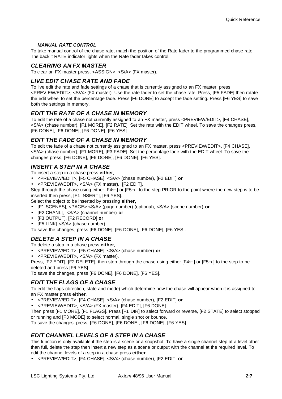#### *MANUAL RATE CONTROL*

To take manual control of the chase rate, match the position of the Rate fader to the programmed chase rate. The backlit RATE indicator lights when the Rate fader takes control.

#### *CLEARING AN FX MASTER*

To clear an FX master press, <ASSIGN>, <S/A> (FX master).

#### *LIVE EDIT CHASE RATE AND FADE*

To live edit the rate and fade settings of a chase that is currently assigned to an FX master, press <PREVIEW/EDIT>, <S/A> (FX master). Use the rate fader to set the chase rate. Press, [F5 FADE] then rotate the edit wheel to set the percentage fade. Press [F6 DONE] to accept the fade setting. Press [F6 YES] to save both the settings in memory.

#### *EDIT THE RATE OF A CHASE IN MEMORY*

To edit the rate of a chase not currently assigned to an FX master, press <PREVIEW/EDIT>, [F4 CHASE], <S/A> (chase number), [F1 MORE], [F2 RATE]. Set the rate with the EDIT wheel. To save the changes press, [F6 DONE], [F6 DONE], [F6 DONE], [F6 YES].

#### *EDIT THE FADE OF A CHASE IN MEMORY*

To edit the fade of a chase not currently assigned to an FX master, press <PREVIEW/EDIT>, [F4 CHASE], <S/A> (chase number), [F1 MORE], [F3 FADE]. Set the percentage fade with the EDIT wheel. To save the changes press, [F6 DONE], [F6 DONE], [F6 DONE], [F6 YES].

## *INSERT A STEP IN A CHASE*

To insert a step in a chase press **either**,

- <PREVIEW/EDIT>, [F5 CHASE], <S/A> (chase number), [F2 EDIT] **or**
- <PREVIEW/EDIT>, <S/A> (FX master), [F2 EDIT].

Step through the chase using either [F4←] or [F5→] to the step PRIOR to the point where the new step is to be inserted then press, [F1 INSERT], [F6 YES].

Select the object to be inserted by pressing **either,**

- [F1 SCENES], <PAGE> <S/A> (page number) (optional), <S/A> (scene number) **or**
- [F2 CHANL], <S/A> (channel number) **or**
- [F3 OUTPUT], [F2 RECORD] **or**
- [F5 LINK] <S/A> (chase number).

To save the changes, press [F6 DONE], [F6 DONE], [F6 DONE], [F6 YES].

## *DELETE A STEP IN A CHASE*

To delete a step in a chase press **either**,

- <PREVIEW/EDIT>, [F5 CHASE], <S/A> (chase number) **or**
- <PREVIEW/EDIT>, <S/A> (FX master).

Press, [F2 EDIT], [F2 DELETE], then step through the chase using either [F4←] or [F5→] to the step to be deleted and press [F6 YES].

To save the changes, press [F6 DONE], [F6 DONE], [F6 YES].

## *EDIT THE FLAGS OF A CHASE*

To edit the flags (direction, state and mode) which determine how the chase will appear when it is assigned to an FX master press **either**,

- <PREVIEW/EDIT>, [F4 CHASE], <S/A> (chase number), [F2 EDIT] **or**
- <PREVIEW/EDIT>, <S/A> (FX master), [F4 EDIT], [F6 DONE].

Then press [F1 MORE], [F1 FLAGS]. Press [F1 DIR] to select forward or reverse, [F2 STATE] to select stopped or running and [F3 MODE] to select normal, single shot or bounce.

To save the changes, press; [F6 DONE], [F6 DONE], [F6 DONE], [F6 YES].

## *EDIT CHANNEL LEVELS OF A STEP IN A CHASE*

This function is only available if the step is a scene or a snapshot. To have a single channel step at a level other than full, delete the step then insert a new step as a scene or output with the channel at the required level. To edit the channel levels of a step in a chase press **either**,

• <PREVIEW/EDIT>, [F4 CHASE], <S/A> (chase number), [F2 EDIT] **or**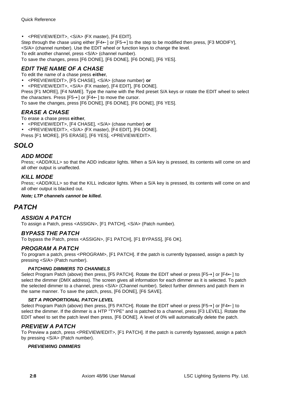• <PREVIEW/EDIT>, <S/A> (FX master), [F4 EDIT].

Step through the chase using either [F4←] or [F5→] to the step to be modified then press, [F3 MODIFY], <S/A> (channel number). Use the EDIT wheel or function keys to change the level. To edit another channel, press <S/A> (channel number).

To save the changes, press [F6 DONE], [F6 DONE], [F6 DONE], [F6 YES].

## *EDIT THE NAME OF A CHASE*

To edit the name of a chase press **either**,

• <PREVIEW/EDIT>, [F5 CHASE], <S/A> (chase number) **or**

• <PREVIEW/EDIT>, <S/A> (FX master), [F4 EDIT], [F6 DONE].

Press [F1 MORE], [F4 NAME]. Type the name with the Red preset S/A keys or rotate the EDIT wheel to select the characters. Press [F5→] or [F4←] to move the cursor.

To save the changes, press [F6 DONE], [F6 DONE], [F6 DONE], [F6 YES].

## *ERASE A CHASE*

To erase a chase press **either**,

- <PREVIEW/EDIT>, [F4 CHASE], <S/A> (chase number) **or**
- <PREVIEW/EDIT>, <S/A> (FX master), [F4 EDIT], [F6 DONE].

Press [F1 MORE], [F5 ERASE], [F6 YES], <PREVIEW/EDIT>.

## *SOLO*

## *ADD MODE*

Press; <ADD/KILL> so that the ADD indicator lights. When a S/A key is pressed, its contents will come on and all other output is unaffected.

## *KILL MODE*

Press; <ADD/KILL> so that the KILL indicator lights. When a S/A key is pressed, its contents will come on and all other output is blacked out.

*Note; LTP channels cannot be killed.*

## *PATCH*

#### *ASSIGN A PATCH*

To assign a Patch, press <ASSIGN>, [F1 PATCH], <S/A> (Patch number).

#### *BYPASS THE PATCH*

To bypass the Patch, press <ASSIGN>, [F1 PATCH], [F1 BYPASS], [F6 OK].

#### *PROGRAM A PATCH*

To program a patch, press <PROGRAM>, [F1 PATCH]. If the patch is currently bypassed, assign a patch by pressing <S/A> (Patch number).

#### *PATCHING DIMMERS TO CHANNELS*

Select Program Patch (above) then press, [F5 PATCH]. Rotate the EDIT wheel or press [F5→] or [F4←] to select the dimmer (DMX address). The screen gives all information for each dimmer as it is selected. To patch the selected dimmer to a channel, press <S/A> (Channel number). Select further dimmers and patch them in the same manner. To save the patch, press, [F6 DONE], [F6 SAVE].

#### *SET A PROPORTIONAL PATCH LEVEL*

Select Program Patch (above) then press, [F5 PATCH]. Rotate the EDIT wheel or press [F5→] or [F4←] to select the dimmer. If the dimmer is a HTP "TYPE" and is patched to a channel, press [F3 LEVEL]. Rotate the EDIT wheel to set the patch level then press, [F6 DONE]. A level of 0% will automatically delete the patch.

## *PREVIEW A PATCH*

To Preview a patch, press <PREVIEW/EDIT>, [F1 PATCH]. If the patch is currently bypassed, assign a patch by pressing <S/A> (Patch number).

#### *PREVIEWING DIMMERS*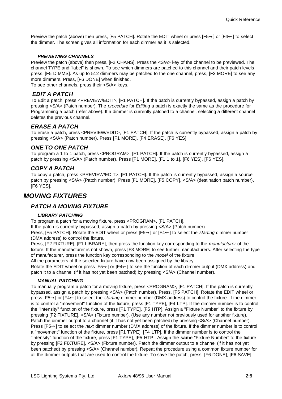Preview the patch (above) then press, [F5 PATCH]. Rotate the EDIT wheel or press [F5→] or [F4←] to select the dimmer. The screen gives all information for each dimmer as it is selected.

#### *PREVIEWING CHANNELS*

Preview the patch (above) then press, [F2 CHANS]. Press the <S/A> key of the channel to be previewed. The channel TYPE and "label" is shown. To see which dimmers are patched to this channel and their patch levels press, [F5 DIMMS]. As up to 512 dimmers may be patched to the one channel, press, [F3 MORE] to see any more dimmers. Press, [F6 DONE] when finished.

To see other channels, press their <S/A> keys.

#### *EDIT A PATCH*

To Edit a patch, press <PREVIEW/EDIT>, [F1 PATCH]. If the patch is currently bypassed, assign a patch by pressing <S/A> (Patch number). The *procedure* for *Editing* a patch is exactly the same as the procedure for Programming a patch (refer above). If a dimmer is currently patched to a channel, selecting a different channel deletes the previous channel.

#### *ERASE A PATCH*

To erase a patch, press <PREVIEW/EDIT>, [F1 PATCH]. If the patch is currently bypassed, assign a patch by pressing <S/A> (Patch number). Press [F1 MORE], [F4 ERASE], [F6 YES].

#### *ONE TO ONE PATCH*

To program a 1 to 1 patch, press <PROGRAM>, [F1 PATCH]. If the patch is currently bypassed, assign a patch by pressing <S/A> (Patch number). Press [F1 MORE], [F1 1 to 1], [F6 YES], [F6 YES].

#### *COPY A PATCH*

To copy a patch, press <PREVIEW/EDIT>, [F1 PATCH]. If the patch is currently bypassed, assign a source patch by pressing <S/A> (Patch number). Press [F1 MORE], [F5 COPY], <S/A> (destination patch number), [F6 YES].

## *MOVING FIXTURES*

## *PATCH A MOVING FIXTURE*

#### *LIBRARY PATCHING*

To program a patch for a moving fixture, press <PROGRAM>, [F1 PATCH].

If the patch is currently bypassed, assign a patch by pressing <S/A> (Patch number).

Press, [F5 PATCH]. Rotate the EDIT wheel or press [F5→] or [F4←] to select the *starting* dimmer number (DMX address) to control the fixture.

Press, [F2 FIXTURE], [F1 LIBRARY], then press the function key corresponding to the *manufacturer* of the fixture. If the manufacturer is not shown, press [F3 MORE] to see further manufacturers. After selecting the type of manufacturer, press the function key corresponding to the *model* of the fixture.

All the parameters of the selected fixture have now been assigned by the library.

Rotate the EDIT wheel or press [F5→] or [F4←] to see the function of each dimmer output (DMX address) and patch it to a channel (if it has not yet been patched) by pressing <S/A> (Channel number).

#### *MANUAL PATCHING*

To manually program a patch for a moving fixture, press <PROGRAM>, [F1 PATCH]. If the patch is currently bypassed, assign a patch by pressing <S/A> (Patch number). Press, [F5 PATCH]. Rotate the EDIT wheel or press [F5→] or [F4←] to select the *starting* dimmer number (DMX address) to control the fixture. If the dimmer is to control a "movement" function of the fixture, press [F1 TYPE], [F4 LTP]. If the dimmer number is to control the "intensity" function of the fixture, press [F1 TYPE], [F5 HTP]. Assign a "Fixture Number" to the fixture by pressing [F2 FIXTURE], <S/A> (Fixture number). (Use any number not previously used for another fixture). Patch the dimmer output to a channel (if it has not yet been patched) by pressing <S/A> (Channel number). Press [F5→] to select the *next* dimmer number (DMX address) of the fixture. If the dimmer number is to control a "movement" function of the fixture, press [F1 TYPE], [F4 LTP]. If the dimmer number is to control the "intensity" function of the fixture, press [F1 TYPE], [F5 HTP]. Assign the **same** "Fixture Number" to the fixture by pressing [F2 FIXTURE], <S/A> (Fixture number). Patch the dimmer output to a channel (if it has not yet been patched) by pressing <S/A> (Channel number). Repeat the procedure using a common fixture number for all the dimmer outputs that are used to control the fixture. To save the patch, press, [F6 DONE], [F6 SAVE].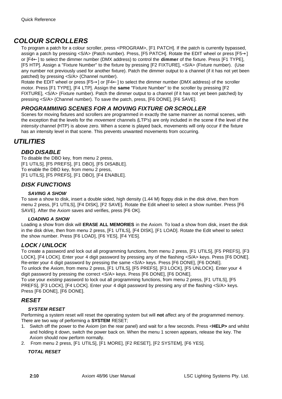## *COLOUR SCROLLERS*

To program a patch for a colour scroller, press <PROGRAM>, [F1 PATCH]. If the patch is currently bypassed, assign a patch by pressing <S/A> (Patch number). Press, [F5 PATCH]. Rotate the EDIT wheel or press [F5→] or [F4←] to select the dimmer number (DMX address) to control the **dimmer** of the fixture. Press [F1 TYPE], [F5 HTP]. Assign a "Fixture Number" to the fixture by pressing [F2 FIXTURE], <S/A> (Fixture number). (Use any number not previously used for another fixture). Patch the dimmer output to a channel (if it has not yet been patched) by pressing <S/A> (Channel number).

Rotate the EDIT wheel or press [F5→] or [F4←] to select the dimmer number (DMX address) of the scroller motor. Press [F1 TYPE], [F4 LTP]. Assign the **same** "Fixture Number" to the scroller by pressing [F2 FIXTURE], <S/A> (Fixture number). Patch the dimmer output to a channel (if it has not yet been patched) by pressing <S/A> (Channel number). To save the patch, press, [F6 DONE], [F6 SAVE].

## *PROGRAMMING SCENES FOR A MOVING FIXTURE OR SCROLLER*

Scenes for moving fixtures and scrollers are programmed in exactly the same manner as normal scenes, with the exception that the levels for the *movement* channels (LTP's) are only included in the scene if the level of the *intensity* channel (HTP) is above zero. When a scene is played back, movements will only occur if the fixture has an intensity level in that scene. This prevents unwanted movements from occurring.

## *UTILITIES*

## *DBO DISABLE*

To disable the DBO key, from menu 2 press, [F1 UTILS], [F5 PREFS], [F1 DBO], [F5 DISABLE]. To enable the DBO key, from menu 2 press, [F1 UTILS], [F5 PREFS], [F1 DBO], [F4 ENABLE].

## *DISK FUNCTIONS*

#### *SAVING A SHOW*

To save a show to disk, insert a double sided, high density (1.44 M) floppy disk in the disk drive, then from menu 2 press, [F1 UTILS], [F4 DISK], [F2 SAVE]. Rotate the Edit wheel to select a show number. Press [F6 SAVE]. After the Axi*om* saves and verifies, press [F6 OK].

#### *LOADING A SHOW*

Loading a show from disk will **ERASE ALL MEMORIES** in the Axi*om.* To load a show from disk, insert the disk in the disk drive, then from menu 2 press, [F1 UTILS], [F4 DISK], [F1 LOAD]. Rotate the Edit wheel to select the show number. Press [F6 LOAD], [F6 YES], [F4 YES].

## *LOCK / UNLOCK*

To create a password and lock out all programming functions, from menu 2 press, [F1 UTILS], [F5 PREFS], [F3 LOCK], [F4 LOCK]. Enter your 4 digit password by pressing any of the flashing <S/A> keys. Press [F6 DONE]. Re-enter your 4 digit password by pressing the same <S/A> keys. Press [F6 DONE], [F6 DONE]. To unlock the Axi*om*, from menu 2 press, [F1 UTILS], [F5 PREFS], [F3 LOCK], [F5 UNLOCK]. Enter your 4 digit password by pressing the correct <S/A> keys. Press [F6 DONE], [F6 DONE].

To use your *existing* password to lock out all programming functions, from menu 2 press, [F1 UTILS], [F5 PREFS], [F3 LOCK], [F4 LOCK]. Enter your 4 digit password by pressing any of the flashing <S/A> keys. Press [F6 DONE], [F6 DONE].

## *RESET*

#### *SYSTEM RESET*

Performing a system reset will reset the operating system but will **not** affect any of the programmed memory. There are two way of performing a **SYSTEM** RESET;

- 1. Switch off the power to the Axi*om* (on the rear panel) and wait for a few seconds. Press <**HELP>** and whilst and holding it down, switch the power back on. When the menu 1 screen appears, release the key. The Axi*om* should now perform normally.
- 2. From menu 2 press, [F1 UTILS], [F1 MORE], [F2 RESET], [F2 SYSTEM], [F6 YES].

#### *TOTAL RESET*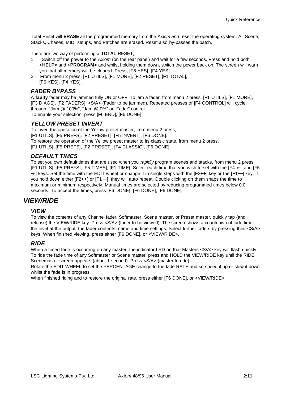Total Reset will **ERASE** all the programmed memory from the Axi*om and* reset the operating system. All Scene, Stacks, Chases, MIDI setups, and Patches are erased. Reset also by-passes the patch.

There are two way of performing a **TOTAL** RESET;

- 1. Switch off the power to the Axi*om* (on the rear panel) and wait for a few seconds. Press and hold both <**HELP>** and <**PROGRAM>** and whilst holding them down, switch the power back on. The screen will warn you that all memory will be cleared. Press, [F6 YES], [F4 YES].
- 2. From menu 2 press, [F1 UTILS], [F1 MORE], [F2 RESET], [F1 TOTAL], [F6 YES], [F4 YES].

### *FADER BYPASS*

A **faulty** fader may be jammed fully ON or OFF. To jam a fader, from menu 2 press, [F1 UTILS], [F1 MORE], [F3 DIAGS], [F2 FADERS], <S/A> (Fader to be jammed). Repeated presses of [F4 CONTROL] will cycle through "Jam @ 100%", "Jam @ 0%" or "Fader" control. To enable your selection, press [F6 END], [F6 DONE].

#### *YELLOW PRESET INVERT*

To invert the operation of the Yellow preset master, from menu 2 press, [F1 UTILS], [F5 PREFS], [F2 PRESET], [F5 INVERT], [F6 DONE]. To restore the operation of the Yellow preset master to its classic state, from menu 2 press, [F1 UTILS], [F5 PREFS], [F2 PRESET], [F4 CLASSIC], [F6 DONE].

#### *DEFAULT TIMES*

To set you own default times that are used when you *rapidly* program scenes and stacks, from menu 2 press, [F1 UTILS], [F5 PREFS], [F5 TIMES], [F1 TIME]. Select each time that you wish to set with the [F4 ←] and [F5 →] keys. Set the time with the EDIT wheel or change it in single steps with the [F2**++**] key or the [F1−−] key. If you hold down either [F2**++]** or [F1−−**]**, they will auto repeat. Double clicking on them snaps the time to maximum or minimum respectively. Manual times are selected by reducing programmed times below 0.0 seconds. To accept the times, press [F6 DONE], [F6 DONE], [F6 DONE].

## *VIEW/RIDE*

#### *VIEW*

To view the contents of any Channel fader, Softmaster, Scene master, or Preset master, quickly tap (and release) the VIEW/RIDE key. Press <S/A> (fader to be viewed). The screen shows a countdown of fade time, the level at the output, the fader contents, name and time settings. Select further faders by pressing their <S/A> keys. When finished viewing, press either [F6 DONE], or <VIEW/RIDE>.

#### *RIDE*

When a timed fade is occurring on any master, the indicator LED on that Masters <S/A> key will flash quickly. To ride the fade time of any Softmaster or Scene master, press and HOLD the VIEW/RIDE key until the RIDE Scenemaster screen appears (about 1 second). Press <S/A> (master to ride).

Rotate the EDIT WHEEL to set the PERCENTAGE change to the fade RATE and so speed it up or slow it down whilst the fade is in progress.

When finished riding and to restore the original rate, press either IF6 DONE], or <VIEW/RIDE>.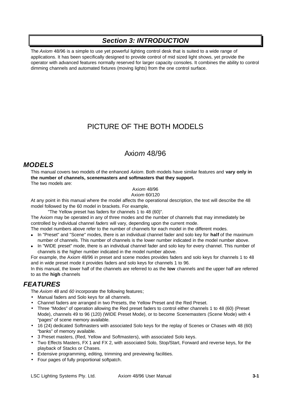## *Section 3: INTRODUCTION*

The *Axiom* 48/96 is a simple to use yet powerful lighting control desk that is suited to a wide range of applications. It has been specifically designed to provide control of mid sized light shows, yet provide the operator with advanced features normally reserved for larger capacity consoles. It combines the ability to control dimming channels and automated fixtures (moving lights) from the one control surface.

# PICTURE OF THE BOTH MODELS

## Axi*om* 48/96

## *MODELS*

This manual covers two models of the enhanced *Axiom*. Both models have similar features and **vary only in the number of channels, scenemasters and softmasters that they support.** The two models are:

## Axi*om* 48/96

Axi*om* 60/120

At any point in this manual where the model affects the operational description, the text will describe the 48 model followed by the 60 model in brackets. For example,

"The Yellow preset has faders for channels 1 to 48 (60)".

The Axi*om* may be operated in any of three modes and the number of channels that may immediately be controlled by individual channel *faders* will vary, depending upon the current mode.

The model numbers above refer to the number of channels for each model in the different modes.

- In "Preset" and "Scene" modes, there is an individual channel fader and solo key for **half** of the maximum number of channels. This number of channels is the lower number indicated in the model number above.
- In "WIDE preset" mode, there is an individual channel fader and solo key for every channel. This number of channels is the higher number indicated in the model number above.

For example, the Axi*om* 48/96 in preset and scene modes provides faders and solo keys for channels 1 to 48 and in wide preset mode it provides faders and solo keys for channels 1 to 96.

In this manual, the lower half of the channels are referred to as the **low** channels and the upper half are referred to as the **high** channels

## *FEATURES*

The *Axiom 48* and *60* incorporate the following features;

- Manual faders and Solo keys for all channels.
- Channel faders are arranged in two Presets, the Yellow Preset and the Red Preset.
- Three "Modes" of operation allowing the Red preset faders to control either channels 1 to 48 (60) (Preset Mode), channels 49 to 96 (120) (WIDE Preset Mode), or to become Scenemasters (Scene Mode) with 4 "pages" of scene memory available.
- 16 (24) dedicated Softmasters with associated Solo keys for the replay of Scenes or Chases with 48 (60) "banks" of memory available.
- 3 Preset masters, (Red, Yellow and Softmasters), with associated Solo keys.
- Two Effects Masters, FX 1 and FX 2, with associated Solo, Stop/Start, Forward and reverse keys, for the playback of Stacks or Chases.
- Extensive programming, editing, trimming and previewing facilities.
- Four pages of fully proportional softpatch.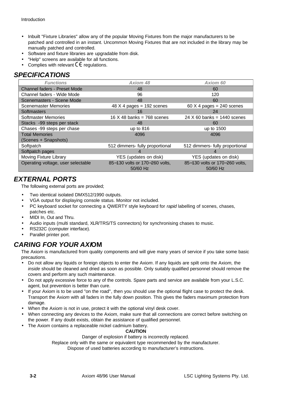- Inbuilt "Fixture Libraries" allow any of the popular Moving Fixtures from the major manufacturers to be patched and controlled in an instant. Uncommon Moving Fixtures that are not included in the library may be manually patched and controlled.
- Software and fixture libraries are upgradable from disk.
- "Help" screens are available for all functions.
- Complies with relevant  $\mathsf{C}\varepsilon$  regulations.

## *SPECIFICATIONS*

| <b>Functions</b>                   | <b>Axiom 48</b>                            | <b>Axiom 60</b>                            |
|------------------------------------|--------------------------------------------|--------------------------------------------|
| Channel faders - Preset Mode       | 48                                         | 60                                         |
| Channel faders - Wide Mode         | 96                                         | 120                                        |
| Scenemasters - Scene Mode          | 48                                         | 60                                         |
| Scenemaster Memories               | $48 X 4 pages = 192 scenes$                | $60 X 4 pages = 240 scenes$                |
| <b>Softmasters</b>                 | 16                                         | 24                                         |
| Softmaster Memories                | 16 $X$ 48 banks = 768 scenes               | $24 X 60$ banks = 1440 scenes              |
| Stacks -99 steps per stack         | 48                                         | 60                                         |
| Chases -99 steps per chase         | up to $816$                                | up to 1500                                 |
| <b>Total Memories</b>              | 4096                                       | 4096                                       |
| (Scenes + Snapshots)               |                                            |                                            |
| Softpatch                          | 512 dimmers- fully proportional            | 512 dimmers- fully proportional            |
| Softpatch pages                    | 4                                          | 4                                          |
| Moving Fixture Library             | YES (updates on disk)                      | YES (updates on disk)                      |
| Operating voltage, user selectable | 85-130 volts or 170-260 volts,<br>50/60 Hz | 85-130 volts or 170-260 volts,<br>50/60 Hz |

## *EXTERNAL PORTS*

The following external ports are provided;

- Two identical isolated DMX512/1990 outputs.
- VGA output for displaying console status. Monitor not included.
- PC keyboard socket for connecting a QWERTY style keyboard for *rapid* labelling of scenes, chases, patches etc.
- MIDI In, Out and Thru.
- Audio inputs (multi standard, XLR/TRS/TS connectors) for synchronising chases to music.
- RS232C (computer interface).
- Parallel printer port.

## *CARING FOR YOUR AXI***OM**

The Axi*om* is manufactured from quality components and will give many years of service if you take some basic precautions.

- Do not allow any liquids or foreign objects to enter the Axi*om*. If any liquids are spilt onto the Axi*om,* the *inside* should be cleaned and dried as soon as possible. Only suitably qualified personnel should remove the covers and perform any such maintenance.
- Do not apply excessive force to any of the controls. Spare parts and service are available from your L.S.C. agent, but prevention is better than cure.
- If your Axi*om* is to be used "on the road", then you should use the optional flight case to protect the desk. Transport the Axi*om* with all faders in the fully down position. This gives the faders maximum protection from damage.
- When the Axi*om* is not in use, protect it with the optional vinyl desk cover.
- When connecting any devices to the Axi*om*, make sure that all connections are correct before switching on the power. If any doubt exists, obtain the assistance of qualified personnel.
- The Axi*om* contains a replaceable nickel cadmium battery.

#### **CAUTION**

Danger of explosion if battery is incorrectly replaced.

Replace only with the same or equivalent type recommended by the manufacturer.

Dispose of used batteries according to manufacturer's instructions.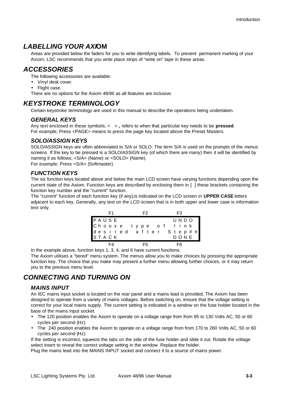## *LABELLING YOUR AXI***OM**

Areas are provided below the faders for you to write identifying labels. To prevent permanent marking of your Axi*om*, LSC recommends that you write place strips of "write on" tape in these areas.

## *ACCESSORIES*

The following accessories are available:

- Vinyl desk cover.
- Flight case.

There are no options for the Axi*om 48/96* as all features are inclusive.

## *KEYSTROKE TERMINOLOGY*

Certain keystroke terminology are used in this manual to describe the operations being undertaken.

## *GENERAL KEYS*

Any text enclosed in these symbols, < > **,** refers to when that particular key needs to be **pressed**. For example; Press <PAGE> means to press the page key located above the Preset Masters.

#### *SOLO/ASSIGN KEYS*

SOLO/ASSIGN keys are often abbreviated to S/A or SOLO. The term S/A is used on the prompts of the *menus* screens*.* If the key to be pressed is a SOLO/ASSIGN key (of which there are many) then it will be identified by naming it as follows; <S/A> (Name) or <SOLO> (Name).

For example; Press <S/A> (Softmaster).

#### *FUNCTION KEYS*

The six function keys located above and below the main LCD screen have varying functions depending upon the current state of the Axi*om*. Function keys are described by enclosing them in [ ] these brackets containing the function key number and the "current" function.

The "current" function of each function key (if any),is indicated on the LCD screen in **UPPER CASE** letters adjacent to each key. Generally, any text on the LCD screen that is in both upper and lower case is information text only.

|                      |  |  |  |  |  | F2. |  |  | F3   |  |  |
|----------------------|--|--|--|--|--|-----|--|--|------|--|--|
| PAUSE                |  |  |  |  |  |     |  |  | UNDO |  |  |
| Choose type of link  |  |  |  |  |  |     |  |  |      |  |  |
| desired after Step## |  |  |  |  |  |     |  |  |      |  |  |
| STACK                |  |  |  |  |  |     |  |  | DONE |  |  |
|                      |  |  |  |  |  |     |  |  |      |  |  |

In the example above, function keys 1, 3, 4, and 6 have current functions.

The Axi*om* utilises a "tiered" menu system. The menus allow you to make choices by pressing the appropriate function key. The choice that you make may present a further menu allowing further choices, or it may return you to the previous menu level.

## *CONNECTING AND TURNING ON*

#### *MAINS INPUT*

An IEC mains input socket is located on the rear panel and a mains lead is provided. The Axi*om* has been designed to operate from a variety of mains voltages. Before switching on, ensure that the voltage setting is correct for your local mains supply. The current setting is indicated in a window on the fuse holder located in the base of the mains input socket.

- The 120 position enables the Axi*om* to operate on a voltage range from from 85 to 130 Volts AC, 50 or 60 cycles per second (Hz)
- The 240 position enables the Axi*om* to operate on a voltage range from from 170 to 260 Volts AC, 50 or 60 cycles per second (Hz)

If the setting is incorrect, squeeze the tabs on the side of the fuse holder and slide it out. Rotate the voltage select insert to reveal the correct voltage setting in the window. Replace the holder.

Plug the mains lead into the MAINS INPUT socket and connect it to a source of mains power.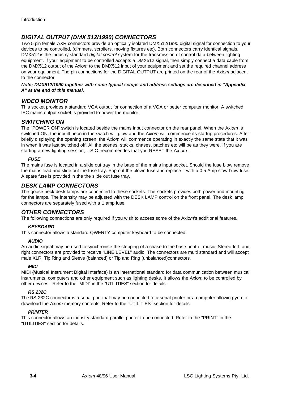## *DIGITAL OUTPUT (DMX 512/1990) CONNECTORS*

Two 5 pin female AXR connectors provide an optically isolated DMX512/1990 digital signal for connection to your devices to be controlled, (dimmers, scrollers, moving fixtures etc). Both connectors carry identical signals. DMX512 is the industry standard *digital control* system for the transmission of control data between lighting equipment. If your equipment to be controlled accepts a DMX512 signal, then simply connect a data cable from the DMX512 output of the Axi*om* to the DMX512 input of your equipment and set the required channel address on your equipment. The pin connections for the DIGITAL OUTPUT are printed on the rear of the Axi*om* adjacent to the connector.

#### *Note: DMX512/1990 together with some typical setups and address settings are described in "Appendix A" at the end of this manual.*

#### *VIDEO MONITOR*

This socket provides a standard VGA output for connection of a VGA or better computer monitor. A switched IEC mains output socket is provided to power the monitor.

#### *SWITCHING ON*

The "POWER ON" switch is located beside the mains input connector on the rear panel. When the Axi*om* is switched ON, the inbuilt neon in the switch will glow and the Axi*om* will commence its startup procedures. After briefly displaying the opening screen, the Axi*om* will commence operating in exactly the same state that it was in when it was last switched off. All the scenes, stacks, chases, patches etc will be as they were. If you are starting a new lighting session, L.S.C. recommendes that you RESET the Axi*om* .

#### *FUSE*

The mains fuse is located in a slide out tray in the base of the mains input socket. Should the fuse blow remove the mains lead and slide out the fuse tray. Pop out the blown fuse and replace it with a 0.5 Amp slow blow fuse. A spare fuse is provided in the the slide out fuse tray.

#### *DESK LAMP CONNECTORS*

The goose neck desk lamps are connected to these sockets. The sockets provides both power and mounting for the lamps. The intensity may be adjusted with the DESK LAMP control on the front panel. The desk lamp connectors are separately fused with a 1 amp fuse.

#### *OTHER CONNECTORS*

The following connections are only required if you wish to access some of the Axi*om*'s additional features.

#### *KEYBOARD*

This connector allows a standard QWERTY computer keyboard to be connected.

#### *AUDIO*

An audio signal may be used to synchronise the stepping of a chase to the base beat of music. Stereo left and right connectors are provided to receive "LINE LEVEL" audio. The connectors are multi standard and will accept male XLR, Tip Ring and Sleeve (balanced) or Tip and Ring (unbalanced)connectors.

## *MIDI*

MIDI (**M**usical **I**nstrument **D**igital **I**nterface) is an international standard for data communication between musical instruments, computers and other equipment such as lighting desks. It allows the Axi*om* to be controlled by other devices. Refer to the "MIDI" in the "UTILITIES" section for details.

## *RS 232C*

The RS 232C connector is a serial port that may be connected to a serial printer or a computer allowing you to download the Axi*om* memory contents. Refer to the "UTILITIES" section for details.

#### *PRINTER*

This connector allows an industry standard parallel printer to be connected. Refer to the "PRINT" in the "UTILITIES" section for details.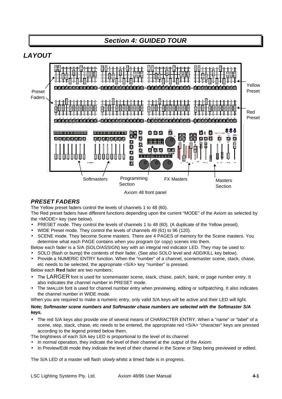## *Section 4: GUIDED TOUR LAYOUT* Yellow Preset Preset Faders Red Presetioroidioidioidioidiois adidioidioidioidioidioidioidioidiois. Io るある Ю Q Ö D O O O O O D Ö Ö Softmasters Programming FX Masters Masters **Section** Section

Axi*om* 48 front panel

## *PRESET FADERS*

The Yellow preset faders control the levels of channels 1 to 48 (60).

The Red preset faders have different functions depending upon the current "MODE" of the Axi*om* as selected by the <MODE> key (see below).

- PRESET mode. They control the levels of channels 1 to 48 (60). (A duplicate of the Yellow preset).
- WIDE Preset mode. They control the levels of channels 49 (61) to 96 (120).
- SCENE mode. They become Scene masters. There are 4 PAGES of memory for the Scene masters. You determine what each PAGE contains when you program (or copy) scenes into them.
- Below each fader is a S/A (SOLO/ASSIGN) key with an integral red indicator LED. They may be used to:
- SOLO (flash or bump) the contents of their fader. (See also SOLO level and ADD/KILL key below).
- Provide a NUMERIC ENTRY function. When the "number" of a channel, scenemaster scene, stack, chase, etc needs to be selected, the appropriate <S/A> key "number" is pressed.

Below each **Red** fader are two numbers;

- The LARGER font is used for scenemaster scene, stack, chase, patch, bank, or page number entry. It also indicates the channel number in PRESET mode.
- The SMALLER font is used for channel number entry when previewing, editing or softpatching. It also indicates the channel number in WIDE mode.

When you are required to make a numeric entry, only valid S/A keys will be active and their LED will light.

#### *Note; Softmaster scene numbers and Softmaster chase numbers are selected with the Softmaster S/A keys.*

• The red S/A keys also provide one of several means of CHARACTER ENTRY. When a "name" or "label" of a scene, step, stack, chase, etc needs to be entered, the appropriate red <S/A> "character" keys are pressed according to the legend printed below them.

The brightness of each S/A key LED is proportional to the level of its channel:

- In normal operation, they indicate the level of their channel at the *output* of the Axi*om*.
- In Preview/Edit mode they indicate the level of their channel in the Scene or Step being previewed or edited.

The S/A LED of a master will flash *slowly* whilst a timed fade is in progress.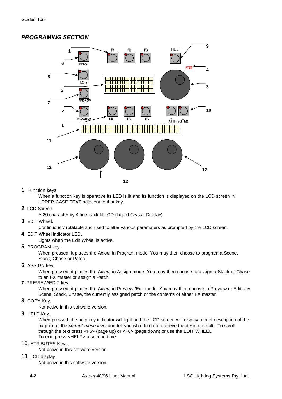## *PROGRAMING SECTION*



**1**. Function keys.

When a function key is operative its LED is lit and its function is displayed on the LCD screen in UPPER CASE TEXT adjacent to that key.

**2**. LCD Screen

A 20 character by 4 line back lit LCD (Liquid Crystal Display).

**3**. EDIT Wheel.

Continuously rotatable and used to alter various paramaters as prompted by the LCD screen.

**4**. EDIT Wheel indicator LED.

Lights when the Edit Wheel is active.

**5**. PROGRAM key.

When pressed, it places the Axi*om* in Program mode. You may then choose to program a Scene, Stack, Chase or Patch.

**6**. ASSIGN key.

When pressed, it places the Axi*om* in Assign mode. You may then choose to assign a Stack or Chase to an FX master or assign a Patch.

**7**. PREVIEW/EDIT key.

When pressed, it places the Axi*om* in Preview /Edit mode. You may then choose to Preview or Edit any Scene, Stack, Chase, the currently assigned patch or the contents of either FX master.

**8**. COPY Key.

Not active in this software version.

**9**. HELP Key.

When pressed, the help key indicator will light and the LCD screen will display a brief description of the purpose of the *current menu level* and tell you what to do to achieve the desired result. To scroll through the text press <F5> (page up) or <F6> (page down) or use the EDIT WHEEL. To exit, press <HELP> a second time.

**10**. ATRIBUTES Keys.

Not active in this software version.

**11**. LCD display.

Not active in this software version.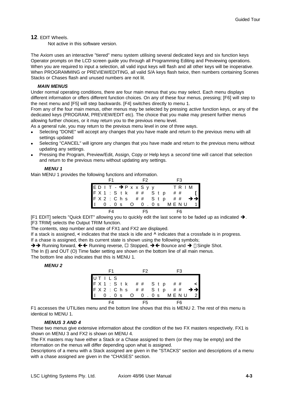#### **12**. EDIT Wheels.

Not active in this software version.

The Axiom uses an interactive "tiered" menu system utilising several dedicated keys and six function keys Operator prompts on the LCD screen guide you through all Programming Editing and Previewing operations. When you are required to input a selection, all valid input keys will flash and all other keys will be inoperative. When PROGRAMMING or PREVIEW/EDITING, all valid S/A keys flash twice, then numbers containing Scenes Stacks or Chases flash and unused numbers are not lit.

#### *MAIN MENUS*

Under normal operating conditions, there are four main menus that you may select. Each menu displays different information or offers different function choices. On any of these four menus, pressing; [F6] will step to the next menu and [F5] will step backwards. [F4] switches directly to menu 1.

From any of the four main menus, other menus may be selected by pressing *active* function keys, or any of the dedicated keys (PROGRAM, PREVIEW/EDIT etc). The choice that you make may present further menus allowing further choices, or it may return you to the previous menu level.

As a general rule, you may return to the previous menu level in one of three ways.

- Selecting "DONE" will accept any changes that you have made and return to the previous menu with all settings updated
- Selecting "CANCEL" will ignore any changes that you have made and return to the previous menu without updating any settings.
- <sup>l</sup> Pressing the Program, Preview/Edit, Assign, Copy or Help keys a *second* time will cancel that selection and return to the previous menu without updating any settings.

#### *MENU 1*

Main MENU 1 provides the following functions and information.

|                                     |  |  | F1 |  |  |    | F2. |  |  | F3 |        |  |
|-------------------------------------|--|--|----|--|--|----|-----|--|--|----|--------|--|
| $EDIT - \rightarrow P \times X Syy$ |  |  |    |  |  |    |     |  |  |    | TR I M |  |
| F X 1 : S t k # # S t p # #         |  |  |    |  |  |    |     |  |  |    |        |  |
| $FX2:Chs$ ## Stp ## $\rightarrow$   |  |  |    |  |  |    |     |  |  |    |        |  |
| II 0.0s O 0.0s MENU                 |  |  |    |  |  |    |     |  |  |    |        |  |
| FΔ                                  |  |  |    |  |  | -5 |     |  |  |    |        |  |

[F1 EDIT] selects "Quick EDIT" allowing you to quickly edit the last scene to be faded up as indicated  $\rightarrow$ . [F3 TRIM] selects the Output TRIM function.

The contents, step number and state of FX1 and FX2 are displayed.

If a stack is assigned, **<** indicates that the stack is idle and **^** indicates that a crossfade is in progress. If a chase is assigned, then its current state is shown using the following symbols;

 $\rightarrow$  **→** Running forward,  $\leftarrow$  Running reverse,  $\Box$  Stopped,  $\rightarrow$  ← Bounce and  $\rightarrow$  ← Single Shot.

The In (I) and OUT (O) Time fader setting are shown on the bottom line of all main menus.

The bottom line also indicates that this is MENU 1.

#### *MENU 2*

|                                                                | F2. | F3 |
|----------------------------------------------------------------|-----|----|
| UTILS                                                          |     |    |
| F X 1 : S t k # # S t p # # <<br>F X 2 : C h s # # S t p # # → |     |    |
|                                                                |     |    |
| I 0.0 s O 0.0 s MENU 2                                         |     |    |
|                                                                | F5  |    |

F1 accesses the UTILities menu and the bottom line shows that this is MENU 2. The rest of this menu is identical to MENU 1.

#### *MENUS 3 AND 4*

These two menus give extensive information about the condition of the two FX masters respectively. FX1 is shown on MENU 3 and FX2 is shown on MENU 4.

The FX masters may have either a Stack or a Chase assigned to them (or they may be empty) and the information on the menus will differ depending upon what is assigned.

Descriptions of a menu with a Stack assigned are given in the "STACKS" section and descriptions of a menu with a chase assigned are given in the "CHASES" section.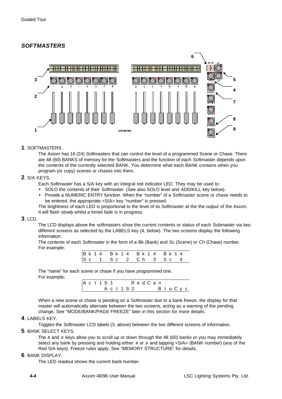## *SOFTMASTERS*



#### **1**. SOFTMASTERS.

The Axi*om* has 16 (24) Softmasters that can control the level of a programmed Scene or Chase. There are 48 (60) BANKS of memory for the Softmasters and the function of each Softmaster depends upon the contents of the currently selected BANK. You determine what each BANK contains when you program (or copy) scenes or chases into them.

#### **2**. S/A KEYS.

Each Softmaster has a S/A key with an integral red indicator LED. They may be used to:

- SOLO the contents of their Softmaster. (See also SOLO level and ADD/KILL key below).
- Provide a NUMERIC ENTRY function. When the "number" of a Softmaster scene or chase needs to be entered, the appropriate <S/A> key "number" is pressed.

The brightness of each LED is proportional to the level of its Softmaster at the the *output* of the Axi*om*. It will flash *slowly* whilst a timed fade is in progress.

#### **3**. LCD.

The LCD displays above the softmasters show the current contents or status of each Submaster via two different screens as selected by the LABELS key (4, below). The two screens display the following information:

The contents of each Softmaster in the form of a Bk (Bank) and Sc (Scene) or Ch (Chase) number. For example;

|  | Bk14 Bk14 Bk14 Bk14 |  |
|--|---------------------|--|
|  | Sc 1 Sc 2 Ch 3 Sc 4 |  |

The "name" for each scene or chase if you have programmed one. For example;

|  |  | Act1S1      |  |  | Red Can |  |  |  |        |  |
|--|--|-------------|--|--|---------|--|--|--|--------|--|
|  |  |             |  |  |         |  |  |  |        |  |
|  |  | A c t 1 S 2 |  |  |         |  |  |  | BluCyc |  |

When a new scene or chase is pending on a Softmaster due to a bank freeze, the display for that master will automatically alternate between the two screens, acting as a warning of the pending change. See "MODE/BANK/PAGE FREEZE" later in this section for more details.

#### **4**. LABELS KEY.

Toggles the Softmaster LCD labels (3, above) between the two different screens of information.

#### **5**. BANK SELECT KEYS.

The  $\land$  and  $\lor$  keys allow you to scroll up or down through the 48 (60) banks or you may immediately select any bank by pressing and holding either  $\land$  or  $\lor$  and tapping <S/A> (BANK number) (any of the Red S/A keys). Freeze rules apply. See "MEMORY STRUCTURE" for details.

#### **6**. BANK DISPLAY.

The LED readout shows the current bank number.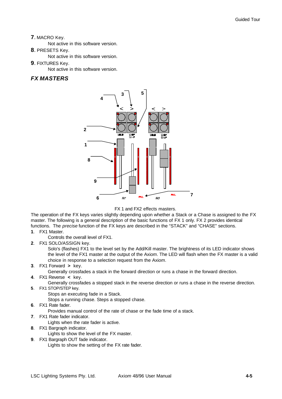**7**. MACRO Key.

Not active in this software version.

- **8**. PRESETS Key.
- Not active in this software version.
- **9**. FIXTURES Key.

Not active in this software version.

## *FX MASTERS*



FX 1 and FX2 effects masters.

The operation of the FX keys varies slightly depending upon whether a Stack or a Chase is assigned to the FX master. The following is a general description of the basic functions of FX 1 only. FX 2 provides identical functions. The *precise* function of the FX keys are described in the "STACK" and "CHASE" sections.

- **1**. FX1 Master.
	- Controls the overall level of FX1.
- **2**. FX1 SOLO/ASSIGN key.

Solo's (flashes) FX1 to the level set by the Add/Kill master. The brightness of its LED indicator shows the level of the FX1 master at the output of the Axi*om*. The LED will flash when the FX master is a valid choice in response to a selection request from the Axi*om*.

**3**. FX1 Forward **>** key.

Generally crossfades a stack in the forward direction or runs a chase in the forward direction.

**4**. FX1 Reverse **<** key.

Generally crossfades a stopped stack in the reverse direction or runs a chase in the reverse direction.

**5**. FX1 STOP/STEP key.

Stops an executing fade in a Stack.

Stops a running chase. Steps a stopped chase.

**6**. FX1 Rate fader.

Provides manual control of the rate of chase or the fade time of a stack.

- **7**. FX1 Rate fader indicator.
	- Lights when the rate fader is active.
- **8**. FX1 Bargraph indicator.

Lights to show the level of the FX master.

**9**. FX1 Bargraph OUT fade indicator. Lights to show the setting of the FX rate fader.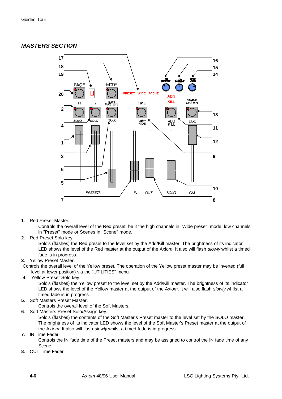## *MASTERS SECTION*



**1**. Red Preset Master.

Controls the overall level of the Red preset, be it the high channels in "Wide preset" mode, low channels in "Preset" mode or Scenes in "Scene" mode.

**2**. Red Preset Solo key.

Solo's (flashes) the Red preset to the level set by the Add/Kill master. The brightness of its indicator LED shows the level of the Red master at the output of the Axi*om*. It also will flash *slowly* whilst a timed fade is in progress*.*

**3**. Yellow Preset Master.

Controls the overall level of the Yellow preset. The operation of the Yellow preset master may be inverted (full level at lower position) via the "UTILITIES" menu.

**4**. Yellow Preset Solo key.

Solo's (flashes) the Yellow preset to the level set by the Add/Kill master. The brightness of its indicator LED shows the level of the Yellow master at the output of the Axi*om*. It will also flash *slowly* whilst a timed fade is in progress*.*

- **5**. Soft Masters Preset Master.
	- Controls the overall level of the Soft Masters.
- **6**. Soft Masters Preset Solo/Assign key.

Solo's (flashes) the contents of the Soft Master's Preset master to the level set by the SOLO master. The brightness of its indicator LED shows the level of the Soft Master's Preset master at the output of the Axi*om*. It also will flash *slowly* whilst a timed fade is in progress*.*

**7**. IN Time Fader.

Controls the IN fade time of the Preset masters and may be assigned to control the IN fade time of any Scene.

**8**. OUT Time Fader.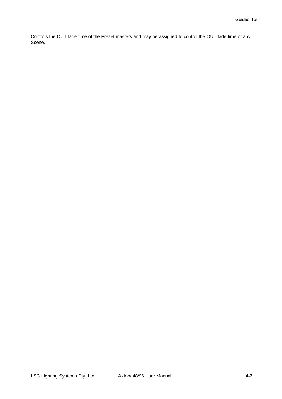Controls the OUT fade time of the Preset masters and may be assigned to control the OUT fade time of any Scene.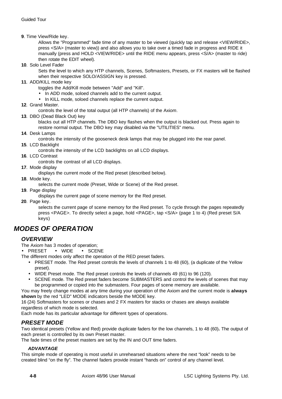**9**. Time View/Ride key.

Allows the "Programmed" fade time of any master to be viewed (quickly tap and release <VIEW/RIDE>, press <S/A> (master to view)) and also allows you to take over a timed fade in progress and RIDE it manually (press and HOLD <VIEW/RIDE> until the RIDE menu appears, press <S/A> (master to ride) then rotate the EDIT wheel).

**10**. Solo Level Fader

Sets the level to which any HTP channels, Scenes, Softmasters, Presets, or FX masters will be flashed when their respective SOLO/ASSIGN key is pressed.

- **11**. ADD/KILL mode key
	- toggles the Add/Kill mode between "Add" and "Kill".
	- In ADD mode, soloed channels add to the current output.
	- In KILL mode, soloed channels replace the current output.
- **12**. Grand Master.

controls the level of the total output (all HTP channels) of the Axi*om*.

**13**. DBO (Dead Black Out) key

blacks out all HTP channels. The DBO key flashes when the output is blacked out. Press again to restore normal output. The DBO key may disabled via the "UTILITIES" menu.

**14**. Desk Lamps

controls the intensity of the gooseneck desk lamps that may be plugged into the rear panel.

**15**. LCD Backlight

controls the intensity of the LCD backlights on all LCD displays.

**16**. LCD Contrast

controls the contrast of all LCD displays.

- **17**. Mode display
- displays the current mode of the Red preset (described below).
- **18**. Mode key.

selects the current mode (Preset, Wide or Scene) of the Red preset.

**19**. Page display

displays the current page of scene memory for the Red preset.

**20**. Page key.

selects the current page of scene memory for the Red preset. To cycle through the pages repeatedly press <PAGE>. To directly select a page, hold <PAGE>, tap <S/A> (page 1 to 4) (Red preset S/A keys)

## *MODES OF OPERATION*

#### *OVERVIEW*

The Axi*om* has 3 modes of operation;

• PRESET • WIDE • SCENE

- The different modes only affect the operation of the RED preset faders.
	- PRESET mode. The Red preset controls the levels of channels 1 to 48 (60), (a duplicate of the Yellow preset).
	- WIDE Preset mode. The Red preset controls the levels of channels 49 (61) to 96 (120).
	- SCENE mode. The Red preset faders become SUBMASTERS and control the levels of scenes that may be programmed or copied into the submasters. Four pages of scene memory are available.

You may freely change modes at any time during your operation of the Axi*om* and the current mode is **always shown** by the red "LED" MODE indicators beside the MODE key.

16 (24) Softmasters for scenes or chases and 2 FX masters for stacks or chases are always available regardless of which mode is selected.

Each mode has its particular advantage for different types of operations.

## *PRESET MODE*

Two identical presets (Yellow and Red) provide duplicate faders for the low channels, 1 to 48 (60)**.** The output of each preset is controlled by its own Preset master.

The fade times of the preset masters are set by the IN and OUT time faders.

#### *ADVANTAGE*

This simple mode of operating is most useful in unrehearsed situations where the next "look" needs to be created blind "on the fly". The channel faders provide instant "hands on" control of any channel level.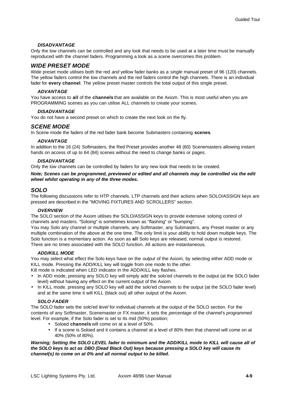#### *DISADVANTAGE*

Only the low channels can be controlled and any look that needs to be used at a later time must be manually reproduced with the channel faders. Programming a look as a scene overcomes this problem.

#### *WIDE PRESET MODE*

Wide preset mode utilises both the red *and* yellow fader banks as a *single* manual preset of 96 (120) channels. The yellow faders control the low channels and the red faders control the high channels. There is an individual fader for **every channel**. The yellow preset master controls the total output of this single preset.

#### *ADVANTAGE*

You have access to **all** of the **channels** that are available on the Axi*om*. This is most useful when you are PROGRAMMING scenes as you can utilise ALL channels to create your scenes.

#### *DISADVANTAGE*

You do not have a second preset on which to create the next look on the fly.

#### *SCENE MODE*

In Scene mode the faders of the red fader bank become Submasters containing **scenes**.

#### *ADVANTAGE*

In addition to the 16 (24) Softmasters, the Red Preset provides another 48 (60) Scenemasters allowing instant hands on access of up to 64 (84) scenes without the need to change banks or pages.

#### *DISADVANTAGE*

Only the low channels can be controlled by faders for any new look that needs to be created.

#### *Note; Scenes can be programmed, previewed or edited and all channels may be controlled via the edit wheel whilst operating in any of the three modes.*

#### *SOLO*

The following discussions refer to HTP channels. LTP channels and their actions when SOLO/ASSIGN keys are pressed are described in the "MOVING FIXTURES AND SCROLLERS" section.

#### *OVERVIEW*

The SOLO section of the Axi*om* utilises the SOLO/ASSIGN keys to provide extensive soloing control of channels and masters. "Soloing" is sometimes known as "flashing" or "bumping".

You may Solo any channel or multiple channels, any Softmaster, any Submasters, any Preset master or any multiple combination of the above at the one time. The only limit is your ability to hold down multiple keys. The Solo function is a momentary action. As soon as **all** Solo keys are released, normal output is restored. There are no times associated with the SOLO function. All actions are instantaneous.

#### *ADD/KILL MODE*

You may select what effect the Solo keys have on the *output* of the Axi*om,* by selecting either ADD mode or KILL mode. Pressing the ADD/KILL key will toggle from one mode to the other.

Kill mode is indicated when LED indicator in the ADD/KILL key flashes.

- In ADD mode, pressing any SOLO key will simply add the solo'ed channels to the output (at the SOLO fader level) without having any effect on the current output of the Axi*om*.
- In KILL mode, pressing any SOLO key will add the solo'ed channels to the output (at the SOLO fader level) and at the same time it will KILL (black out) all other output of the Axi*om*.

#### *SOLO FADER*

The SOLO fader sets the solo'ed *level* for individual channels at the output of the SOLO section. For the contents of any Softmaster, Scenemaster or FX master, it sets the *percentage* of the channel's *programmed* level. For example, if the Solo fader is set to its mid (50%) position;

- Soloed **channels** will come on at a level of 50%.
- If a scene is Soloed and it contains a channel at a level of 80% then that channel will come on at 40% (50% of 80%).

#### *Warning; Setting the SOLO LEVEL fader to minimum and the ADD/KILL mode to KILL will cause all of the SOLO keys to act as DBO (Dead Black Out) keys because pressing a SOLO key will cause its channel(s) to come on at 0% and all normal output to be killed.*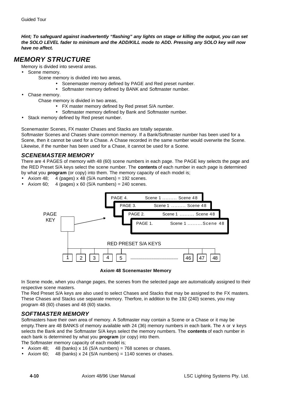*Hint; To safeguard against inadvertently "flashing" any lights on stage or killing the output, you can set the SOLO LEVEL fader to minimum and the ADD/KILL mode to ADD. Pressing any SOLO key will now have no affect.*

## *MEMORY STRUCTURE*

Memory is divided into several areas.

- Scene memory.
	- Scene memory is divided into two areas,
		- Scenemaster memory defined by PAGE and Red preset number.
		- Softmaster memory defined by BANK and Softmaster number.
- Chase memory.

Chase memory is divided in two areas,

- FX master memory defined by Red preset S/A number.
- Softmaster memory defined by Bank and Softmaster number.
- Stack memory defined by Red preset number.

Scenemaster Scenes, FX master Chases and Stacks are totally separate.

Softmaster Scenes and Chases share common memory. If a Bank/Softmaster number has been used for a Scene, then it cannot be used for a Chase. A Chase recorded in the same number would overwrite the Scene. Likewise, if the number has been used for a Chase, it cannot be used for a Scene.

#### *SCENEMASTER MEMORY*

There are 4 PAGES of memory with 48 (60) scene numbers in each page. The PAGE key selects the page and the RED Preset S/A keys select the scene number. The **contents** of each number in each page is determined by what you **program** (or copy) into them. The memory capacity of each model is;

- Axi*om* 48; 4 (pages) x 48 (S/A numbers) = 192 scenes.
- Axi*om* 60; 4 (pages) x 60 (S/A numbers) = 240 scenes.



**Axi***om* **48 Scenemaster Memory**

In Scene mode, when you change pages, the scenes from the selected page are automatically assigned to their respective scene masters.

The Red Preset S/A keys are also used to select Chases and Stacks that may be assigned to the FX masters. These Chases and Stacks use separate memory. Therfore, in addition to the 192 (240) scenes, you may program 48 (60) chases and 48 (60) stacks.

#### *SOFTMASTER MEMORY*

Softmasters have their own area of memory. A Softmaster may contain a Scene or a Chase or it may be empty. There are 48 BANKS of memory available with 24 (36) memory numbers in each bank. The ∧ or ∨ keys selects the Bank and the Softmaster S/A keys select the memory numbers. The **contents** of each number in each bank is determined by what you **program** (or copy) into them.

The Softmaster memory capacity of each model is;

- Axi*om* 48; 48 (banks) x 16 (S/A numbers) = 768 scenes or chases.
- Axi*om* 60; 48 (banks) x 24 (S/A numbers) = 1140 scenes or chases.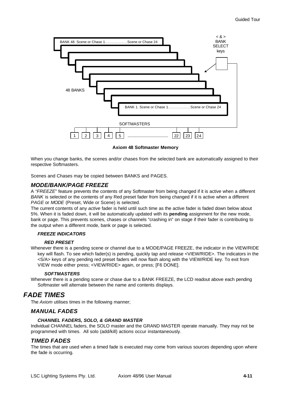

**Axi***om* **48 Softmaster Memory**

When you change banks, the scenes and/or chases from the selected bank are automatically assigned to their respective Softmasters.

Scenes and Chases may be copied between BANKS and PAGES.

#### *MODE/BANK/PAGE FREEZE*

A "*FREEZE*" feature prevents the contents of any Softmaster from being changed if it is active when a different *BANK* is selected or the contents of any Red preset fader from being changed if it is active when a different *PAGE* or *MODE* (Preset, Wide or Scene) is selected.

The current contents of any *active* fader is held until such time as the active fader is faded down below about 5%. When it is faded down, it will be automatically updated with its **pending** assignment for the new mode, bank or page. This prevents scenes, chases or channels "crashing in" on stage if their fader is contributing to the output when a different mode, bank or page is selected.

#### *FREEZE INDICATORS*

#### *RED PRESET*

Whenever there is a pending scene or channel due to a MODE/PAGE FREEZE, the indicator in the VIEW/RIDE key will flash. To see which fader(s) is pending, quickly tap and release <VIEW/RIDE>. The indicators in the <S/A> keys of any pending red preset faders will now flash along with the VIEW/RIDE key. To exit from VIEW mode either press; <VIEW/RIDE> again, or press; [F6 DONE].

#### *SOFTMASTERS*

Whenever there is a pending scene or chase due to a BANK FREEZE, the LCD readout above each pending Softmaster will alternate between the name and contents displays.

## *FADE TIMES*

The *Axiom* utilises times in the following manner;

#### *MANUAL FADES*

#### *CHANNEL FADERS, SOLO, & GRAND MASTER*

Individual CHANNEL faders, the SOLO master and the GRAND MASTER operate manually. They may not be programmed with times. All solo (add/kill) actions occur instantaneously.

### *TIMED FADES*

The times that are used when a timed fade is executed may come from various sources depending upon where the fade is occurring.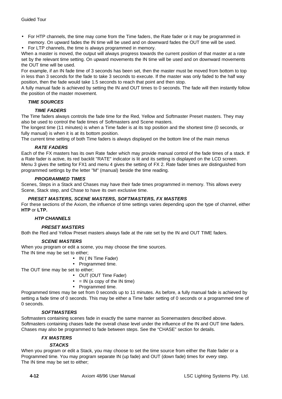• For HTP channels, the time may come from the Time faders, the Rate fader or it may be programmed in memory. On upward fades the IN time will be used and on downward fades the OUT time will be used.

• For LTP channels, the time is always programmed in memory.

When a master is moved, the output will always progress towards the current position of that master at a rate set by the relevant time setting. On upward movements the IN time will be used and on downward movements the OUT time will be used.

For example, if an IN fade time of 3 seconds has been set, then the master must be moved from bottom to top in less than 3 seconds for the fade to take 3 seconds to execute. If the master was only faded to the half way position, then the fade would take 1.5 seconds to reach that point and then stop.

A fully manual fade is achieved by setting the IN and OUT times to 0 seconds. The fade will then instantly follow the position of the master movement.

#### *TIME SOURCES*

#### *TIME FADERS*

The Time faders always controls the fade time for the Red, Yellow and Softmaster Preset masters. They may also be used to control the fade times of Softmasters and Scene masters.

The longest time (11 minutes) is when a Time fader is at its top position and the shortest time (0 seconds, or fully manual) is when it is at its bottom position.

The current time setting of both Time faders is always displayed on the bottom line of the main menus

#### *RATE FADERS*

Each of the FX masters has its own Rate fader which may provide manual control of the fade times of a stack. If a Rate fader is active, its red backlit "RATE" indicator is lit and its setting is displayed on the LCD screen. Menu 3 gives the setting for FX1 and menu 4 gives the setting of FX 2. Rate fader times are distinguished from programmed settings by the letter "M" (manual) beside the time reading.

#### *PROGRAMMED TIMES*

Scenes, Steps in a Stack and Chases may have their fade times programmed in memory. This allows every Scene, Stack step, and Chase to have its own exclusive time.

#### *PRESET MASTERS, SCENE MASTERS, SOFTMASTERS, FX MASTERS*

For these sections of the Axi*om*, the influence of time settings varies depending upon the type of channel, either **HTP** or **LTP.**

#### *HTP CHANNELS*

#### *PRESET MASTERS*

Both the Red and Yellow Preset masters always fade at the rate set by the IN and OUT TIME faders.

#### *SCENE MASTERS*

When you program or edit a scene, you may choose the time sources.

The IN time may be set to either;

- IN ( IN Time Fader)
- Programmed time.
- The OUT time may be set to either;
	- OUT (OUT Time Fader)
	- $\bullet$  = IN (a copy of the IN time)
	- Programmed time.

Programmed times may be set from 0 seconds up to 11 minutes. As before, a fully manual fade is achieved by setting a fade time of 0 seconds. This may be either a Time fader setting of 0 seconds or a programmed time of 0 seconds.

#### *SOFTMASTERS*

Softmasters containing scenes fade in exactly the same manner as Scenemasters described above. Softmasters containing chases fade the overall chase level under the influence of the IN and OUT time faders. Chases may also be programmed to fade between steps. See the "CHASE" section for details.

#### *FX MASTERS*

#### *STACKS*

When you program or edit a Stack, you may choose to set the time source from either the Rate fader or a Programmed time. You may program separate IN (up fade) and OUT (down fade) times for *every* step. The IN time may be set to either;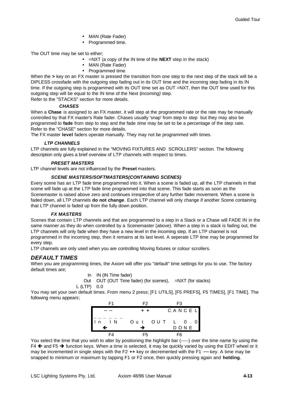- MAN (Rate Fader)
- Programmed time.

The OUT time may be set to either;

- =NXT (a copy of the IN time of the **NEXT** step in the stack)
- MAN (Rate Fader)
- Programmed time.

When the > key on an FX master is pressed the transition from one step to the next step of the stack will be a DIPLESS crossfade with the outgoing step fading out in its OUT time and the incoming step fading in its IN time. If the outgoing step is programmed with its OUT time set as OUT =NXT, then the OUT time used for this outgoing step will be equal to the IN time of the Next (*incoming)* step.

Refer to the "STACKS" section for more details.

#### *CHASES*

When a **Chase** is assigned to an FX master, it will step at the programmed rate or the rate may be manually controlled by that FX master's Rate fader. Chases usually 'snap' from step to step but they may also be programmed to **fade** from step to step and the fade *time* may be set to be a percentage of the step *rate*. Refer to the "CHASE" section for more details.

The FX master **level** faders operate manually. They may not be programmed with times.

#### *LTP CHANNELS*

LTP channels are fully explained in the "MOVING FIXTURES AND SCROLLERS" section. The following description only gives a brief overview of LTP channels with respect to times.

#### *PRESET MASTERS*

LTP channel levels are not influenced by the **Preset** masters.

#### *SCENE MASTERS/SOFTMASTERS(CONTAINING SCENES)*

Every scene has an LTP fade time programmed into it. When a scene is faded up, all the LTP channels in that scene will fade up at the LTP fade time programmed into that scene. This fade starts as soon as the Scenemaster is raised above zero and continues irrespective of any further fader movement. When a scene is faded down, all LTP channels **do not change**. Each LTP channel will only change if another Scene containing that LTP channel is faded up from the fully down position.

#### *FX MASTERS*

Scenes that contain LTP channels and that are programmed to a step in a Stack or a Chase will FADE IN in the same manner as they do when controlled by a Scenemaster (above). When a step in a stack is fading out, the LTP channels will only fade when they have a new level in the incoming step. If an LTP channel is not programmed in the incoming step, then it remains at its last level. A seperate LTP time may be programmed for every step.

LTP channels are only used when you are controlling Moving fixtures or colour scrollers.

#### *DEFAULT TIMES*

When you are programming times, the Axi*om* will offer you "default" time settings for you to use. The factory default times are;

- In IN (IN Time fader)
- Out OUT (OUT Time fader) (for scenes), =NXT (for stacks)
- L (LTP) 0.0

You may set your own default times. From menu 2 press; [F1 UTILS], [F5 PREFS], F5 TIMES], [F1 TIME]. The following menu appears;

|                           | F2.           | F3     |
|---------------------------|---------------|--------|
|                           | + +           | CANCEL |
| $\overline{N}$<br>n,<br>← | Out OUT L 0.0 | DONE   |
| ⊏⊿                        | -5            | FR     |

You select the time that you wish to alter by positioning the highlight bar (-----) over the time name by using the F4  $\blacktriangleleft$  and F5  $\rightarrow$  function keys. When a time is selected, it may be quickly varied by using the EDIT wheel or it may be incremented in single steps with the F2 **++** key or decremented with the F1 **--** key. A time may be snapped to minimum or maximum by tapping F1 or F2 once, then quickly pressing again and **holding**.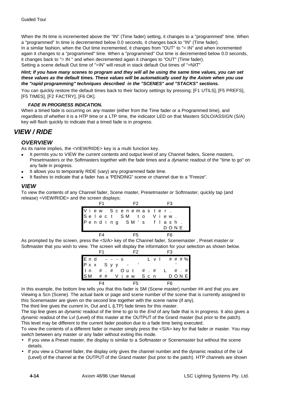When the IN time is incremented above the "IN" (Time fader) setting, it changes to a "programmed" time. When a "programmed" In time is decremented below 0.0 seconds, it changes back to "IN" (Time fader).

In a similar fashion, when the Out time incremented, it changes from "OUT" to "= IN" and when incremented again it changes to a "programmed" time. When a "programmed" Out time is decremented below 0.0 seconds, it changes back to "= IN " and when decremented again it changes to "OUT" (Time fader). Setting a scene default Out time of "=IN" will result in stack default Out times of "=NXT"

*Hint; If you have many scenes to program and they will all be using the same time values, you can set these values as the default times. These values will be automatically used by the Axiom when you use the "rapid programming" techniques described in the "SCENES" and "STACKS" sections.*

You can quickly restore the default times back to their factory settings by pressing; [F1 UTILS], [F5 PREFS], [F5 TIMES], [F2 FACTRY], [F6 OK].

#### *FADE IN PROGRESS INDICATION.*

When a timed fade is occurring on *any* master (either from the Time fader or a Programmed time), and regardless of whether it is a HTP time or a LTP time, the indicator LED on that Masters SOLO/ASSIGN (S/A) key will flash quickly to indicate that a timed fade is in progress.

## *VIEW / RIDE*

## *OVERVIEW*

As its name implies, the <VIEW/RIDE> key is a multi function key.

- It permits you to VIEW the current contents and output level of any Channel faders, Scene masters, Presetmasters or the Softmasters together with the fade times and a *dynamic* readout of the "time to go" on any fade in progress.
- It allows you to temporarily RIDE (vary) any programmed fade time.
- It flashes to indicate that a fader has a "PENDING" scene or channel due to a "Freeze".

## *VIEW*

To view the contents of any Channel fader, Scene master, Presetmaster or Softmaster, quickly tap (and release) <VIEW/RIDE> and the screen displays;

|  |  |  |  |  |  |  |  | F2. |  |                                                                |  |      |  |
|--|--|--|--|--|--|--|--|-----|--|----------------------------------------------------------------|--|------|--|
|  |  |  |  |  |  |  |  |     |  |                                                                |  |      |  |
|  |  |  |  |  |  |  |  |     |  | View Scenemaster.<br>Select SM to View.<br>Pending SM's flash. |  |      |  |
|  |  |  |  |  |  |  |  |     |  |                                                                |  |      |  |
|  |  |  |  |  |  |  |  |     |  |                                                                |  | DONE |  |
|  |  |  |  |  |  |  |  |     |  |                                                                |  |      |  |

As prompted by the screen, press the <S/A> key of the Channel fader, Scenemaster , Preset master or Softmaster that you wish to view. The screen will display the information for your selection as shown below.

|    | F2. | F3                                                                            |  |
|----|-----|-------------------------------------------------------------------------------|--|
|    |     |                                                                               |  |
|    |     |                                                                               |  |
|    |     |                                                                               |  |
|    |     | End ---s<br>Pxx Syy - 'VI ###%<br>In #.# Out #.# L #.#<br>SM ## View Scn DONE |  |
| FΔ | F5  | F6                                                                            |  |

In this example, the bottom line tells you that this fader is SM (Scene master) number ## and that you are Viewing a Scn (Scene). The actual bank or page and scene number of the scene that is currently assigned to this Scenemaster are given on the second line together with the scene name (if any).

The third line gives the current In, Out and L (LTP) fade times for this master.

The top line gives an *dynamic* readout of the time to go to the *End* of any fade that is in progress. It also gives a *dynamic* readout of the Lvl (Level) of this master at the OUTPUT of the Grand master (but prior to the patch). This level may be different to the current fader position due to a fade time being executed.

To view the contents of a different fader or master simply press the <S/A> key for that fader or master. You may switch between any master or any fader without exiting this mode.

- If you view a Preset master, the display is similar to a Softmaster or Scenemaster but without the scene details.
- If you view a Channel fader, the display only gives the channel number and the dynamic readout of the Lvl (Level) of the channel at the OUTPUT of the Grand master (but prior to the patch). HTP channels are shown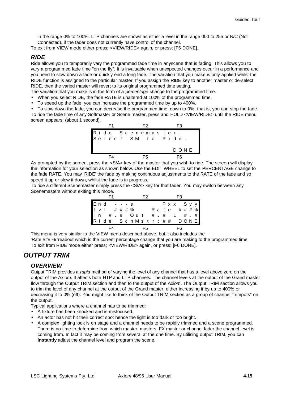in the range 0% to 100%. LTP channels are shown as either a level in the range 000 to 255 or N/C (Not Connected), if the fader does not currently have control of the channel.

To exit from VIEW mode either press; <VIEW/RIDE> again, or press; [F6 DONE].

#### *RIDE*

Ride allows you to temporarily vary the programmed fade time in anyscene that is fading. This allows you to vary a programmed fade time "on the fly". It is invaluable when unexpected changes occur in a performance and you need to slow down a fade or quickly end a long fade. The variation that you make is only applied whilst the RIDE function is assigned to the particular master. If you assign the RIDE key to another master or de-select RIDE, then the varied master will revert to its original programmed time setting.

The variation that you make is in the form of a *percentage change* to the programmed time.

- When you select RIDE, the fade RATE is unaltered at 100% of the programmed time.
- To speed up the fade, you can increase the programmed time by up to 400%.

• To slow down the fade, you can decrease the programmed time, down to 0%, that is, you can stop the fade. To ride the fade time of any Softmaster or Scene master, press and HOLD <VIEW/RIDE> until the RIDE menu screen appears, (about 1 second).

|  |  |  |  |  |  |  | F2 |  |                    |  |  |  |  | F3 |  |      |  |  |  |
|--|--|--|--|--|--|--|----|--|--------------------|--|--|--|--|----|--|------|--|--|--|
|  |  |  |  |  |  |  |    |  | Ride Scenemaster.  |  |  |  |  |    |  |      |  |  |  |
|  |  |  |  |  |  |  |    |  | Select SM to Ride. |  |  |  |  |    |  |      |  |  |  |
|  |  |  |  |  |  |  |    |  |                    |  |  |  |  |    |  | DONE |  |  |  |
|  |  |  |  |  |  |  |    |  |                    |  |  |  |  |    |  |      |  |  |  |

As prompted by the screen, press the <S/A> key of the master that you wish to ride. The screen will display the information for your selection as shown below. Use the EDIT WHEEL to set the PERCENTAGE change to the fade RATE. You may 'RIDE' the fade by making continuous adjustments to the RATE of the fade and so speed it up or slow it down, whilst the fade is in progress.

To ride a different Scenemaster simply press the <S/A> key for that fader. You may switch between any Scenemasters without exiting this mode.

|  |  |  |  |  |  |  |  |  | F2. |  |  |  |  |  | F3 |  |  |                                                                                |
|--|--|--|--|--|--|--|--|--|-----|--|--|--|--|--|----|--|--|--------------------------------------------------------------------------------|
|  |  |  |  |  |  |  |  |  |     |  |  |  |  |  |    |  |  | End ---s<br>Lvl ###% Rate ###%<br>In #.# Out #.# L #.#<br>Ride ScnMstr:## DONE |
|  |  |  |  |  |  |  |  |  |     |  |  |  |  |  |    |  |  |                                                                                |
|  |  |  |  |  |  |  |  |  |     |  |  |  |  |  |    |  |  |                                                                                |
|  |  |  |  |  |  |  |  |  |     |  |  |  |  |  |    |  |  |                                                                                |
|  |  |  |  |  |  |  |  |  |     |  |  |  |  |  |    |  |  |                                                                                |

This menu is very similar to the VIEW menu described above, but it also includes the 'Rate ### % 'readout which is the current percentage change that you are making to the programmed time. To exit from RIDE mode either press; <VIEW/RIDE> again, or press; [F6 DONE].

## *OUTPUT TRIM*

#### *OVERVIEW*

Output TRIM provides a *rapid* method of varying the level of any channel that has a level above zero on the output of the Axi*om*. It affects both HTP and LTP channels. The channel levels at the output of the Grand master flow through the Output TRIM section and then to the output of the Axiom. The Output TRIM section allows you to trim the level of any channel at the output of the Grand master, either increasing it by up to 400% or decreasing it to 0% (off). You might like to think of the Output TRIM section as a group of channel "trimpots" on the output.

Typical applications where a channel has to be trimmed;

- A fixture has been knocked and is misfocused.
- An actor has not hit their correct spot hence the light is too dark or too bright.
- A complex lighting look is on stage and a channel needs to be rapidly trimmed and a scene programmed. There is no time to determine from which master, masters, FX master or channel fader the channel level is coming from. In fact it may be coming from several at the one time. By utilising output TRIM, you can **instantly** adjust the channel level and program the scene.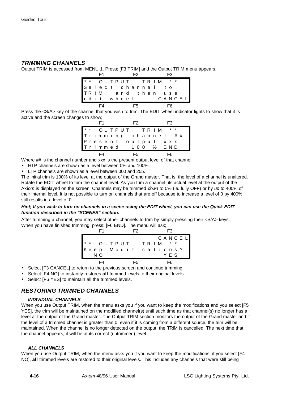## *TRIMMING CHANNELS*

Output TRIM is accessed from MENU 1. Press; [F3 TRIM] and the Output TRIM menu appears.

|  | <sup>*</sup> * OUTPUT TRIM |  |  |  |  |  |  |  |         |
|--|----------------------------|--|--|--|--|--|--|--|---------|
|  | Select channel to          |  |  |  |  |  |  |  |         |
|  | TRIM and then use          |  |  |  |  |  |  |  |         |
|  | edit wheel.                |  |  |  |  |  |  |  | CANCE L |
|  |                            |  |  |  |  |  |  |  |         |

Press the <S/A> key of the channel that you wish to trim. The EDIT wheel indicator lights to show that it is active and the screen changes to show;

|  |  |  |                                                                |  |  |     |  |  | F2. |  |  |  |  |  | F3 |  |  |  |
|--|--|--|----------------------------------------------------------------|--|--|-----|--|--|-----|--|--|--|--|--|----|--|--|--|
|  |  |  | ** OUTPUT TRIM **                                              |  |  |     |  |  |     |  |  |  |  |  |    |  |  |  |
|  |  |  | Trimming channel ##<br>Present output xxx<br>Trimmed 100 % END |  |  |     |  |  |     |  |  |  |  |  |    |  |  |  |
|  |  |  |                                                                |  |  |     |  |  |     |  |  |  |  |  |    |  |  |  |
|  |  |  |                                                                |  |  |     |  |  |     |  |  |  |  |  |    |  |  |  |
|  |  |  |                                                                |  |  | F5. |  |  |     |  |  |  |  |  |    |  |  |  |

Where ## is the channel number and xxx is the present output level of that channel.

- HTP channels are shown as a level between 0% and 100%.
- LTP channels are shown as a level between 000 and 255.

The initial trim is 100% of its level at the output of the Grand master. That is, the level of a channel is unaltered. Rotate the EDIT wheel to trim the channel level. As you trim a channel, its actual level at the output of the Axi*om* is displayed on the screen. Channels may be trimmed *down* to 0% (ie. fully OFF) or by *up* to 400% of their internal level. It is not possible to turn on channels that are off because to increase a level of 0 by 400% still results in a level of 0.

#### *Hint; If you wish to turn on channels in a scene using the EDIT wheel, you can use the Quick EDIT function described in the "SCENES" section.*

After trimming a channel, you may select other channels to trim by simply pressing their <S/A> keys. When you have finished trimming, press; [F6 END]. The menu will ask;

|     |               | F3                  |
|-----|---------------|---------------------|
|     |               | CANCEL              |
|     | * OUTPUT TRIM | $\star$ $\star$     |
|     |               | Keep Modifications? |
| N O |               | YFS                 |
|     |               |                     |

- Select [F3 CANCEL] to return to the previous screen and continue trimming
- Select [F4 NO] to instantly restores **all** trimmed levels to their original levels.
- Select IF6 YESI to maintain all the trimmed levels.

## *RESTORING TRIMMED CHANNELS*

#### *INDIVIDUAL CHANNELS*

When you use Output TRIM, when the menu asks you if you want to keep the modifications and you select [F5 YES], the trim will be maintained on the modified channel(s) until such time as that channel(s) no longer has a level at the output of the Grand master. The Output TRIM section monitors the output of the Grand master and if the level of a trimmed channel is greater than 0, even if it is coming from a different source, the trim will be maintained. When the channel is no longer detected on the output, the TRIM is cancelled. The next time that the channel appears, it will be at its correct (untrimmed) level.

#### *ALL CHANNELS*

When you use Output TRIM, when the menu asks you if you want to keep the modifications, if you select [F4 NO], **all** trimmed levels are restored to their original levels. This includes any channels that were still being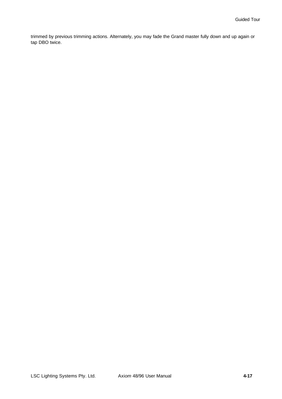trimmed by previous trimming actions. Alternately, you may fade the Grand master fully down and up again or tap DBO twice.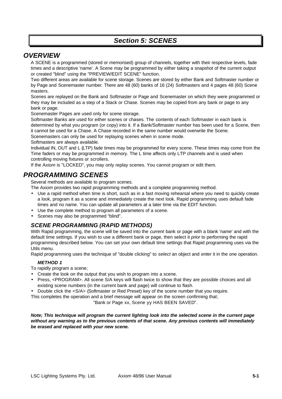# *Section 5: SCENES*

# *OVERVIEW*

A SCENE is a programmed (stored or memorised) group of channels, together with their respective levels, fade times and a descriptive 'name'. A Scene may be programmed by either taking a snapshot of the current output or created "blind" using the "PREVIEW/EDIT SCENE" function.

Two different areas are available for scene storage. Scenes are stored by either Bank and Softmaster number or by Page and Scenemaster number. There are 48 (60) banks of 16 (24) Softmasters and 4 pages 48 (60) Scene masters.

Scenes are replayed on the Bank and Softmaster or Page and Scenemaster on which they were programmed or they may be included as a step of a Stack or Chase. Scenes may be copied from any bank or page to any bank or page.

Scenemaster Pages are used only for scene storage.

Softmaster Banks are used for either scenes or chases. The contents of each Softmaster in each bank is determined by what you program (or copy) into it. If a Bank/Softmaster number has been used for a Scene, then it cannot be used for a Chase. A Chase recorded in the same number would overwrite the Scene.

Scenemasters can only be used for replaying scenes when in scene mode.

Softmasters are always available.

Individual IN, OUT and L (LTP) fade times may be programmed for every scene. These times may come from the Time faders or may be programmed in memory. The L time affects only LTP channels and is used when controlling moving fixtures or scrollers.

If the Axi*om* is "LOCKED", you may only replay scenes. You cannot program or edit them.

# *PROGRAMMING SCENES*

Several methods are available to program scenes.

The Axi*om* provides two rapid programming methods and a complete programming method.

- Use a rapid method when time is short, such as in a fast moving rehearsal where you need to quickly create a look, program it as a scene and immediately create the next look. Rapid programming uses default fade times and no name. You can update all parameters at a later time via the EDIT function.
- Use the complete method to program all parameters of a scene.
- Scenes may also be programmed "blind".

## *SCENE PROGRAMMING (RAPID METHODS)*

With Rapid programming, the scene will be saved into the *current* bank or page with a blank 'name' and with the default time settings. If you wish to use a different bank or page, then select it *prior* to performing the rapid programming described below. You can set your own default time settings that Rapid programming uses via the Utils menu.

Rapid programming uses the technique of "double clicking" to *select* an object and *enter* it in the one operation.

### *METHOD 1*

To rapidly program a scene;

- Create the look on the output that you wish to program into a scene.
- Press, <PROGRAM>. All scene S/A keys will flash twice to show that they are possible choices and all existing scene numbers (in the current bank and page) will continue to flash.
- Double click the <S/A> (Softmaster or Red Preset) key of the scene number that you require.
- This completes the operation and a brief message will appear on the screen confirming that;

"Bank or Page xx, Scene yy HAS BEEN SAVED".

*Note; This technique will program the current lighting look into the selected scene in the current page without any warning as to the previous contents of that scene. Any previous contents will immediately be erased and replaced with your new scene.*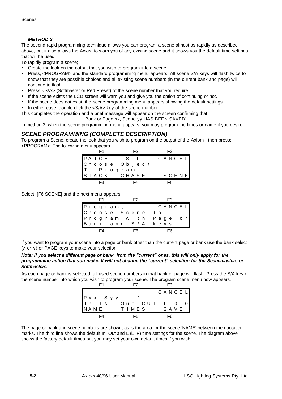### *METHOD 2*

The second rapid programming technique allows you can program a scene almost as rapidly as described above, but it also allows the Axi*om* to warn you of any exising scene and it shows you the default time settings that will be used.

To rapidly program a scene;

- Create the look on the output that you wish to program into a scene.
- Press, <PROGRAM> and the standard programming menu appears. All scene S/A keys will flash twice to show that they are possible choices and all existing scene numbers (in the current bank and page) will continue to flash.
- Press <S/A> (Softmaster or Red Preset) of the scene number that you require
- If the scene exists the LCD screen will warn you and give you the option of continuing or not.
- If the scene does not exist, the scene programming menu appears showing the default settings.
- In either case, double click the <S/A> key of the scene number
- This completes the operation and a brief message will appear on the screen confirming that;

"Bank or Page xx, Scene yy HAS BEEN SAVED".

In method 2, when the scene programming menu appears, you may program the times or name if you desire.

### *SCENE PROGRAMMING (COMPLETE DESCRIPTION)*

To program a Scene, create the look that you wish to program on the output of the Axiom , then press; <PROGRAM>. The following menu appears;

| F1                                                                   | F2.  | F3 |
|----------------------------------------------------------------------|------|----|
| PATCH STL CANCEL<br>Choose Object<br>To Program<br>STACK CHASE SCENE |      |    |
|                                                                      |      |    |
|                                                                      |      |    |
|                                                                      |      |    |
|                                                                      | $-5$ | FR |

Select; [F6 SCENE] and the next menu appears;

|                   |     | F3                   |
|-------------------|-----|----------------------|
| Program;          |     | CANCEL               |
| Choose Scene to   |     |                      |
|                   |     | Program with Page or |
| Bank and S/A keys |     |                      |
|                   | F5. |                      |

If you want to program your scene into a page or bank other than the current page or bank use the bank select (∧ or ∨) or PAGE keys to make your selection.

#### *Note; If you select a different page or bank from the "current" ones, this will only apply for the programming action that you make. It will not change the "current" selection for the Scenemasters or Softmasters.*

As each page or bank is selected, all used scene numbers in that bank or page will flash. Press the S/A key of the scene number into which you wish to program your scene. The program scene menu now appears,

|                  |                | F3     |
|------------------|----------------|--------|
|                  |                | CANCEL |
|                  |                |        |
| Pxx Syy<br>In IN | Out OUT L 0.01 |        |
| NAME             | TIMES          | SAVE   |
|                  | ᄄ              |        |

The page or bank and scene numbers are shown, as is the area for the scene 'NAME' between the quotation marks. The third line shows the default In, Out and L (LTP) time settings for the scene. The diagram above shows the factory default times but you may set your own default times if you wish.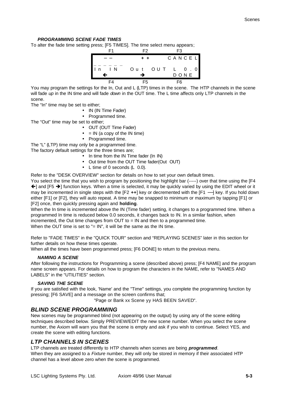### *PROGRAMMING SCENE FADE TIMES*

To alter the fade time setting press; [F5 TIMES]. The time select menu appears;



You may program the settings for the In, Out and L (LTP) times in the scene. The HTP channels in the scene will fade *up* in the IN time and will fade *down* in the OUT time. The L time affects only LTP channels in the scene.

The "In" time may be set to either;

- IN (IN Time Fader)
- Programmed time.
- The "Out" time may be set to either;
	- OUT (OUT Time Fader)
	- $=$  IN (a copy of the IN time)
	- Programmed time.

The "L" (LTP) time may only be a programmed time.

The factory default settings for the three times are;

- In time from the IN Time fader (In IN)
- Out time from the OUT Time fader(Out OUT)
- L time of 0 seconds (L 0.0).

Refer to the "DESK OVERVIEW" section for details on how to set your own default times.

You select the time that you wish to program by positioning the highlight bar (-----) over that time using the [F4  $\blacktriangle$ ] and [F5  $\blacktriangleright$ ] function keys. When a time is selected, it may be quickly varied by using the EDIT wheel or it may be incremented in single steps with the [F2 **++**] key or decremented with the [F1 **--**] key. If you hold down either [F1] or [F2], they will auto repeat. A time may be snapped to minimum or maximum by tapping [F1] or [F2] once, then quickly pressing again and **holding**.

When the In time is incremented above the IN (Time fader) setting, it changes to a programmed time. When a programmed In time is reduced below 0.0 seconds, it changes back to IN. In a similar fashion, when incremented, the Out time changes from OUT to  $=$  IN and then to a programmed time. When the OUT time is set to  $" = IN"$ , it will be the same as the IN time.

Refer to "FADE TIMES" in the "QUICK TOUR" section and "REPLAYING SCENES" later in this section for further details on how these times operate.

When all the times have been programmed press; [F6 DONE] to return to the previous menu.

### *NAMING A SCENE*

After following the instructions for Programming a scene (described above) press; [F4 NAME] and the program name screen appears. For details on how to program the characters in the NAME, refer to "NAMES AND LABELS" in the "UTILITIES" section.

### *SAVING THE SCENE*

If you are satisfied with the look, 'Name' and the "Time" settings, you complete the programming function by pressing; [F6 SAVE] and a message on the screen confirms that;

"Page or Bank xx Scene yy HAS BEEN SAVED".

## *BLIND SCENE PROGRAMMING*

New scenes may be programmed blind (not appearing on the output) by using any of the scene editing techniques described below. Simply PREVIEW/EDIT the new scene number. When you select the scene number, the Axi*om* will warn you that the scene is empty and ask if you wish to continue. Select YES, and create the scene with editing functions.

### *LTP CHANNELS IN SCENES*

LTP channels are treated differently to HTP channels when scenes are being *programmed*. When they are assigned to a *Fixture* number, they will only be stored in memory if their associated HTP channel has a level above zero when the scene is programmed.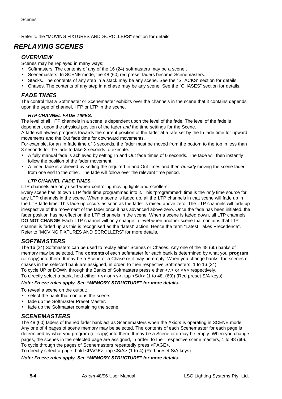Refer to the "MOVING FIXTURES AND SCROLLERS" section for details.

# *REPLAYING SCENES*

### *OVERVIEW*

Scenes may be replayed in many ways;

- Softmasters. The contents of any of the 16 (24) softmasters may be a scene..
- Scenemasters. In SCENE mode, the 48 (60) red preset faders become Scenemasters.
- Stacks. The contents of any step in a stack may be any scene. See the "STACKS" section for details.
- Chases. The contents of any step in a chase may be any scene. See the "CHASES" section for details.

### *FADE TIMES*

The control that a Softmaster or Scenemaster exhibits over the channels in the scene that it contains depends upon the type of channel, HTP or LTP in the scene.

### *HTP CHANNEL FADE TIMES.*

The level of all HTP channels in a scene is dependent upon the level of the fade. The level of the fade is dependent upon the physical position of the fader *and* the time settings for the Scene.

A fade will always progress towards the current position of the fader at a rate set by the In fade time for upward movements and the Out fade time for downward movements.

For example, for an In fade time of 3 seconds, the fader must be moved from the bottom to the top in less than 3 seconds for the fade to take 3 seconds to execute.

- A fully manual fade is achieved by setting In and Out fade times of 0 seconds. The fade will then instantly follow the position of the fader movement.
- A timed fade is achieved by setting the required In and Out times and then *quickly* moving the scene fader from one end to the other. The fade will follow over the relevant time period.

### *LTP CHANNEL FADE TIMES*

LTP channels are only used when controling moving lights and scrollers.

Every scene has its own LTP fade time programmed into it. This "programmed" time is the *only* time source for any LTP channels in the scene. When a scene is faded up, all the LTP channels in that scene will fade up in the LTP fade time. This fade up occurs as soon as the fader is raised above zero. The LTP channels will fade up irrespective of the movement of the fader once it has advanced above zero. Once the fade has been initiated, the fader position has no effect on the LTP channels in the scene. When a scene is faded down, all LTP channels **DO NOT CHANGE**. Each LTP channel will only change in level when another scene that contains that LTP channel is faded up as this is recognised as the "latest" action. Hence the term "Latest Takes Precedence". Refer to "MOVING FIXTURES AND SCROLLERS" for more details.

### *SOFTMASTERS*

The 16 (24) Softmasters can be used to replay either Scenes or Chases. Any one of the 48 (60) banks of memory may be selected. The **contents** of each softmaster for each bank is determined by what you **program** (or copy) into them. It may be a Scene or a Chase or it may be empty. When you change banks, the scenes or chases in the selected bank are assigned, in order, to their respective Softmasters, 1 to 16 (24). To cycle UP or DOWN through the Banks of Softmasters press either <∧> or <∨> respectively. To directly select a bank, hold either <∧> or <∨>, tap <S/A> (1 to 48, (60)) (Red preset S/A keys)

### *Note; Freeze rules apply. See "MEMORY STRUCTURE" for more details.*

To reveal a scene on the output;

- select the bank that contains the scene.
- fade up the Softmaster Preset Master.
- fade up the Softmaster containing the scene.

### *SCENEMASTERS*

The 48 (60) faders of the red fader bank act as Scenemasters when the Axi*om* is operating in SCENE mode. Any one of 4 pages of scene memory may be selected. The contents of each Scenemaster for each page is determined by what you program (or copy) into them. It may be a Scene or it may be empty. When you change pages, the scenes in the selected page are assigned, in order, to their respective scene masters, 1 to 48 (60). To cycle through the pages of Scenemasters repeatedly press <PAGE>.

To directly select a page, hold <PAGE>, tap <S/A> (1 to 4) (Red preset S/A keys)

*Note; Freeze rules apply. See "MEMORY STRUCTURE" for more details.*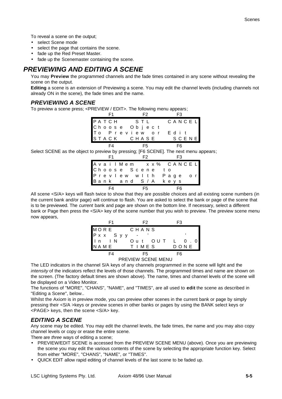To reveal a scene on the output;

- select Scene mode
- select the page that contains the scene.
- fade up the Red Preset Master.
- fade up the Scenemaster containing the scene.

# *PREVIEWING AND EDITING A SCENE*

You may **Preview** the programmed channels and the fade times contained in any scene without revealing the scene on the output.

**Editing** a scene is an extension of Previewing a scene. You may edit the channel levels (including channels not already ON in the scene), the fade times and the name.

## *PREVIEWING A SCENE*

To preview a scene press; <PREVIEW / EDIT>. The following menu appears;

| E1            | F2.                 | F3    |
|---------------|---------------------|-------|
|               | PATCH STL CANCEL    |       |
| Choose Object |                     |       |
|               | lTo Preview or Edit |       |
| STACK CHASE   |                     | SCENE |
|               | F5                  | FR    |

Select SCENE as the object to preview by pressing; [F6 SCENE]. The next menu appears;

|  |  |  | F2. |  |  |     |  |                                                                                     |  | F3 |  |  |
|--|--|--|-----|--|--|-----|--|-------------------------------------------------------------------------------------|--|----|--|--|
|  |  |  |     |  |  |     |  | AvailMem xx% CANCEL<br>Choose Scene to<br>Prevlew with Page or<br>Bank and S/A keys |  |    |  |  |
|  |  |  |     |  |  |     |  |                                                                                     |  |    |  |  |
|  |  |  |     |  |  |     |  |                                                                                     |  |    |  |  |
|  |  |  |     |  |  |     |  |                                                                                     |  |    |  |  |
|  |  |  |     |  |  | F5. |  |                                                                                     |  |    |  |  |

All scene <S/A> keys will flash twice to show that they are possible choices and all existing scene numbers (in the current bank and/or page) will continue to flash. You are asked to select the bank or page of the scene that is to be previewed. The *current* bank and page are shown on the bottom line. If necessary, select a different bank or Page then press the <S/A> key of the scene number that you wish to preview. The preview scene menu now appears,

| F2                                                                                      | Ε3 |
|-----------------------------------------------------------------------------------------|----|
|                                                                                         |    |
|                                                                                         |    |
|                                                                                         |    |
| MORE CHANS<br>Pxx Syy - '<br>In IN Out OUT L 0.0<br>NAME TIMES DONE<br>T I <u>M E S</u> |    |
| F5                                                                                      | Fĥ |

PREVIEW SCENE MENU

The LED indicators in the channel S/A keys of any channels programmed in the scene will light and the *intensity* of the indicators reflect the levels of those channels. The programmed times and name are shown on the screen. (The factory default times are shown above). The name, times and channel levels of the scene will be displayed on a Video Monitor.

The functions of "MORE", "CHANS", "NAME", and "TIMES", are all used to **edit** the scene as described in "Editing a Scene", below..

Whilst the Axi*om* is in preview mode, you can preview other scenes in the current bank or page by simply pressing their <S/A >keys or preview scenes in other banks or pages by using the BANK select keys or <PAGE> keys, then the scene <S/A> key.

## *EDITING A SCENE*

Any scene may be edited. You may edit the channel levels, the fade times, the name and you may also copy channel levels or copy or erase the entire scene.

There are *three* ways of editing a scene;

- PREVIEW/EDIT SCENE is accessed from the PREVIEW SCENE MENU (above). Once you are previewing the scene you may edit the various contents of the scene by selecting the appropriate function key. Select from either "MORE", "CHANS", "NAME", or "TIMES".
- QUICK EDIT allow rapid editing of channel levels of the last scene to be faded up.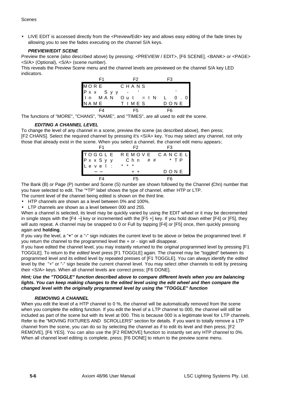• LIVE EDIT is accessed directly from the <Preview/Edit> key and allows easy editing of the fade times by allowing you to see the fades executing on the channel S/A keys.

### *PREVIEW/EDIT SCENE*

Preview the scene (also described above) by pressing; <PREVIEW / EDIT>, [F6 SCENE], <BANK> or <PAGE> <S/A> (Optional), <S/A> (scene number).

This reveals the Preview Scene menu and the channel levels are previewed on the channel S/A key LED indicators.

|             | F2.                                                                                                                                                                                                          | F3   |
|-------------|--------------------------------------------------------------------------------------------------------------------------------------------------------------------------------------------------------------|------|
| MORE        | C H A N S                                                                                                                                                                                                    |      |
|             |                                                                                                                                                                                                              |      |
|             | $\begin{array}{ccccccccc}\n\textsf{P} \times \times & \textsf{S} \textsf{y} \textsf{y} & - & \cdot & & \cdot \\ \textsf{In} & \textsf{MAN} & \textsf{Out} & = \textsf{IN} & \textsf{L} & 0 & 0\n\end{array}$ |      |
| <b>NAME</b> | TIMES                                                                                                                                                                                                        | DONE |
|             |                                                                                                                                                                                                              |      |

The functions of "MORE", "CHANS", "NAME", and "TIMES", are all used to *edit* the scene.

### *EDITING A CHANNEL LEVEL*

To change the level of any channel in a scene, preview the scene (as described above), then press; [F2 CHANS]. Select the required channel by pressing it's <S/A> key. You may select any channel, not only those that already exist in the scene. When you select a channel, the channel edit menu appears;

|                                            | F2      | F3                   |
|--------------------------------------------|---------|----------------------|
|                                            |         | TOGGLE REMOVE CANCEL |
| P x x S y y C h n # #<br>L e v e l : * * * |         | * T P                |
|                                            |         |                      |
|                                            | $+$ $+$ | DONE                 |
|                                            |         |                      |

The Bank (B) or Page (P) number and Scene (S) number are shown followed by the Channel (Chn) number that you have selected to edit. The "\*TP" label shows the type of channel, either HTP or LTP.

The current level of the channel being edited is shown on the third line.

• HTP channels are shown as a level between 0% and 100%.

• LTP channels are shown as a level between 000 and 255.

When a channel is selected, its level may be quickly varied by using the EDIT wheel or it may be decremented in single steps with the [F4 −] key or incremented with the [F5 +] key. If you hold down either [F4] or [F5], they will auto repeat. A channel may be snapped to 0 or Full by tapping [F4] or [F5] once, then quickly pressing again and **holding**.

If you vary the level, a "**+**" or a "**-**" sign indicates the current level to be above or below the programmed level. If you return the channel to the programmed level the + or - sign will disappear.

If you have edited the channel level, you may instantly returned to the *original* programmed level by pressing [F1 TOGGLE]. To return to the *edited* level press [F1 TOGGLE] again. The channel may be "toggled" between its programmed level and its edited level by repeated presses of [F1 TOGGLE]. You can always identify the *edited* level by the "+" or "-" sign beside the current channel level. You may select other channels to edit by pressing their <S/A> keys. When all channel levels are correct press; [F6 DONE].

### *Hint; Use the "TOGGLE" function described above to compare different levels when you are balancing lights. You can keep making changes to the edited level using the edit wheel and then compare the changed level with the originally programmed level by using the "TOGGLE" function*

### *REMOVING A CHANNEL*

When you edit the level of a HTP channel to 0 %, the channel will be automatically removed from the scene when you complete the editing function. If you edit the level of a LTP channel to 000, the channel will still be included as part of the scene but with its level at 000. This is because 000 is a legitimate level for LTP channels. Refer to the "MOVING FIXTURES AND SCROLLERS" section for details. If you want to totally remove a LTP channel from the scene, you can do so by selecting the channel as if to edit its level and then press; [F2 REMOVE], [F6 YES]. You can also use the [F2 REMOVE] function to instantly set any HTP channel to 0%. When all channel level editing is complete, press; [F6 DONE] to return to the preview scene menu.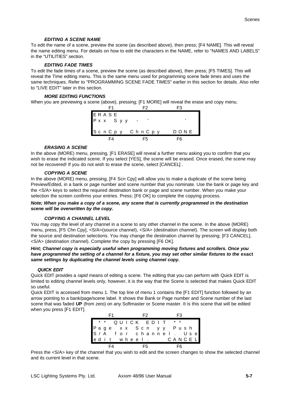### *EDITING A SCENE NAME*

To edit the name of a scene, preview the scene (as described above), then press; [F4 NAME]. This will reveal the name editing menu. For details on how to edit the characters in the NAME, refer to "NAMES AND LABELS" in the "UTILITIES" section.

#### *EDITING FADE TIMES*

To edit the fade times of a scene, preview the scene (as described above), then press; [F5 TIMES]. This will reveal the Time editing menu. This is the same menu used for programming scene fade times and uses the same techniques. Refer to "PROGRAMMING SCENE FADE TIMES" earlier in this section for details. Also refer to "LIVE EDIT" later in this section.

#### *MORE EDITING FUNCTIONS*

When you are previewing a scene (above), pressing; [F1 MORE] will reveal the erase and copy menu.



### *ERASING A SCENE*

In the above (MORE) menu, pressing, [F1 ERASE] will reveal a further menu asking you to confirm that you wish to erase the indicated scene. If you select [YES], the scene will be erased. Once erased, the scene may not be recovered! If you do not wish to erase the scene, select [CANCEL] .

#### *COPYING A SCENE*

In the above (MORE) menu, pressing, [F4 Scn Cpy] will allow you to make a duplicate of the scene being Preview/Edited, in a bank or page number and scene number that you nominate. Use the bank or page key and the <S/A> keys to select the required destination bank or page and scene number. When you make your selection the screen confirms your entries. Press; [F6 OK] to complete the copying process.

#### *Note; When you make a copy of a scene, any scene that is currently programmed in the destination scene will be overwritten by the copy.*

### *COPYING A CHANNEL LEVEL*

You may copy the level of any channel in a scene to any other channel in the scene. In the above (MORE) menu, press, [F5 Chn Cpy], <S/A>(source channel), <S/A> (destination channel). The screen will display both the source and destination selections. You may change the destination channel by pressing; [F3 CANCEL], <S/A> (destination channel). Complete the copy by pressing [F6 OK].

#### *Hint; Channel copy is especially useful when programming moving fixtures and scrollers. Once you have programmed the setting of a channel for a fixture, you may set other similar fixtures to the exact same settings by duplicating the channel levels using channel copy.*

### *QUICK EDIT*

Quick EDIT provides a *rapid* means of editing a scene. The editing that you can perform with Quick EDIT is limited to editing channel levels only, however, it is the way that the Scene is selected that makes Quick EDIT so useful.

Quick EDIT is accessed from menu 1. The top line of menu 1 contains the [F1 EDIT] function followed by an arrow pointing to a bank/page/scene label. It shows the Bank or Page number and Scene number of the last scene that was faded **UP** (from zero) on any Softmaster or Scene master. It is this scene that will be edited when you press [F1 EDIT].

|                                             |  | F1 |                    |  | F2.              |  |  |  |  |  | F3 |  |  |        |
|---------------------------------------------|--|----|--------------------|--|------------------|--|--|--|--|--|----|--|--|--------|
|                                             |  |    | * * QUICK EDIT * * |  |                  |  |  |  |  |  |    |  |  |        |
| Page xx Scn yy Push<br>S/A for channel. Use |  |    |                    |  |                  |  |  |  |  |  |    |  |  |        |
|                                             |  |    |                    |  |                  |  |  |  |  |  |    |  |  |        |
|                                             |  |    |                    |  |                  |  |  |  |  |  |    |  |  | CANCEL |
|                                             |  |    |                    |  | edit wheel.<br>ᄄ |  |  |  |  |  |    |  |  |        |

Press the <S/A> key of the channel that you wish to edit and the screen changes to show the selected channel and its current level in that scene.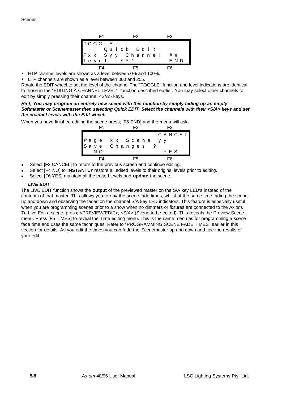

• HTP channel levels are shown as a level between 0% and 100%.

LTP channels are shown as a level between 000 and 255.

Rotate the EDIT wheel to set the level of the channel.The "TOGGLE" function and level indications are identical to those in the "EDITING A CHANNEL LEVEL" function described earlier. You may select other channels to edit by simply pressing their channel <S/A> keys.

*Hint; You may program an entirely new scene with this function by simply fading up an empty Softmaster or Scenemaster then selecting Quick EDIT. Select the channels with their <S/A> keys and set the channel levels with the Edit wheel.*

When you have finished editing the scene press; [F6 END] and the menu will ask;

|  |                               |  |  |  |  |  |  |  |  |  |  |     | CANCEL |  |  |
|--|-------------------------------|--|--|--|--|--|--|--|--|--|--|-----|--------|--|--|
|  | Page xx Scene<br>Save Changes |  |  |  |  |  |  |  |  |  |  |     |        |  |  |
|  |                               |  |  |  |  |  |  |  |  |  |  |     |        |  |  |
|  | N O                           |  |  |  |  |  |  |  |  |  |  | YES |        |  |  |
|  |                               |  |  |  |  |  |  |  |  |  |  |     |        |  |  |

- Select [F3 CANCEL] to return to the previous screen and continue editing.
- Select [F4 NO] to **INSTANTLY** restore all edited levels to their original levels prior to editing.
- <sup>l</sup> Select [F6 YES] maintain all the edited levels and **update** the scene.

### *LIVE EDIT*

The LIVE EDIT function shows the **output** of the previewed master on the S/A key LED's instead of the contents of that master. This allows you to *edit* the scene fade times, whilst at the same time fading the scene up and down and observing the fades on the channel S/A key LED indicators. This feature is especially useful when you are programming scenes prior to a show when no dimmers or fixtures are connected to the Axi*om*. To Live Edit a scene, press; <PREVIEW/EDIT>, <S/A> (Scene to be edited). This reveals the Preview Scene menu. Press [F5 TIMES] to reveal the Time editing menu. This is the same menu as for programming a scene fade time and uses the same techniques. Refer to "PROGRAMMING SCENE FADE TIMES" earlier in this section for details. As you edit the times you can fade the Scenemaster up and down and see the results of your edit.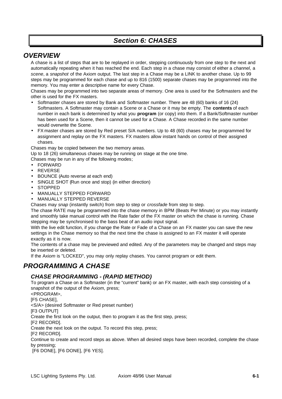# *Section 6: CHASES*

# *OVERVIEW*

A chase is a list of steps that are to be replayed in order, stepping continuously from one step to the next and automatically repeating when it has reached the end. Each step in a chase may consist of either a *channel*, a *scene*, a *snapshot* of the Axi*om* output. The last step in a Chase may be a LINK to another chase. Up to 99 steps may be programmed for each chase and up to 816 (1500) separate chases may be programmed into the memory. You may enter a descriptive name for every Chase.

Chases may be programmed into two separate areas of memory. One area is used for the Softmasters and the other is used for the FX masters.

- Softmaster chases are stored by Bank and Softmaster number. There are 48 (60) banks of 16 (24) Softmasters. A Softmaster may contain a Scene or a Chase or it may be empty. The **contents** of each number in each bank is determined by what you **program** (or copy) into them. If a Bank/Softmaster number has been used for a Scene, then it cannot be used for a Chase. A Chase recorded in the same number would overwrite the Scene.
- FX master chases are stored by Red preset S/A numbers. Up to 48 (60) chases may be programmed for assignment and replay on the FX masters. FX masters allow instant hands on control of their assigned chases.

Chases may be copied between the two memory areas.

Up to 18 (26) simultaneous chases may be running on stage at the one time.

Chases may be run in any of the following modes;

- FORWARD
- REVERSE
- BOUNCE (Auto reverse at each end)
- SINGLE SHOT (Run once and stop) (in either direction)
- STOPPED
- MANUALLY STEPPED FORWARD
- MANUALLY STEPPED REVERSE

Chases may *snap* (instantly switch) from step to step or *crossfade* from step to step.

The chase RATE may be programmed into the chase memory in BPM (Beats Per Minute) or you may instantly and smoothly take manual control with the Rate fader of the FX master on which the chase is running. Chase stepping may be synchronised to the bass beat of an audio input signal.

With the live edit function, if you change the Rate or Fade of a Chase on an FX master you can save the new settings in the Chase memory so that the next time the chase is assigned to an FX master it will operate exactly as it is now.

The contents of a chase may be previewed and edited. Any of the parameters may be changed and steps may be inserted or deleted.

If the Axi*om* is "LOCKED", you may only replay chases. You cannot program or edit them.

# *PROGRAMMING A CHASE*

## *CHASE PROGRAMMING - (RAPID METHOD)*

To program a Chase on a Softmaster (in the "current" bank) or an FX master, with each step consisting of a snapshot of the output of the Axi*om*, press;

<PROGRAM>,

[F5 CHASE], <S/A> (desired Softmaster or Red preset number)

**IF3 OUTPUTI** 

Create the first look on the output, then to program it as the first step, press;

[F2 RECORD].

Create the next look on the output. To record this step, press;

[F2 RECORD].

Continue to create and record steps as above. When all desired steps have been recorded, complete the chase by pressing;

[F6 DONE], [F6 DONE], [F6 YES].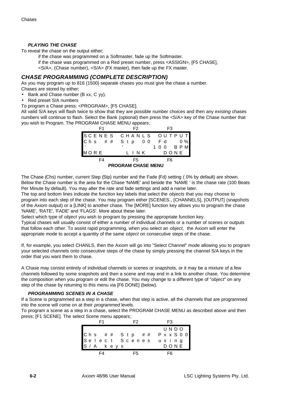### *PLAYING THE CHASE*

To reveal the chase on the output either;

if the chase was programmed on a Softmaster, fade up the Softmaster.

if the chase was programmed on a Red preset number, press <ASSIGN>, [F5 CHASE],

<S/A>, (Chase number), <S/A> (FX master), then fade up the FX master.

### *CHASE PROGRAMMING (COMPLETE DESCRIPTION)*

As you may program up to 816 (1500) separate chases you must give the chase a number. Chases are stored by either;

- Bank and Chase number (B xx, C yy).
- Red preset S/A numbers

To program a Chase press; <PROGRAM>, [F5 CHASE].

All valid S/A keys will flash twice to show that they are possible number choices and then any *existing* chases numbers will continue to flash. Select the Bank (optional) then press the <S/A> key of the Chase number that you wish to Program. The PROGRAM CHASE MENU appears;

|      | F2                        | F3                                          |
|------|---------------------------|---------------------------------------------|
|      |                           |                                             |
|      |                           | SCENES CHANLS OUTPUT<br>Chs ## Stp 00 Fd 0% |
|      |                           | 100 BPM                                     |
| MORE | LINK                      | DONE                                        |
| FΔ   | F5                        | F6                                          |
|      | <b>PROGRAM CHASE MENU</b> |                                             |

The Chase (Chs) number, current Step (Stp) number and the Fade (Fd) setting ( 0% by default) are shown. Below the Chase number is the area for the Chase 'NAME' and beside the 'NAME ' is the chase rate (100 Beats Per Minute by default). You may alter the rate and fade settings and add a name later.

The top and bottom lines indicate the function key labels that select the *objects* that you may choose to program into each step of the chase. You may program either [SCENES., [CHANNELS], [OUTPUT] (snapshots of the Axi*om* output) or a [LINK] to another chase. The [MORE] function key allows you to program the chase 'NAME', 'RATE', 'FADE' and 'FLAGS'. More about these later.

Select which type of *object* you wish to program by pressing the appropriate function key.

Typical chases will usually consist of either a number of individual channels or a number of scenes or outputs that follow each other. To assist rapid programming, when you select an *object*, the Axi*om* will enter the appropriate mode to accept a quantity of the same *object* on consecutive steps of the chase.

If, for example, you select CHANLS, then the Axi*om* will go into "Select Channel" mode allowing you to program your selected channels onto consecutive steps of the chase by simply pressing the channel S/A keys in the order that you want them to chase.

A Chase may consist entirely of individual channels or scenes or snapshots, or it may be a mixture of a few channels followed by some snapshots and then a scene and may end in a link to another chase. You determine the composition when you program or edit the chase. You may change to a different type of "*object*" on any step of the chase by returning to this menu via [F6 DONE] (below).

### *PROGRAMMING SCENES IN A CHASE*

If a Scene is programmed as a step in a chase, when that step is active, all the channels that are programmed into the scene will come on at their *programmed* levels.

To program a scene as a step in a chase, select the PROGRAM CHASE MENU as described above and then press; [F1 SCENE]. The select Scene menu appears;

|  |  |  |  |  |  | F2 |  | F3                                                                   |
|--|--|--|--|--|--|----|--|----------------------------------------------------------------------|
|  |  |  |  |  |  |    |  | UNDO<br>Chs ## Stp ## PxxS00<br>Select Scenes using<br>S/A keys DONE |
|  |  |  |  |  |  |    |  |                                                                      |
|  |  |  |  |  |  |    |  |                                                                      |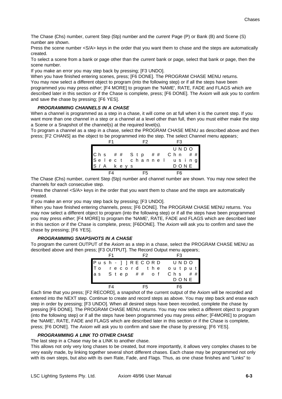The Chase (Chs) number, current Step (Stp) number and the *current* Page (P) or Bank (B) and Scene (S) number are shown.

Press the scene number <S/A> keys in the order that you want them to chase and the steps are automatically created.

To select a scene from a bank or page other than the *current* bank or page, select that bank or page, then the scene number.

If you make an error you may step back by pressing; [F3 UNDO].

When you have finished entering scenes, press; [F6 DONE]. The PROGRAM CHASE MENU returns.

You may now select a different object to program (into the following step) or if all the steps have been programmed you may press *either*; [F4 MORE] to program the 'NAME', RATE, FADE and FLAGS which are described later in this section *or* if the Chase is complete, press; [F6 DONE]. The Axi*om* will ask you to confirm and save the chase by pressing; [F6 YES].

### *PROGRAMMING CHANNELS IN A CHASE*

When a channel is programmed as a step in a chase, it will come on at full when it is the current step. If you want more than one channel in a step or a channel at a level other than full, then you must either make the step a Scene or a Snapshot of the channel(s) at the required level(s).

To program a channel as a step in a chase, select the PROGRAM CHASE MENU as described above and then press; [F2 CHANS] as the object to be programmed into the step. The select Channel menu appears;

|                                                                  | F3   |  |  |  |  |
|------------------------------------------------------------------|------|--|--|--|--|
|                                                                  | UNDO |  |  |  |  |
|                                                                  |      |  |  |  |  |
| Chs # # Stp # # Chn # #<br>Select channel using<br>S/A keys DONE |      |  |  |  |  |
|                                                                  |      |  |  |  |  |
|                                                                  |      |  |  |  |  |

The Chase (Chs) number, current Step (Stp) number and channel number are shown. You may now select the channels for each consecutive step.

Press the channel <S/A> keys in the order that you want them to chase and the steps are automatically created.

If you make an error you may step back by pressing; [F3 UNDO].

When you have finished entering channels, press; [F6 DONE]. The PROGRAM CHASE MENU returns. You may now select a different object to program (into the following step) or if all the steps have been programmed you may press *either*; [F4 MORE] to program the 'NAME', RATE, FADE and FLAGS which are described later in this section *or* if the Chase is complete, press; [F6DONE]. The Axi*om* will ask you to confirm and save the chase by pressing; [F6 YES].

### *PROGRAMMING SNAPSHOTS IN A CHASE*

To program the current OUTPUT of the Axi*om* as a step in a chase, select the PROGRAM CHASE MENU as described above and then press; [F3 OUTPUT]. The Record Output menu appears;

|                      |  | F <sub>1</sub> |  |  |  | F2. |  |  | F <sub>3</sub> |      |  |
|----------------------|--|----------------|--|--|--|-----|--|--|----------------|------|--|
| Push-JJRECORD UNDO   |  |                |  |  |  |     |  |  |                |      |  |
| To record the output |  |                |  |  |  |     |  |  |                |      |  |
| as Step ## of Chs ## |  |                |  |  |  |     |  |  |                |      |  |
|                      |  |                |  |  |  |     |  |  |                | DONE |  |
|                      |  | F4             |  |  |  | F5  |  |  | F6.            |      |  |

Each time that you press; [F2 RECORD], a snapshot of the current output of the Axi*om* will be recorded and entered into the NEXT step. Continue to create and record steps as above. You may step back and erase each step in order by pressing; [F3 UNDO]. When all desired steps have been recorded, complete the chase by pressing [F6 DONE]. The PROGRAM CHASE MENU returns. You may now select a different object to program (into the following step) or if all the steps have been programmed you may press *either*; [F4MORE] to program the 'NAME', RATE, FADE and FLAGS which are described later in this section or if the Chase is complete, press; [F6 DONE]. The Axi*om* will ask you to confirm and save the chase by pressing; [F6 YES].

### *PROGRAMMING A LINK TO OTHER CHASE*

The last step in a Chase may be a LINK to another chase.

This allows not only very long chases to be created, but more importantly, it allows very complex chases to be very easily made, by linking together several short different chases. Each chase may be programmed not only with its own steps, but also with its own Rate, Fade, and Flags. Thus, as one chase finishes and "Links" to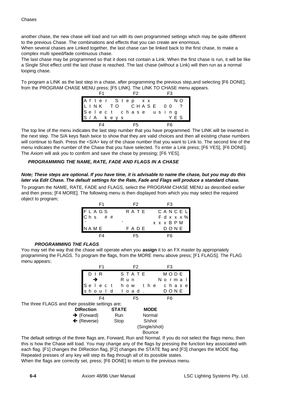another chase, the new chase will load and run with its own programmed settings which may be quite different to the previous Chase. The combinations and effects that you can create are enormous.

When several chases are Linked together, the last chase can be linked back to the first chase, to make a complex multi speed/fade continuous chase.

The last chase may be programmed so that it does not contain a Link. When the first chase is run, it will be like a Single Shot effect until the last chase is reached. The last chase (without a Link) will then run as a normal looping chase.

To program a LINK as the last step in a chase, after programming the previous step,and selecting ]F6 DONE], from the PROGRAM CHASE MENU press; [F5 LINK]. The LINK TO CHASE menu appears.

|                    | FЗ  |
|--------------------|-----|
| After Step xx      | N O |
| LINK TO CHASE 00 ? |     |
| Select chase using |     |
| S/A keys           | YFS |
|                    |     |

The top line of the menu indicates the last step number that you have programmed. The LINK will be inserted in the next step. The S/A keys flash twice to show that they are valid choices and then all existing chase numbers will continue to flash. Press the <S/A> key of the chase number that you want to Link to. The second line of the menu indicates the number of the Chase that you have selected. To enter a Link press; [F6 YES], [F6 DONE]. The Axi*om* will ask you to confirm and save the chase by pressing; [F6 YES].

### *PROGRAMMING THE NAME, RATE, FADE AND FLAGS IN A CHASE*

### *Note; These steps are optional. If you have time, it is advisable to name the chase, but you may do this later via Edit Chase. The default settings for the Rate, Fade and Flags will produce a standard chase.*

To program the NAME, RATE, FADE and FLAGS, select the PROGRAM CHASE MENU as described earlier and then press; [F4 MORE]. The following menu is then displayed from which you may select the required object to program;

|                  | F <sub>2</sub> | F3          |
|------------------|----------------|-------------|
|                  | R A T E        | CANCEL      |
| FLAGS<br>Chs # # |                | Fdxxx%      |
|                  |                | x x x B P M |
| NAME             | FADE           | DONE        |
|                  | F5             | FR          |

### *PROGRAMMING THE FLAGS*

You may set the way that the chase will operate when you **assign** it to an FX master by appropriately programming the FLAGS. To program the flags, from the MORE menu above press; [F1 FLAGS]. The FLAG menu appears;

|                                                  | F <sub>1</sub>          |              | F <sub>2</sub> | F <sub>3</sub> |
|--------------------------------------------------|-------------------------|--------------|----------------|----------------|
|                                                  | DIR                     |              | STATE          | MODE           |
|                                                  |                         | Run          |                | Norma          |
|                                                  | lect<br>S e             | h o w        | the            | chas<br>e      |
|                                                  | should load.            |              |                | DONE           |
|                                                  | F4                      |              | F5             | F6             |
| The three FLAGS and their possible settings are; |                         |              |                |                |
|                                                  | <b>DIRection</b>        | <b>STATE</b> | <b>MODE</b>    |                |
|                                                  | $\rightarrow$ (Forward) | Run          | Normal         |                |
|                                                  | $\leftarrow$ (Reverse)  | Stop         | S/shot         |                |
|                                                  |                         |              | (Single/shot)  |                |
|                                                  |                         |              | <b>Bounce</b>  |                |
|                                                  |                         |              |                |                |

The default settings of the three flags are, Forward, Run and Normal. If you do not select the flags menu, then this is how the Chase will load. You may change any of the flags by pressing the function key associated with each flag. [F1] changes the DIRection flag, [F2] changes the STATE flag and [F3] changes the MODE flag. Repeated presses of any key will step its flag through all of its possible states.

When the flags are correctly set, press; [F6 DONE] to return to the previous menu.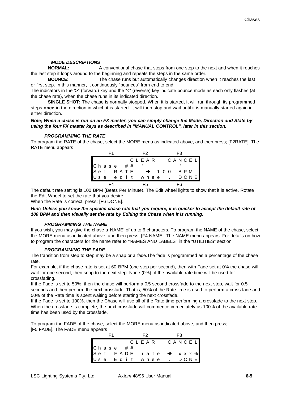### *MODE DESCRIPTIONS*

**NORMAL:** A conventional chase that steps from one step to the next and when it reaches the last step it loops around to the beginning and repeats the steps in the same order.

**BOUNCE:** The chase runs but automatically changes direction when it reaches the last or first step. In this manner, it continuously "bounces" from end to end.

The indicators in the "**>**" (forward) key and the "**<**" (reverse) key indicate bounce mode as each only flashes (at the chase rate), when the chase runs in its indicated direction.

**SINGLE SHOT:** The chase is normally stopped. When it is started, it will run through its programmed steps **once** in the direction in which it is started. It will then stop and wait until it is manually started again in either direction.

#### *Note; When a chase is run on an FX master, you can simply change the Mode, Direction and State by using the four FX master keys as described in "MANUAL CONTROL", later in this section.*

#### *PROGRAMMING THE RATE*

To program the RATE of the chase, select the MORE menu as indicated above, and then press; [F2RATE]. The RATE menu appears;

|  |  |                                                                      |  |              | F2 |  |  | F3 |  |  |
|--|--|----------------------------------------------------------------------|--|--------------|----|--|--|----|--|--|
|  |  |                                                                      |  | CLEAR CANCEL |    |  |  |    |  |  |
|  |  |                                                                      |  |              |    |  |  |    |  |  |
|  |  | Chase ## '<br>Set RATE $\rightarrow$ 100 BPM<br>Use edit wheel. DONE |  |              |    |  |  |    |  |  |
|  |  |                                                                      |  |              |    |  |  |    |  |  |
|  |  |                                                                      |  |              |    |  |  |    |  |  |

The default rate setting is 100 BPM (Beats Per Minute). The Edit wheel lights to show that it is active. Rotate the Edit Wheel to set the rate that you desire.

When the Rate is correct, press; [F6 DONE].

#### *Hint; Unless you know the specific chase rate that you require, it is quicker to accept the default rate of 100 BPM and then visually set the rate by Editing the Chase when it is running.*

#### *PROGRAMMING THE NAME*

If you wish, you may give the chase a 'NAME' of up to 6 characters. To program the NAME of the chase, select the MORE menu as indicated above, and then press; [F4 NAME]. The NAME menu appears. For details on how to program the characters for the name refer to "NAMES AND LABELS" in the "UTILITIES" section.

### *PROGRAMMING THE FADE*

The transition from step to step may be a snap or a fade.The fade is programmed as a percentage of the chase rate.

For example, if the chase rate is set at 60 BPM (one step per second), then with Fade set at 0% the chase will wait for one second, then snap to the next step. None (0%) of the available rate time will be used for crossfading.

If the Fade is set to 50%, then the chase will perform a 0.5 second crossfade to the next step, wait for 0.5 seconds and then perform the next crossfade. That is, 50% of the Rate time is used to perform a cross fade and 50% of the Rate time is spent waiting before starting the next crossfade.

If the Fade is set to 100%, then the Chase will use all of the Rate time performing a crossfade to the next step. When the crossfade is complete, the next crossfade will commence immediately as 100% of the available rate time has been used by the crossfade.

To program the FADE of the chase, select the MORE menu as indicated above, and then press; [F5 FADE]. The FADE menu appears;

|              | F2. | F3                   |
|--------------|-----|----------------------|
|              |     | CLEAR CANCELI        |
| Chase $\#$ # |     |                      |
|              |     | Set FADE rate > xxx% |
|              |     | Use Edit wheel. DONE |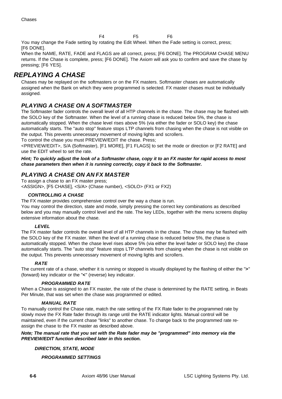F4 F5 F6

You may change the Fade setting by rotating the Edit Wheel. When the Fade setting is correct, press; [F6 DONE].

When the NAME, RATE, FADE and FLAGS are all correct, press; [F6 DONE]. The PROGRAM CHASE MENU returns. If the Chase is complete, press; [F6 DONE]. The Axi*om* will ask you to confirm and save the chase by pressing; [F6 YES].

# *REPLAYING A CHASE*

Chases may be replayed on the softmasters or on the FX masters. Softmaster chases are automatically assigned when the Bank on which they were programmed is selected. FX master chases must be individually assigned.

## *PLAYING A CHASE ON A SOFTMASTER*

The Softmaster fader controls the overall level of all HTP channels in the chase. The chase may be flashed with the SOLO key of the Softmaster. When the level of a running chase is reduced below 5%, the chase is automatically stopped. When the chase level rises above 5% (via either the fader or SOLO key) the chase automatically starts. The "auto stop" feature stops LTP channels from chasing when the chase is not visible on the output. This prevents unnecessary movement of moving lights and scrollers.

To control the chase you must PREVIEW/EDIT the chase. Press;

<PREVIEW/EDIT>, S/A (Softmaster), [F1 MORE], [F1 FLAGS] to set the mode or direction or [F2 RATE] and use the EDIT wheel to set the rate.

*Hint; To quickly adjust the look of a Softmaster chase, copy it to an FX master for rapid access to most chase parameters then when it is running correctly, copy it back to the Softmaster.*

## *PLAYING A CHASE ON AN FX MASTER*

To assign a chase to an FX master press; <ASSIGN>, [F5 CHASE], <S/A> (Chase number), <SOLO> (FX1 or FX2)

### *CONTROLLING A CHASE*

The FX master provides comprehensive control over the way a chase is run.

You may control the direction, state and mode, simply pressing the correct key combinations as described below and you may manually control level and the rate. The key LEDs, together with the menu screens display extensive information about the chase.

### *LEVEL*

The FX master fader controls the overall level of all HTP channels in the chase. The chase may be flashed with the SOLO key of the FX master. When the level of a running chase is reduced below 5%, the chase is automatically stopped. When the chase level rises above 5% (via either the level fader or SOLO key) the chase automatically starts. The "auto stop" feature stops LTP channels from chasing when the chase is not visible on the output. This prevents unnecessary movement of moving lights and scrollers.

### *RATE*

The current rate of a chase, whether it is running or stopped is visually displayed by the flashing of either the "**>**" (forward) key indicator or the "**<**" (reverse) key indicator.

### *PROGRAMMED RATE*

When a Chase is assigned to an FX master, the rate of the chase is determined by the RATE setting, in Beats Per Minute, that was set when the chase was programmed or edited.

### *MANUAL RATE*

To manually control the Chase rate, match the rate setting of the FX Rate fader to the programmed rate by slowly move the FX Rate fader through its range until the RATE indicator lights. Manual control will be maintained, even if the current chase "links" to another chase. To change back to the programmed rate reassign the chase to the FX master as described above.

*Note; The manual rate that you set with the Rate fader may be "programmed" into memory via the PREVIEW/EDIT function described later in this section.*

### *DIRECTION, STATE, MODE*

### *PROGRAMMED SETTINGS*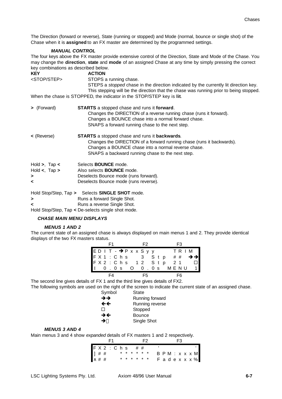The Direction (forward or reverse), State (running or stopped) and Mode (normal, bounce or single shot) of the Chase when it is **assigned** to an FX master are determined by the programmed settings.

### *MANUAL CONTROL*

The four keys above the FX master provide extensive control of the Direction, State and Mode of the Chase. You may change the **direction**, **state** and **mode** of an assigned Chase at any time by simply pressing the correct key combinations as described below.

| <b>KEY</b>             | <b>ACTION</b>                                                                               |
|------------------------|---------------------------------------------------------------------------------------------|
| <stop step=""></stop>  | STOPS a running chase.                                                                      |
|                        | STEPS a <i>stopped</i> chase in the direction indicated by the currently lit direction key. |
|                        | This stepping will be the direction that the chase was running prior to being stopped.      |
|                        | When the chase is STOPPED, the indicator in the STOP/STEP key is lit.                       |
| > (Forward)            | <b>STARTS</b> a stopped chase and runs it forward.                                          |
|                        | Changes the DIRECTION of a reverse running chase (runs it forward).                         |
|                        | Changes a BOUNCE chase into a normal forward chase.                                         |
|                        | SNAPS a forward running chase to the next step.                                             |
| $\leq$ (Reverse)       | <b>STARTS</b> a stopped chase and runs it <b>backwards</b> .                                |
|                        | Changes the DIRECTION of a forward running chase (runs it backwards).                       |
|                        | Changes a BOUNCE chase into a normal reverse chase.                                         |
|                        | SNAPS a backward running chase to the next step.                                            |
| Hold $>$ , Tap $\lt$   | Selects <b>BOUNCE</b> mode.                                                                 |
| Hold $\lt$ , Tap $\gt$ | Also selects <b>BOUNCE</b> mode.                                                            |
| $\geq$                 | Deselects Bounce mode (runs forward).                                                       |
| ≺                      | Deselects Bounce mode (runs reverse).                                                       |

Hold Stop/Step, Tap **>** Selects **SINGLE SHOT** mode.

**>** Runs a forward Single Shot.

**<** Runs a reverse Single Shot.

Hold Stop/Step, Tap **<** De-selects single shot mode.

### *CHASE MAIN MENU DISPLAYS*

### *MENUS 1 AND 2*

The current state of an assigned chase is always displayed on main menus 1 and 2. They provide identical displays of the two FX masters status.

| F1                               | F2.              | $-3$ |  |  |  |  |
|----------------------------------|------------------|------|--|--|--|--|
| $EDIT - PYXXSYY$ TRIM            |                  |      |  |  |  |  |
| $FX1:Chs$ 3 Stp ## $\rightarrow$ |                  |      |  |  |  |  |
| F X 2 : C h s 1 2 S t p 2 1      |                  |      |  |  |  |  |
|                                  | 0.0s O 0.0s MENU |      |  |  |  |  |
|                                  |                  |      |  |  |  |  |

The second line gives details of FX 1 and the third line gives details of FX2.

The following symbols are used on the right of the screen to indicate the current state of an assigned chase.

| Symbol                      | State           |
|-----------------------------|-----------------|
| $\rightarrow$ $\rightarrow$ | Running forward |
| $\leftarrow$                | Running reverse |
| П                           | Stopped         |
| $\rightarrow \leftarrow$    | <b>Bounce</b>   |
| $\rightarrow$ c             | Single Shot     |

#### *MENUS 3 AND 4*

Main menus 3 and 4 show *expanded* details of FX masters 1 and 2 respectively.

|              |  |             |  |             | F2. |  |  |  | F3 |  |                  |
|--------------|--|-------------|--|-------------|-----|--|--|--|----|--|------------------|
|              |  | IFX2:Chs ## |  |             |     |  |  |  |    |  |                  |
| 1# #         |  |             |  | * * * * * * |     |  |  |  |    |  | B P M : x x x MI |
| $\wedge$ # # |  |             |  | * * * * * * |     |  |  |  |    |  | Fadexxx%!        |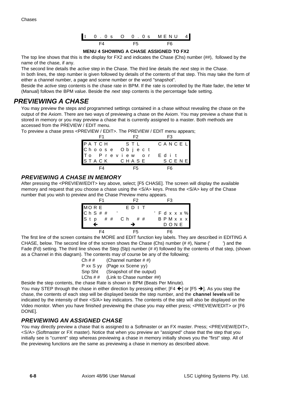

**MENU 4 SHOWING A CHASE ASSIGNED TO FX2**

The top line shows that this is the display for FX2 and indicates the Chase (Chs) number (##), followed by the name of the chase, if any.

The second line details the *active* step in the Chase. The third line details the *next* step in the Chase.

In both lines, the step number is given followed by details of the contents of that step. This may take the form of either a channel number, a page and scene number or the word "snapshot".

Beside the *active* step contents is the chase rate in BPM. If the rate is controlled by the Rate fader, the letter M (Manual) follows the BPM value. Beside the *next* step contents is the percentage fade setting.

# *PREVIEWING A CHASE*

You may preview the steps and programmed settings contained in a chase without revealing the chase on the output of the Axi*om*. There are two ways of previewing a chase on the Axi*om*. You may preview a chase that is stored in memory or you may preview a chase that is currently assigned to a master. Both methods are accessed from the PREVIEW / EDIT menu.

To preview a chase press <PREVIEW / EDIT>. The PREVIEW / EDIT menu appears;

|             | F2                 | F3    |
|-------------|--------------------|-------|
|             | PATCH STL CANCEL   |       |
|             | Choose Object      |       |
|             | To Preview or Edit |       |
| STACK CHASE |                    | SCENE |
|             | F5                 | FR    |

## *PREVIEWING A CHASE IN MEMORY*

After pressing the <PREVIEW/EDIT> key above, select; [F5 CHASE]. The screen will display the available memory and request that you choose a chase using the <S/A> keys. Press the <S/A> key of the Chase number that you wish to preview and the Chase Preview menu appears.

|                  | F2   |         |
|------------------|------|---------|
|                  | EDIT |         |
| MORE<br>Ch S # # |      | 'Fdxxx% |
| Stp # # Ch # #   |      | BPMxxxl |
| ←                |      | DONE    |
|                  |      |         |

The first line of the screen contains the MORE and EDIT function key labels. They are described in EDITING A CHASE, below. The second line of the screen shows the Chase (Chs) number  $(\# \#)$ , Name  $'$   $)$  and the Fade (Fd) setting. The third line shows the Step (Stp) number (# #) followed by the contents of that step, (shown as a Channel in this diagram). The contents may of course be any of the following;

| Ch##          | (Channel number # #)         |  |
|---------------|------------------------------|--|
|               | P xx S yy (Page xx Scene yy) |  |
| $\sim$ $\sim$ |                              |  |

Snp Sht (Snapshot of the output)

LChs  $# #$  (Link to Chase number  $##$ )

Beside the step contents, the chase Rate is shown in BPM (Beats Per Minute).

You may STEP through the chase in either direction by pressing either;  $[F4 \leftarrow]$  or  $[F5 \rightarrow]$ . As you step the chase, the contents of each step will be displayed beside the step number, and the **channel levels** will be indicated by the intensity of their <S/A> key indicators. The contents of the step will also be displayed on the Video monitor. When you have finished previewing the chase you may either press; <PREVIEW/EDIT> or [F6 DONE].

## *PREVIEWING AN ASSIGNED CHASE*

You may directly preview a chase that is assigned to a Softmaster or an FX master. Press; <PREVIEW/EDIT>, <S/A> (Softmaster or FX master). Notice that when you preview an "assigned" chase that the step that you initially see is "current" step whereas previewing a chase in memory initially shows you the "first" step. All of the previewing functions are the same as previewing a chase in memory as described above.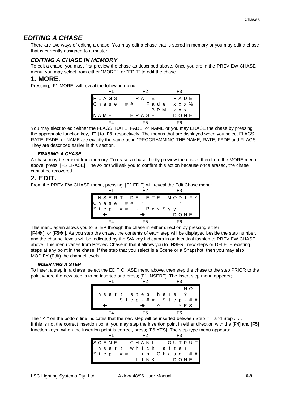# *EDITING A CHASE*

There are two ways of editing a chase. You may edit a chase that is stored in memory or you may edit a chase that is currently assigned to a master.

## *EDITING A CHASE IN MEMORY*

To edit a chase, you must first preview the chase as described above. Once you are in the PREVIEW CHASE menu, you may select from either "MORE", or "EDIT" to edit the chase.

## **1. MORE**.

Pressing; [F1 MORE] will reveal the following menu.

| E1   | F2.                                   | F3   |
|------|---------------------------------------|------|
|      |                                       |      |
|      | FLAGS RATE FADE<br>Chase ## Fade xxx% |      |
|      | BPM xxx                               |      |
| NAME | ERASE                                 | DONE |
|      | -5                                    |      |

You may elect to edit either the FLAGS, RATE, FADE, or NAME or you may ERASE the chase by pressing the appropriate function key, [**F1]** to [**F5]** respectively. The menus that are displayed when you select FLAGS, RATE, FADE, or NAME are exactly the same as in "PROGRAMMING THE NAME, RATE, FADE and FLAGS". They are described earlier in this section.

### *ERASING A CHASE*

A chase may be erased from memory. To erase a chase, firstly preview the chase, then from the MORE menu above, press; [F5 ERASE]. The Axi*om* will ask you to confirm this action because once erased, the chase cannot be recovered.

## **2. EDIT.**

From the PREVIEW CHASE menu, pressing; [F2 EDIT] will reveal the Edit Chase menu;

|  |   |  |                        |  |  |  |  | E2 |  | F3 |  |  |      |  |  |  |
|--|---|--|------------------------|--|--|--|--|----|--|----|--|--|------|--|--|--|
|  |   |  | IINSERT DELETE MODIFYI |  |  |  |  |    |  |    |  |  |      |  |  |  |
|  |   |  | $Ch$ as e $#$ #        |  |  |  |  |    |  |    |  |  |      |  |  |  |
|  |   |  | Step ## - PxxSyy       |  |  |  |  |    |  |    |  |  |      |  |  |  |
|  | L |  |                        |  |  |  |  |    |  |    |  |  | DONE |  |  |  |
|  |   |  |                        |  |  |  |  | -5 |  |    |  |  |      |  |  |  |

This menu again allows you to STEP through the chase in either direction by pressing either [**F4**Á**],** or [**F5**Ë**]**. As you step the chase, the contents of each step will be displayed beside the step number, and the channel levels will be indicated by the S/A key indicators in an identical fashion to PREVIEW CHASE above. This menu varies from Preview Chase in that it allows you to INSERT new steps or DELETE existing steps at any point in the chase. If the step that you select is a Scene or a Snapshot, then you may also MODIFY (Edit) the channel levels.

### *INSERTING A STEP*

To insert a step in a chase, select the EDIT CHASE menu above, then step the chase to the step PRIOR to the point where the new step is to be inserted and press; [F1 INSERT]. The Insert step menu appears;

|  |   |  |  |                       |  |  | F2 |  |  |  |   |  |  | F3 |  |     |     |  |  |
|--|---|--|--|-----------------------|--|--|----|--|--|--|---|--|--|----|--|-----|-----|--|--|
|  |   |  |  |                       |  |  |    |  |  |  |   |  |  |    |  |     | N O |  |  |
|  |   |  |  | Insert step here      |  |  |    |  |  |  |   |  |  |    |  |     |     |  |  |
|  |   |  |  | Step - # # Step - # # |  |  |    |  |  |  |   |  |  |    |  |     |     |  |  |
|  | L |  |  |                       |  |  |    |  |  |  | Λ |  |  |    |  | YES |     |  |  |
|  |   |  |  |                       |  |  |    |  |  |  |   |  |  |    |  |     |     |  |  |

The "  $\bullet$  " on the bottom line indicates that the new step will be inserted between Step # # and Step # #. If this is not the correct insertion point, you may step the insertion point in either direction with the [**F4]** and [**F5]** function keys. When the insertion point is correct, press; [F6 YES]. The step type menu appears;

|  |  | F1 |  |  |  | F2. |                                                                 |  | F3 |  |  |
|--|--|----|--|--|--|-----|-----------------------------------------------------------------|--|----|--|--|
|  |  |    |  |  |  |     |                                                                 |  |    |  |  |
|  |  |    |  |  |  |     | SCENE CHANL OUTPUT<br>Insert which after<br>Step ## in Chase ## |  |    |  |  |
|  |  |    |  |  |  |     |                                                                 |  |    |  |  |
|  |  |    |  |  |  |     | LINK DONE                                                       |  |    |  |  |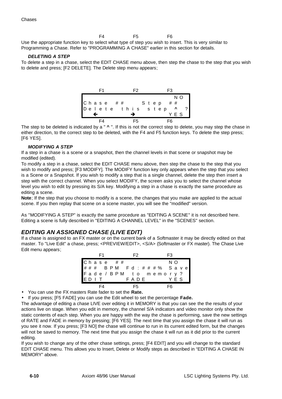F4 F5 F6

Use the appropriate function key to select what type of step you wish to insert. This is very similar to Programming a Chase. Refer to "PROGRAMMING A CHASE" earlier in this section for details.

### *DELETING A STEP*

To delete a step in a chase, select the EDIT CHASE menu above, then step the chase to the step that you wish to delete and press; [F2 DELETE]. The Delete step menu appears;



The step to be deleted is indicated by a " **^** ". If this is not the correct step to delete, you may step the chase in either direction, to the correct step to be deleted, with the F4 and F5 function keys. To delete the step press; [F6 YES].

### *MODIFYING A STEP*

If a step in a chase is a scene or a snapshot, then the channel levels in that scene or snapshot may be modified (edited).

To modify a step in a chase, select the EDIT CHASE menu above, then step the chase to the step that you wish to modify and press; [F3 MODIFY]. The MODIFY function key only appears when the step that you select is a Scene or a Snapshot. If you wish to modify a step that is a single channel, delete the step then insert a step with the correct channel. When you select MODIFY, the screen asks you to select the channel whose level you wish to edit by pressing its S/A key. Modifying a step in a chase is exactly the same procedure as editing a scene.

**Note**; If the step that you choose to modify is a scene, the changes that you make are applied to the actual scene. If you then replay that scene on a scene master, you will see the "modified" version.

As "MODIFYING A STEP" is exactly the same procedure as "EDITING A SCENE" it is not described here. Editing a scene is fully described in "EDITING A CHANNEL LEVEL" in the "SCENES" section.

## *EDITING AN ASSIGNED CHASE (LIVE EDIT)*

If a chase is assigned to an FX master or on the current bank of a Softmaster it may be directly edited on that master. To "Live Edit" a chase, press; <PREVIEW/EDIT>, <S/A> (Softmaster or FX master). The Chase Live Edit menu appears;

|                      |  |  |  |  | F2.  |  |  | F3 |     |  |
|----------------------|--|--|--|--|------|--|--|----|-----|--|
| Chase $\#$ #         |  |  |  |  |      |  |  |    | N O |  |
| ### BPM Fd:###% Save |  |  |  |  |      |  |  |    |     |  |
| Fade/BPM to memory?  |  |  |  |  |      |  |  |    |     |  |
| EDIT                 |  |  |  |  | FADE |  |  |    | YFS |  |
|                      |  |  |  |  |      |  |  |    |     |  |

• You can use the FX masters Rate fader to set the **Rate.**

• If you press; [F5 FADE] you can use the Edit wheel to set the percentage **Fade.**

The advantage of editing a chase LIVE over editing it in MEMORY is that you can see the the results of your actions live on stage. When you edit in memory, the channel S/A indicators and video monitor only show the static contents of each step. When you are happy with the way the chase is performing, save the new settings of RATE and FADE in memory by pressing; [F6 YES]. The next time that you assign the chase it will run as you see it now. If you press; [F3 NO] the chase will continue to run in its current edited form, but the changes will not be saved to memory. The next time that you assign the chase it will run as it did prior to the current editing.

If you wish to change any of the other chase settings, press; [F4 EDIT] and you will change to the standard EDIT CHASE menu. This allows you to Insert, Delete or Modify steps as described in "EDITING A CHASE IN MEMORY" above.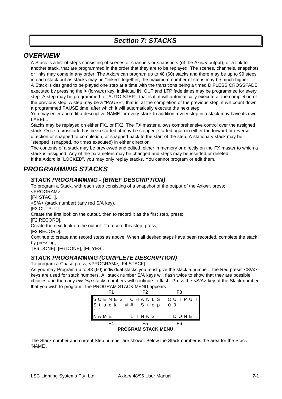# *Section 7: STACKS*

# *OVERVIEW*

A Stack is a list of steps consisting of scenes or channels or snapshots (of the Axi*om* output), or a link to another stack, that are programmed in the order that they are to be replayed. The scenes, channels, snapshots or links may come in any order. The Axi*om* can program up to 48 (60) stacks and there may be up to 99 steps in each stack but as stacks may be "linked" together, the maximum number of steps may be much higher. A Stack is designed to be played one step at a time with the transitions being a timed DIPLESS CROSSFADE executed by pressing the **>** (forward) key. Individual IN, OUT and LTP fade times may be programmed for every step. A step may be programmed to "AUTO STEP", that is it, it will automatically execute at the completion of the previous step. A step may be a "PAUSE", that is, at the completion of the previous step, it will count down a programmed PAUSE time, after which it will automatically execute the next step

You may enter and edit a descriptive NAME for every stack.In addition, every step in a stack may have its own LABEL..

Stacks may be replayed on either FX1 or FX2. The FX master allows comprehensive control over the assigned stack. Once a crossfade has been started, it may be stopped, started again in either the forward or reverse direction or snapped to completion, or snapped back to the start of the step. A stationary stack may be "stepped" (snapped, no times executed) in either direction.

The contents of a stack may be previewed and edited, either in memory or directly on the FX master to which a stack is assigned. Any of the parameters may be changed and steps may be inserted or deleted. If the Axi*om* is "LOCKED", you may only replay stacks. You cannot program or edit them.

# *PROGRAMMING STACKS*

## *STACK PROGRAMMING - (BRIEF DESCRIPTION)*

To program a Stack, with each step consisting of a snapshot of the output of the Axi*om*, press; <PROGRAM>, [F4 STACK], <S/A> (stack number) (any red S/A key). [F3 OUTPUT]. Create the first look on the output, then to record it as the first step, press; [F2 RECORD]. Create the next look on the output. To record this step, press; [F2 RECORD]. Continue to create and record steps as above. When all desired steps have been recorded, complete the stack by pressing; [F6 DONE], [F6 DONE], [F6 YES].

## *STACK PROGRAMMING (COMPLETE DESCRIPTION)*

To program a Chase press; <PROGRAM>, [F4 STACK].

As you may Program up to 48 (60) individual stacks you must give the stack a number. The Red preset <S/A> keys are used for stack numbers. All stack number S/A keys will flash twice to show that they are possible choices and then any *existing* stacks numbers will continue to flash. Press the <S/A> key of the Stack number that you wish to program. The PROGRAM STACK MENU appears;

|         | F2                                       |      |
|---------|------------------------------------------|------|
|         |                                          |      |
|         | SCENES CHANLS OUTPUT<br>Stack ## Step 00 |      |
| N A M E | LINKS                                    | DONE |
| FΔ      | F5                                       | F6   |
|         | <b>PROGRAM STACK MENU</b>                |      |

The Stack number and current Step number are shown. Below the Stack number is the area for the Stack 'NAME'.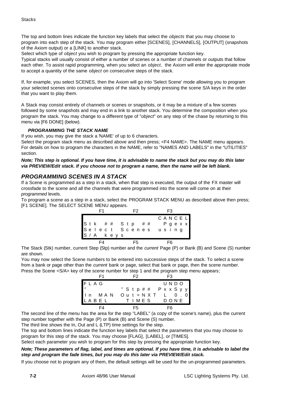The top and bottom lines indicate the function key labels that select the *objects* that you may choose to program into each step of the stack. You may program either [SCENES], [CHANNELS], [OUTPUT] (snapshots of the Axi*om* output) or a [LINK] to another stack.

Select which type of *object* you wish to program by pressing the appropriate function key.

Typical stacks will usually consist of either a number of scenes or a number of channels or outputs that follow each other. To assist rapid programming, when you select an *object*, the Axi*om* will enter the appropriate mode to accept a quantity of the same *object* on consecutive steps of the stack.

If, for example, you select SCENES, then the Axi*om* will go into 'Select Scene' mode allowing you to program your selected scenes onto consecutive steps of the stack by simply pressing the scene S/A keys in the order that you want to play them.

A Stack may consist entirely of channels or scenes or snapshots, or it may be a mixture of a few scenes followed by some snapshots and may end in a link to another stack. You determine the composition when you program the stack. You may change to a different type of "*object*" on any step of the chase by returning to this menu via [F6 DONE] (below).

### *PROGRAMMING THE STACK NAME*

If you wish, you may give the stack a 'NAME' of up to 6 characters.

Select the program stack menu as described above and then press; <F4 NAME>. The NAME menu appears. For details on how to program the characters in the NAME, refer to "NAMES AND LABELS" in the "UTILITIES" section.

#### *Note; This step is optional. If you have time, it is advisable to name the stack but you may do this later via PREVIEW/Edit stack. If you choose not to program a name, then the name will be left blank.*

## *PROGRAMMING SCENES IN A STACK*

If a Scene is programmed as a step in a stack, when that step is executed, the output of the FX master will crossfade to the scene and all the channels that were programmed into the scene will come on at their *programmed* levels.

To program a scene as a step in a stack, select the PROGRAM STACK MENU as described above then press; [F1 SCENE]. The SELECT SCENE MENU appears.

|                                                        | CANCEL |
|--------------------------------------------------------|--------|
| Stk ## Stp ## Pgexx<br>Select Scenes using<br>S/A keys |        |
|                                                        |        |
|                                                        |        |
|                                                        |        |

The Stack (Stk) number, current Step (Stp) number and the *current* Page (P) or Bank (B) and Scene (S) number are shown.

You may now select the Scene numbers to be entered into successive steps of the stack. To select a scene from a bank or page other than the *current* bank or page, select that bank or page, then the scene number. Press the Scene <S/A> key of the scene number for step 1 and the program step menu appears;

|           | F2.                                      | F3   |
|-----------|------------------------------------------|------|
| FLAG<br>" |                                          | UNDO |
|           | "Stp## PxxSyy                            |      |
|           | In MAN Out=NXT L 0.0<br>LABEL TIMES DONE |      |
|           |                                          |      |
|           | F5                                       |      |

The second line of the menu has the area for the step "LABEL" (a copy of the scene's name), plus the current step number together with the Page (P) or Bank (B) and Scene (S) number.

The third line shows the In, Out and L (LTP) time settings for the step.

The top and bottom lines indicate the function key labels that select the parameters that you may choose to program for this step of the stack. You may choose [FLAG], [LABEL], or [TIMES].

Select each parameter you wish to program for this step by pressing the appropriate function key.

*Note; These parameters of flag, label, and times are optional. If you have time, it is advisable to label the step and program the fade times, but you may do this later via PREVIEW/Edit stack.*

If you choose not to program any of them, the default settings will be used for the un-programmed parameters.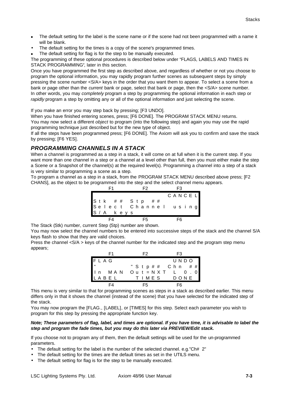- The default setting for the label is the scene name or if the scene had not been programmed with a name it will be blank.
- The default setting for the times is a copy of the scene's programmed times.
- The default setting for flag is for the step to be manually executed.

The programming of these optional procedures is described below under "FLAGS, LABELS AND TIMES IN STACK PROGRAMMING*'*, later in this section.

Once you have programmed the first step as described above, and regardless of whether or not you choose to program the optional information, you may rapidly program further scenes as subsequent steps by simply pressing the scene number <S/A> keys in the order that you want them to appear. To select a scene from a bank or page other than the *current* bank or page, select that bank or page, then the <S/A> scene number. In other words, you may *completely* program a step by programming the optional information in each step or *rapidly* program a step by omitting any or all of the optional information and just selecting the scene.

If you make an error you may step back by pressing; [F3 UNDO].

When you have finished entering scenes, press; [F6 DONE]. The PROGRAM STACK MENU returns. You may now select a different *object* to program (into the following step) and again you may use the rapid programming technique just described but for the new type of object.

If all the steps have been programmed press; [F6 DONE]. The Axi*om* will ask you to confirm and save the stack by pressing; [F6 YES].

## *PROGRAMMING CHANNELS IN A STACK*

When a channel is programmed as a step in a stack, it will come on at full when it is the current step. If you want more than one channel in a step or a channel at a level other than full, then you must either make the step a Scene or a Snapshot of the channel(s) at the required level(s). Programming a channel into a step of a stack is very similar to programming a scene as a step.

To program a channel as a step in a stack, from the PROGRAM STACK MENU described above press; [F2 CHANS], as the object to be programmed into the step and the select channel menu appears.

|  |          |  |  |  |  |                 |  |  |  |  |                      |  |  | F3 |  |  |  |        |
|--|----------|--|--|--|--|-----------------|--|--|--|--|----------------------|--|--|----|--|--|--|--------|
|  |          |  |  |  |  |                 |  |  |  |  |                      |  |  |    |  |  |  | CANCEL |
|  |          |  |  |  |  | Stk # # Stp # # |  |  |  |  |                      |  |  |    |  |  |  |        |
|  |          |  |  |  |  |                 |  |  |  |  | Select Channel using |  |  |    |  |  |  |        |
|  | S/A keys |  |  |  |  |                 |  |  |  |  |                      |  |  |    |  |  |  |        |
|  |          |  |  |  |  |                 |  |  |  |  |                      |  |  |    |  |  |  |        |

The Stack (Stk) number, current Step (Stp) number are shown.

You may now select the channel numbers to be entered into successive steps of the stack and the channel S/A keys flash to show that they are valid choices.

Press the channel <S/A > keys of the channel number for the indicated step and the program step menu appears;

| F1        | F2.                                      | F3   |
|-----------|------------------------------------------|------|
| FLAG<br>" |                                          | UNDO |
|           | " S t p # # C h n # #                    |      |
|           | In MAN Out=NXT L 0.0<br>LABEL TIMES DONE |      |
|           |                                          |      |
|           | =ҕ                                       |      |

This menu is very similar to that for programming scenes as steps in a stack as described earlier. This menu differs only in that it shows the channel (instead of the scene) that you have selected for the indicated step of the stack.

You may now program the [FLAG., [LABEL], or [TIMES] for this step. Select each parameter you wish to program for this step by pressing the appropriate function key.

### *Note; These parameters of flag, label, and times are optional. If you have time, it is advisable to label the step and program the fade times, but you may do this later via PREVIEW/Edit stack.*

If you choose not to program any of them, then the default settings will be used for the un-programmed parameters.

- The default setting for the label is the number of the selected channel. e.g. "Ch# 2"
- The default setting for the times are the default times as set in the UTILS menu.
- The default setting for flag is for the step to be manually executed.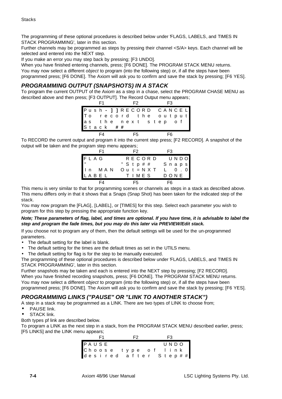The programming of these optional procedures is described below under 'FLAGS, LABELS, and TIMES IN STACK PROGRAMMING', later in this section.

Further channels may be programmed as steps by pressing their channel <S/A> keys. Each channel will be selected and entered into the NEXT step.

If you make an error you may step back by pressing; [F3 UNDO].

When you have finished entering channels, press; [F6 DONE]. The PROGRAM STACK MENU returns. You may now select a different *object* to program (into the following step) or, if all the steps have been programmed press; [F6 DONE]. The Axi*om* will ask you to confirm and save the stack by pressing; [F6 YES].

## *PROGRAMMING OUTPUT (SNAPSHOTS) IN A STACK*

To program the current OUTPUT of the Axi*om* as a step in a chase, select the PROGRAM CHASE MENU as described above and then press; [F3 OUTPUT]. The Record Output menu appears;

|  |  | F <sub>1</sub> |  |  |  |  |  |  | F2. |  |                                 |  |  | F3 |  |  |  |
|--|--|----------------|--|--|--|--|--|--|-----|--|---------------------------------|--|--|----|--|--|--|
|  |  |                |  |  |  |  |  |  |     |  | Push - J J R E CORD CANCEL      |  |  |    |  |  |  |
|  |  |                |  |  |  |  |  |  |     |  | To record the output            |  |  |    |  |  |  |
|  |  |                |  |  |  |  |  |  |     |  | as the next step of<br>Stack ## |  |  |    |  |  |  |
|  |  |                |  |  |  |  |  |  |     |  |                                 |  |  |    |  |  |  |
|  |  |                |  |  |  |  |  |  |     |  |                                 |  |  |    |  |  |  |

To RECORD the current output and program it into the current step press; [F2 RECORD]. A snapshot of the output will be taken and the program step menu appears;

|              | F1  | F2             | F3.                 |
|--------------|-----|----------------|---------------------|
| IF L A G     |     | RECORD         | UNDO                |
| $\mathbf{u}$ |     | "Stp## Snaps   |                     |
|              |     | In MAN Out=NXT | $L \quad 0 \quad 0$ |
| ILA B E L    |     | TIMES          | DONE                |
|              | F4. | F <sub>5</sub> | F6                  |

This menu is very similar to that for programming scenes or channels as steps in a stack as described above. This menu differs only in that it shows that a Snaps (Snap Shot) has been taken for the indicated step of the stack.

You may now program the [FLAG], [LABEL], or [TIMES] for this step. Select each parameter you wish to program for this step by pressing the appropriate function key.

### *Note; These parameters of flag, label, and times are optional. If you have time, it is advisable to label the step and program the fade times, but you may do this later via PREVIEW/Edit stack.*

If you choose not to program any of them, then the default settings will be used for the un-programmed parameters.

- The default setting for the label is blank.
- The default setting for the times are the default times as set in the UTILS menu.
- The default setting for flag is for the step to be manually executed.

The programming of these optional procedures is described below under 'FLAGS, LABELS, and TIMES IN STACK PROGRAMMING', later in this section.

Further snapshots may be taken and each is entered into the NEXT step by pressing; [F2 RECORD]. When you have finished recording snapshots, press; [F6 DONE]. The PROGRAM STACK MENU returns. You may now select a different *object* to program (into the following step) or, if all the steps have been programmed press; [F6 DONE]. The Axi*om* will ask you to confirm and save the stack by pressing; [F6 YES].

# *PROGRAMMING LINKS ("PAUSE" OR "LINK TO ANOTHER STACK")*

A step in a stack may be programmed as a LINK. There are two types of LINK to choose from;

- PAUSE link.
- STACK link.

Both types pf link are described below.

To program a LINK as the next step in a stack, from the PROGRAM STACK MENU described earlier, press; [F5 LINKS] and the LINK menu appears;

|                      | E1 |  |  |  | F2. |  |  | F <sub>3</sub> |  |  |
|----------------------|----|--|--|--|-----|--|--|----------------|--|--|
| PAUSE                |    |  |  |  |     |  |  | UNDO           |  |  |
| Choose type of link  |    |  |  |  |     |  |  |                |  |  |
| desired after Step## |    |  |  |  |     |  |  |                |  |  |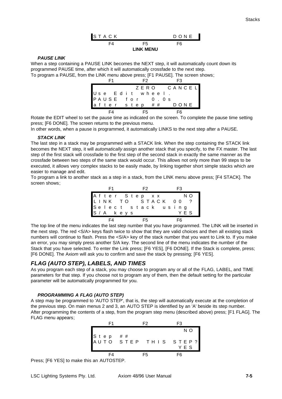

#### *PAUSE LINK*

When a step containing a PAUSE LINK becomes the NEXT step, it will automatically count down its programmed PAUSE time, after which it will automatically crossfade to the next step. To program a PAUSE, from the LINK menu above press; [F1 PAUSE]. The screen shows;

F1 F2 F3 Z E R O C A N C E L U s e E d i t w h e e l . P A U S E f o r 0 . 0 s f t e r s t e p # # D O N E

Rotate the EDIT wheel to set the pause time as indicated on the screen. To complete the pause time setting press; [F6 DONE]. The screen returns to the previous menu.

F4 F5 F6

In other words, when a pause is programmed, it automatically LINKS to the next step after a PAUSE.

#### *STACK LINK*

The last step in a stack may be programmed with a STACK link. When the step containing the STACK link becomes the NEXT step, it will *automatically* assign another stack that you specify, to the FX master. The last step of the first stack will crossfade to the first step of the second stack in exactly the same manner as the crossfade between two steps of the same stack would occur. This allows not only more than 99 steps to be executed, it allows very complex stacks to be easily made, by linking together short simple stacks which are easier to manage and edit.

To program a link to another stack as a step in a stack, from the LINK menu above press; [F4 STACK]. The screen shows;



The top line of the menu indicates the last step number that you have programmed. The LINK will be inserted in the next step. The red <S/A> keys flash twice to show that they are valid choices and then all existing stack numbers will continue to flash. Press the <S/A> key of the stack number that you want to Link to. If you make an error, you may simply press another S/A key. The second line of the menu indicates the number of the Stack that you have selected. To enter the Link press; [F6 YES], [F6 DONE]. If the Stack is complete, press; [F6 DONE]. The Axi*om* will ask you to confirm and save the stack by pressing; [F6 YES].

### *FLAG (AUTO STEP), LABELS, AND TIMES*

As you program each step of a stack, you may choose to program any or all of the FLAG, LABEL, and TIME parameters for that step. If you choose not to program any of them, then the default setting for the particular parameter will be automatically programmed for you.

#### *PROGRAMMING A FLAG (AUTO STEP)*

A step may be programmed to 'AUTO STEP', that is, the step will automatically execute at the completion of the previous step. On main menus 2 and 3, an AUTO STEP is identified by an 'A' beside its step number. After programming the contents of a step, from the program step menu (described above) press; [F1 FLAG]. The FLAG menu appears;



Press; [F6 YES] to make this an AUTOSTEP.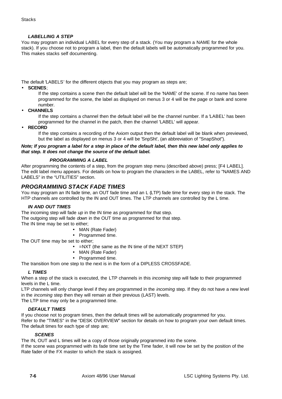### *LABELLING A STEP*

You may program an individual LABEL for every step of a stack. (You may program a NAME for the whole stack). If you choose not to program a label, then the default labels will be automatically programmed for you. This makes stacks self documenting.

The default 'LABELS' for the different objects that you may program as steps are;

• **SCENES**;

If the step contains a scene then the default label will be the 'NAME' of the scene. If no name has been programmed for the scene, the label as displayed on menus 3 or 4 will be the page or bank and scene number.

• **CHANNELS**

If the step contains a channel then the default label will be the channel number. If a 'LABEL' has been programmed for the channel in the patch, then the channel 'LABEL' will appear.

• **RECORD**

If the step contains a recording of the Axi*om* output then the default label will be blank when previewed, but the label as displayed on menus 3 or 4 will be 'SnpSht', (an abbreviation of "SnapShot").

#### *Note; If you program a label for a step in place of the default label, then this new label only applies to that step. It does not change the source of the default label.*

### *PROGRAMMING A LABEL*

After programming the contents of a step, from the program step menu (described above) press; [F4 LABEL]. The edit label menu appears. For details on how to program the characters in the LABEL, refer to "NAMES AND LABELS" in the "UTILITIES" section.

### *PROGRAMMING STACK FADE TIMES*

You may program an IN fade time, an OUT fade time and an L (LTP) fade time for every step in the stack. The HTP channels are controlled by the IN and OUT times. The LTP channels are controlled by the L time.

#### *IN AND OUT TIMES*

The incoming step will fade *up* in the IN time as programmed for that step. The outgoing step will fade *down* in the OUT time as programmed for that step. The IN time may be set to either;

- MAN (Rate Fader)
- Programmed time.

The OUT time may be set to either;

• =NXT (the same as the IN time of the NEXT STEP)

- MAN (Rate Fader)
- Programmed time.

The transition from one step to the next is in the form of a DIPLESS CROSSFADE.

#### *L TIMES*

When a step of the stack is executed, the LTP channels in this *incoming* step will fade to their programmed levels in the L time.

LTP channels will only change level if they are programmed in the *incoming* step. If they do not have a new level in the *incoming* step then they will remain at their previous (LAST) levels.

The LTP time may only be a programmed time.

### *DEFAULT TIMES*

If you choose not to program times, then the default times will be automatically programmed for you. Refer to the "TIMES" in the "DESK OVERVIEW" section for details on how to program your own default times. The default times for each type of step are;

### *SCENES*

The IN, OUT and L times will be a copy of those originally programmed into the scene. If the scene was programmed with its fade time set by the Time fader, it will now be set by the position of the Rate fader of the FX master to which the stack is assigned.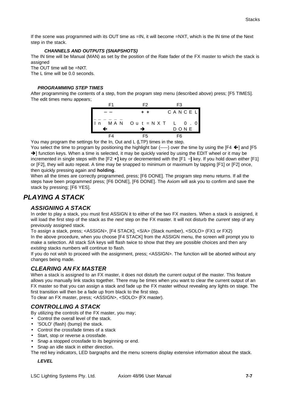If the scene was programmed with its OUT time as =IN, it will become =NXT, which is the IN time of the Next step in the stack.

### *CHANNELS AND OUTPUTS (SNAPSHOTS)*

The IN time will be Manual (MAN) as set by the position of the Rate fader of the FX master to which the stack is assigned

The OUT time will be =NXT.

The L time will be 0.0 seconds.

#### *PROGRAMMING STEP TIMES*

After programming the contents of a step, from the program step menu (described above) press; [F5 TIMES]. The edit times menu appears;



You may program the settings for the In, Out and L (LTP) times in the step.

You select the time to program by positioning the highlight bar  $(---)$  over the time by using the [F4  $\bigoplus$ ] and [F5  $\rightarrow$  I function keys. When a time is selected, it may be quickly varied by using the EDIT wheel or it may be incremented in single steps with the [F2 **+]** key or decremented with the [F1 **-]** key. If you hold down either [F1] or [F2], they will auto repeat. A time may be snapped to minimum or maximum by tapping [F1] or [F2] once, then quickly pressing again and **holding**.

When all the times are correctly programmed, press; [F6 DONE]. The program step menu returns. If all the steps have been programmed press; [F6 DONE], [F6 DONE]. The Axi*om* will ask you to confirm and save the stack by pressing; [F6 YES].

# *PLAYING A STACK*

### *ASSIGNING A STACK*

In order to play a stack, you must first ASSIGN it to either of the two FX masters. When a stack is assigned, it will load the first step of the stack as the *next* step on the FX master. It will not disturb the *current* step of any previously assigned stack.

To assign a stack, press; <ASSIGN>, [F4 STACK], <S/A> (Stack number), <SOLO> (FX1 or FX2) In the above procedure, when you choose [F4 STACK] from the ASSIGN menu, the screen will prompt you to make a selection. All stack S/A keys will flash twice to show that they are possible choices and then any *existing* stacks numbers will continue to flash.

If you do not wish to proceed with the assignment, press; <ASSIGN>. The function will be aborted without any changes being made.

## *CLEARING AN FX MASTER*

When a stack is assigned to an FX master, it does not disturb the current output of the master. This feature allows you manually link stacks together. There may be times when you want to clear the current output of an FX master so that you can assign a stack and fade up the FX master without revealing any lights on stage. The first transition will then be a fade up from black to the first step.

To clear an FX master, press; <ASSIGN>, <SOLO> (FX master).

## *CONTROLLING A STACK*

By utilizing the controls of the FX master, you may;

- Control the overall level of the stack.
- 'SOLO' (flash) (bump) the stack.
- Control the crossfade times of a stack
- Start, stop or reverse a crossfade.
- Snap a stopped crossfade to its beginning or end.
- Snap an idle stack in either direction.

The red key indicators, LED bargraphs and the menu screens display extensive information about the stack.

### *LEVEL*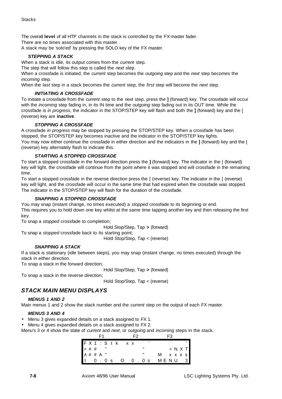The overall **level** of all HTP channels in the stack is controlled by the FX master fader. There are no times associated with this master.

A stack may be 'solo'ed' by pressing the SOLO key of the FX master.

### *STEPPING A STACK*

When a stack is idle, its output comes from the *current* step.

The step that will follow this step is called the *next* step.

When a crossfade is initiated, the *current* step becomes the *outgoing* step and the *next* step becomes the *incoming* step.

When the *last* step in a stack becomes the *current* step, the *first* step will become the *next* step.

### *INITIATING A CROSSFADE*

To initiate a crossfade from the *current* step to the *next* step, press the **]** (forward) key. The crossfade will occur with the *incoming* step fading in, in its IN time and the *outgoing* step fading out in its OUT time. While the crossfade is *in progress*, the indicator in the STOP/STEP key will flash and both the **]** (forward) key and the [ (reverse) key are **inactive**.

### *STOPPING A CROSSFADE*

A crossfade *in progress* may be stopped by pressing the STOP/STEP key. When a crossfade has been stopped, the STOP/STEP key becomes inactive and the indicator in the STOP/STEP key lights. You may now either continue the crossfade in either direction and the indicators in the **]** (forward) key and the [ (reverse) key alternately flash to indicate this.

### *STARTING A STOPPED CROSSFADE*

To start a stopped crossfade in the forward direction press the **]** (forward) key. The indicator in the ] (forward) key will light, the crossfade will continue from the point where it was stopped and will crossfade in the remaining time.

To start a stopped crossfade in the reverse direction press the [ (reverse) key. The indicator in the [ (reverse) key will light, and the crossfade will occur in the same time that had expired when the crossfade was stopped. The indicator in the STOP/STEP key will flash for the duration of the crossfade.

### *SNAPPING A STOPPED CROSSFADE*

You may snap (instant change, no times executed) a *stopped* crossfade to its beginning or end. This requires you to hold down one key whilst at the same time tapping another key and then releasing the first key.

To snap a *stopped* crossfade to completion;

Hold Stop/Step, Tap **>** (forward)

To snap a *stopped* crossfade back to its starting point;

Hold Stop/Step, Tap < (reverse)

### *SNAPPING A STACK*

If a stack is stationary (idle between steps), you may snap (instant change, no times executed) through the stack in either direction.

To snap a stack in the forward direction;

Hold Stop/Step, Tap **>** (forward)

To snap a stack in the reverse direction;

Hold Stop/Step, Tap < (reverse)

## *STACK MAIN MENU DISPLAYS*

### *MENUS 1 AND 2*

Main menus 1 and 2 show the stack number and the *current* step on the output of each FX master.

### *MENUS 3 AND 4*

- Menu 3 gives expanded details on a stack assigned to FX 1.
- Menu 4 gives expanded details on a stack assigned to FX 2.

Menu's 3 or 4 show the state of *current* and *next*, or *outgoing* and *incoming* steps in the stack.

|  |  |      |  | F X 1 : S t k x x<br>> # # "<br>^ # # A " |      | н |  |   |             | $= N X T$ |  |
|--|--|------|--|-------------------------------------------|------|---|--|---|-------------|-----------|--|
|  |  |      |  |                                           |      | ш |  | M | <b>XXXS</b> |           |  |
|  |  | 0.0s |  | $\circ$ O                                 | 0.0s |   |  |   | MENU        |           |  |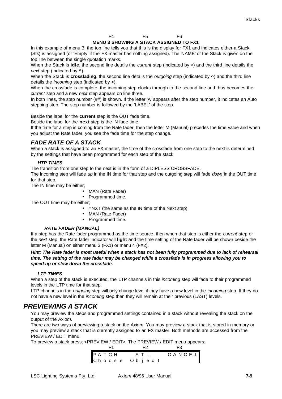# F4 F5 F6

## **MENU 3 SHOWING A STACK ASSIGNED TO FX1**

In this example of menu 3, the top line tells you that this is the display for FX1 and indicates either a Stack (Stk) is assigned (or 'Empty' if the FX master has nothing assigned). The 'NAME' of the Stack is given on the top line between the single quotation marks.

When the Stack is **idle**, the second line details the *current* step (indicated by >) and the third line details the *next* step (indicated by **^**).

When the Stack is **crossfading**, the second line details the *outgoing* step (indicated by **^**) and the third line details the *incoming* step (indicated by >).

When the crossfade is complete, the incoming step clocks through to the second line and thus becomes the *current* step and a new *next* step appears on line three.

In both lines, the step number (##) is shown. If the letter 'A' appears after the step number, it indicates an Auto stepping step. The step number is followed by the 'LABEL' of the step.

Beside the label for the **current** step is the OUT fade time.

Beside the label for the **next** step is the IN fade time.

If the time for a step is coming from the Rate fader, then the letter M (Manual) precedes the time value and when you adjust the Rate fader, you see the fade time for the step change.

## *FADE RATE OF A STACK*

When a stack is assigned to an FX master, the time of the crossfade from one step to the next is determined by the settings that have been programmed for each step of the stack.

### *HTP TIMES*

The transition from one step to the next is in the form of a DIPLESS CROSSFADE.

The incoming step will fade *up* in the IN time for that step and the outgoing step will fade *down* in the OUT time for that step.

The IN time may be either;

- MAN (Rate Fader)
- Programmed time.

The OUT time may be either;

- =NXT (the same as the IN time of the Next step)
- MAN (Rate Fader)
- Programmed time.

### *RATE FADER (MANUAL)*

If a step has the Rate fader programmed as the time source, then when that step is either the *current* step or the *next* step, the Rate fader indicator will **light** and the time setting of the Rate fader will be shown beside the letter M (Manual) on either menu 3 (FX1) or menu 4 (FX2).

#### *Hint; The Rate fader is most useful when a stack has not been fully programmed due to lack of rehearsal time. The setting of the rate fader may be changed while a crossfade is in progress allowing you to speed up or slow down the crossfade.*

### *LTP TIMES*

When a step of the stack is executed, the LTP channels in this *incoming* step will fade to their programmed levels in the LTP time for that step.

LTP channels in the *outgoing* step will only change level if they have a new level in the *incoming* step. If they do not have a new level in the *incoming* step then they will remain at their previous (LAST) levels.

# *PREVIEWING A STACK*

You may preview the steps and programmed settings contained in a stack without revealing the stack on the output of the Axi*om*.

There are two ways of previewing a stack on the Axi*om*. You may preview a stack that is stored in memory or you may preview a stack that is currently assigned to an FX master. Both methods are accessed from the PREVIEW / EDIT menu.

To preview a stack press; <PREVIEW / EDIT>. The PREVIEW / EDIT menu appears;

| F1            | F2  | E3      |
|---------------|-----|---------|
| PATCH         | STL | CANCELI |
| Choose Object |     |         |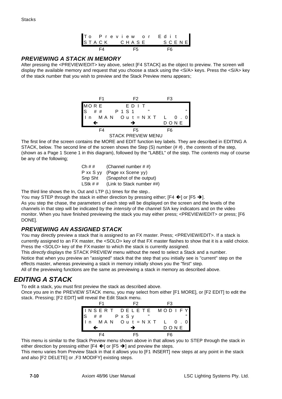|    | To Preview or Edit<br>STACK CHASE SCENE |      |
|----|-----------------------------------------|------|
|    |                                         |      |
| F4 | F5.                                     | - F6 |

### *PREVIEWING A STACK IN MEMORY*

After pressing the <PREVIEW/EDIT> key above, select [F4 STACK] as the object to preview. The screen will display the available memory and request that you choose a stack using the <S/A> keys. Press the <S/A> key of the stack number that you wish to preview and the Stack Preview menu appears;



STACK PREVIEW MENU

The first line of the screen contains the MORE and EDIT function key labels. They are described in EDITING A STACK, below. The second line of the screen shows the Step (S) number (# #) , the *contents* of the step, (shown as a Page 1 Scene 1 in this diagram), followed by the "LABEL" of the step. The *contents* may of course be any of the following;

| Ch # #    | (Channel number ##)       |
|-----------|---------------------------|
| P xx S yy | (Page xx Scene yy)        |
| Snp Sht   | (Snapshot of the output)  |
| LStk # #  | (Link to Stack number ##) |
|           |                           |

The third line shows the In, Out and LTP (L) times for the step..

You may STEP through the stack in either direction by pressing either;  $[F4 \leftarrow]$  or  $[F5 \rightarrow]$ . As you step the chase, the parameters of each step will be displayed on the screen and the levels of the channels in that step will be indicated by the *intensity* of the channel S/A key indicators and on the video monitor. When you have finished previewing the stack you may either press; <PREVIEW/EDIT> or press; [F6 DONE].

## *PREVIEWING AN ASSIGNED STACK*

You may directly preview a stack that is assigned to an FX master. Press; <PREVIEW/EDIT>. If a stack is currently assigned to an FX master, the <SOLO> key of that FX master flashes to show that it is a valid choice. Press the <SOLO> key of the FX master to which the stack is currently assigned.

This *directly* displays the STACK PREVIEW menu without the need to select a Stack and a number. Notice that when you preview an "assigned" stack that the step that you initially see is "current" step on the effects master, whereas previewing a stack in memory initially shows you the "first" step.

All of the previewing functions are the same as previewing a stack in memory as described above.

# *EDITING A STACK*

To edit a stack, you must first preview the stack as described above.

Once you are in the PREVIEW STACK menu, you may select from either [F1 MORE], or [F2 EDIT] to edit the stack. Pressing; [F2 EDIT] will reveal the Edit Stack menu.

|                      |                         | F3   |
|----------------------|-------------------------|------|
| INSERT DELETE MODIFY |                         |      |
| $S$ # # $P$ x S y    |                         |      |
|                      | In MAN Out = $NXT$ L 0. |      |
|                      |                         | DONE |
|                      |                         |      |

This menu is similar to the Stack Preview menu shown above in that allows you to STEP through the stack in either direction by pressing either  $[F4 \leftarrow]$  or  $[F5 \rightarrow]$  and preview the steps.

This menu varies from Preview Stack in that it allows you to [F1 INSERT] new steps at any point in the stack and also [F2 DELETE] or ,F3 MODIFY] existing steps.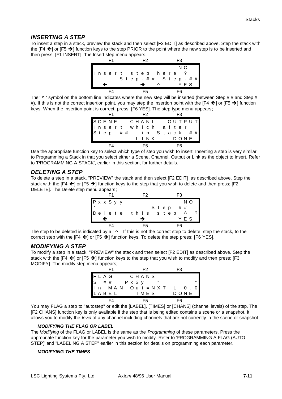### *INSERTING A STEP*

To insert a step in a stack, preview the stack and then select [F2 EDIT] as described above. Step the stack with the  $[F4 \leftarrow]$  or  $[F5 \rightarrow]$  function keys to the step PRIOR to the point where the new step is to be inserted and then press; [F1 INSERT]. The Insert step menu appears.



The '<sup>\*</sup> ' symbol on the bottom line indicates where the new step will be inserted (between Step # # and Step # #). If this is not the correct insertion point, you may step the insertion point with the [F4  $\bigoplus$ ] or [F5  $\bigtriangledown$ ] function keys. When the insertion point is correct, press; [F6 YES]. The step type menu appears;

|  | F1                          |  |  |  | F2.       |  |  | F3 |  |                    |
|--|-----------------------------|--|--|--|-----------|--|--|----|--|--------------------|
|  |                             |  |  |  |           |  |  |    |  | SCENE CHANL OUTPUT |
|  | Insert which after          |  |  |  |           |  |  |    |  |                    |
|  | Step $\#$ # in Stack $\#$ # |  |  |  |           |  |  |    |  |                    |
|  |                             |  |  |  | LINK DONE |  |  |    |  |                    |
|  |                             |  |  |  | F5.       |  |  |    |  |                    |

Use the appropriate function key to select which type of step you wish to insert. Inserting a step is very similar to Programming a Stack in that you select either a Scene, Channel, Output or Link as the object to insert. Refer to 'PROGRAMMING A STACK', earlier in this section, for further details.

### *DELETING A STEP*

To delete a step in a stack, "PREVIEW" the stack and then select [F2 EDIT] as described above. Step the stack with the [F4  $\bigoplus$ ] or [F5  $\bigoplus$ ] function keys to the step that you wish to delete and then press; [F2 DELETE]. The Delete step menu appears;

| F1                 | F2                  | F3          |
|--------------------|---------------------|-------------|
| $P \times x S y y$ | $N O$               |             |
| $D e$   e t e      | $t h$   i s s t e p | $t$ $t$ $t$ |
| $\leftarrow$       | $\rightarrow$       | $\vee$ E S  |
| F4                 | F5                  | F6          |

The step to be deleted is indicated by a ' **^** '. If this is not the correct step to delete, step the stack, to the correct step with the  $[F4 \leftarrow]$  or  $[F5 \rightarrow]$  function keys. To delete the step press; [F6 YES].

### *MODIFYING A STEP*

To modify a step in a stack, "PREVIEW" the stack and then select [F2 EDIT] as described above. Step the stack with the [F4  $\bigoplus$ ] or [F5  $\bigoplus$ ] function keys to the step that you wish to modify and then press; [F3 MODIFY]. The modify step menu appears;

| F1                      | F2.                    | F3   |
|-------------------------|------------------------|------|
|                         | C H A N S              |      |
| FLAG CHAM<br>S # # PxSy |                        |      |
|                         | In MAN Out=NXT L $0$ . |      |
|                         | LABEL TIMES            | DONE |
| FΔ                      | F5                     | F6   |

You may FLAG a step to "autostep" or edit the [LABEL], [TIMES] or [CHANS] (channel levels) of the step. The [F2 CHANS] function key is only available if the step that is being edited contains a scene or a snapshot. It allows you to modify the *level* of any channel including channels that are not currently in the scene or snapshot.

### *MODIFYING THE FLAG OR LABEL*

The *Modifying* of the FLAG or LABEL is the same as the *Programming* of these parameters. Press the appropriate function key for the parameter you wish to modify. Refer to 'PROGRAMMING A FLAG (AUTO STEP)' and "LABELING A STEP" earlier in this section for details on programming each parameter.

### *MODIFYING THE TIMES*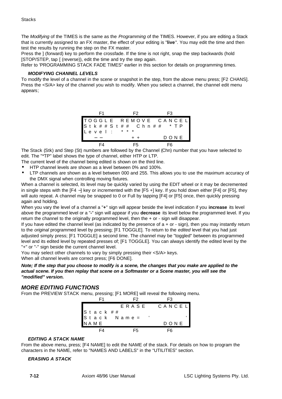The *Modifying* of the TIMES is the same as the *Programming* of the TIMES. However, if you are editing a Stack that is currently assigned to an FX master, the effect of your editing is "**live**". You may edit the time and then test the results by running the step on the FX master.

Press the ] (forward) key to perform the crossfade. If the time is not right, snap the step backwards (hold [STOP/STEP, tap [ (reverse)), edit the time and try the step again.

Refer to 'PROGRAMMING STACK FADE TIMES" earlier in this section for details on programming times.

#### *MODIFYING CHANNEL LEVELS*

To modify the level of a channel in the scene or snapshot in the step, from the above menu press; [F2 CHANS]. Press the <S/A> key of the channel you wish to modify. When you select a channel, the channel edit menu appears;

| F1                                                        | F2.   | F3   |
|-----------------------------------------------------------|-------|------|
|                                                           |       |      |
| TOGGLE REMOVE CANCEL<br>Stk##St## Chn## *TP<br>Level: *** |       |      |
|                                                           |       |      |
|                                                           | $+ +$ | DONE |
|                                                           |       |      |

The Stack (Stk) and Step (St) numbers are followed by the Channel (Chn) number that you have selected to edit. The "\*TP" label shows the type of channel, either HTP or LTP.

The current level of the channel being edited is shown on the third line.

- HTP channel levels are shown as a level between 0% and 100%.
- LTP channels are shown as a level between 000 and 255. This allows you to use the maximum accuracy of the DMX signal when controlling moving fixtures.

When a channel is selected, its level may be quickly varied by using the EDIT wheel or it may be decremented in single steps with the [F4 −] key or incremented with the [F5 +] key. If you hold down either [F4] or [F5], they will auto repeat. A channel may be snapped to 0 or Full by tapping [F4] or [F5] once, then quickly pressing again and holding.

When you vary the level of a channel a "**+**" sign will appear beside the level indication if you **increase** its level above the programmed level or a "**-**" sign will appear if you **decrease** its level below the programmed level. If you return the channel to the originally programmed level, then the + or - sign will disappear.

If you have edited the channel level (as indicated by the presence of a + or - sign), then you may instantly return to the *original* programmed level by pressing; [F1 TOGGLE]. To return to the *edited* level that you had just adjusted simply press; [F1 TOGGLE] a second time. The channel may be "toggled" between its programmed level and its edited level by repeated presses of; [F1 TOGGLE]. You can always identify the edited level by the "+" or "-" sign beside the current channel level.

You may select other channels to vary by simply pressing their <S/A> keys.

When all channel levels are correct press; [F6 DONE].

*Note; If the step that you choose to modify is a scene, the changes that you make are applied to the actual scene. If you then replay that scene on a Softmaster or a Scene master, you will see the "modified" version.*

### *MORE EDITING FUNCTIONS*

From the PREVIEW STACK menu, pressing; [F1 MORE] will reveal the following menu.

|      | F2                       |             |
|------|--------------------------|-------------|
|      | ERASE                    | C A N C E L |
|      |                          |             |
|      | Stack ##<br>Stack Name = |             |
| NAME |                          | DONE        |
|      |                          |             |

### *EDITING A STACK NAME*

From the above menu, press; [F4 NAME] to edit the NAME of the stack. For details on how to program the characters in the NAME, refer to "NAMES AND LABELS" in the "UTILITIES" section.

### *ERASING A STACK*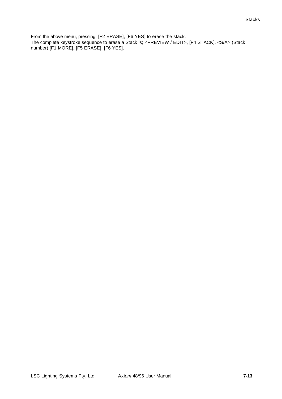From the above menu, pressing; [F2 ERASE], [F6 YES] to erase the stack. The complete keystroke sequence to erase a Stack is; <PREVIEW / EDIT>, [F4 STACK], <S/A> (Stack number) [F1 MORE], [F5 ERASE], [F6 YES].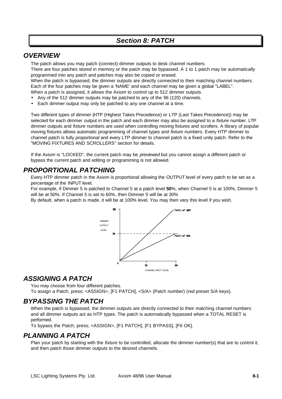# *Section 8: PATCH*

# *OVERVIEW*

The patch allows you may patch (connect) dimmer outputs to desk channel numbers.

There are four patches stored in memory or the patch may be bypassed. A 1 to 1 patch may be automatically programmed into any patch and patches may also be copied or erased.

When the patch is bypassed, the dimmer outputs are directly connected to their matching channel numbers. Each of the four patches may be given a 'NAME' and each channel may be given a global "LABEL".

When a patch is assigned, it allows the Axi*om* to control up to 512 dimmer outputs.

• Any of the 512 dimmer outputs may be patched to any of the 96 (120) channels. • Each dimmer output may only be patched to any one channel at a time.

Two different types of dimmer (HTP (Highest Takes Precedence) or LTP (Last Takes Precedence)) may be selected for each dimmer output in the patch and each dimmer may also be assigned to a *fixture* number. LTP dimmer outputs and *fixture* numbers are used when controlling moving fixtures and scrollers. A library of popular moving fixtures allows automatic programming of channel types and *fixture* numbers. Every HTP dimmer to channel patch is fully *proportional* and every LTP dimmer to channel patch is a fixed unity patch. Refer to the "MOVING FIXTURES AND SCROLLERS" section for details.

If the Axi*om* is "LOCKED", the current patch may be *previewed* but you cannot assign a different patch or bypass the current patch and editing or programming is not allowed.

# *PROPORTIONAL PATCHING*

Every HTP dimmer patch in the Axi*om* is proportional allowing the OUTPUT level of every patch to be set as a percentage of the INPUT level.

For example, if Dimmer 5 is patched to Channel 5 at a patch level **50**%, when Channel 5 is at 100%, Dimmer 5 will be at 50%. If Channel 5 is set to 60%, then Dimmer 5 will be at 30%

By default, when a patch is made, it will be at 100% level. You may then vary this level if you wish.



# *ASSIGNING A PATCH*

You may choose from four different patches. To assign a Patch, press; <ASSIGN>, [F1 PATCH], <S/A> (Patch number) (red preset S/A keys).

# *BYPASSING THE PATCH*

When the patch is bypassed, the dimmer outputs are directly connected to their matching channel numbers and all dimmer outputs act as HTP types. The patch is automatically bypassed when a TOTAL RESET is performed.

To bypass the Patch, press; <ASSIGN>, [F1 PATCH], [F1 BYPASS], [F6 OK].

# *PLANNING A PATCH*

Plan your patch by starting with the *fixture* to be controlled, allocate the dimmer number(s) that are to control it, and then patch those dimmer outputs to the desired channels.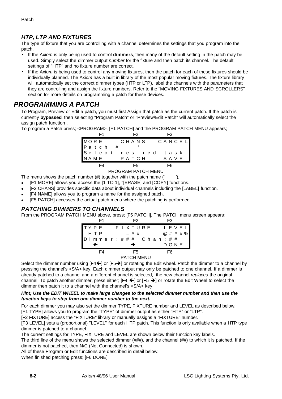## *HTP, LTP AND FIXTURES*

The type of fixture that you are controlling with a channel determines the settings that you program into the patch.

- If the Axi*om* is only being used to control **dimmers**, then many of the default setting in the patch may be used. Simply select the dimmer output *number* for the fixture and then patch its channel. The default settings of "HTP" and no fixture number are correct.
- If the Axi*om* is being used to control any moving fixtures, then the patch for each of these fixtures should be individually planned. The Axi*om* has a built in library of the most popular moving fixtures. The fixture library will automatically set the correct dimmer types (HTP or LTP), label the channels with the parameters that they are controlling and assign the fixture numbers. Refer to the "MOVING FIXTURES AND SCROLLERS" section for more details on programming a patch for these devices.

# *PROGRAMMING A PATCH*

To Program, Preview or Edit a patch, you must first Assign that patch as the current patch. If the patch is currently **bypassed**, then selecting "Program Patch" or "Preview/Edit Patch" will automatically select the assign patch function .

To program a Patch press; <PROGRAM>, [F1 PATCH] and the PROGRAM PATCH MENU appears;

|                      | F2           | F3      |  |
|----------------------|--------------|---------|--|
| MORE                 | CHANS CANCEL |         |  |
| Patch<br>#           |              |         |  |
| Select desired task. |              |         |  |
| NAME                 | P A T C H    | S A V E |  |
| F4                   | F5           | FR      |  |
| PROGRAM PATCH MENU   |              |         |  |

The menu shows the patch number  $(\#)$  together with the patch name  $(′ \t )$ .

- [F1 MORE] allows you access the [1 TO 1], "[ERASE] and [COPY] functions.
- <sup>l</sup> [F2 CHANS] provides specific data about individual channels including the [LABEL] function.
- [F4 NAME] allows you to program a name for the assigned patch.
- [F5 PATCH] accesses the actual patch menu where the patching is performed.

### *PATCHING DIMMERS TO CHANNELS*

From the PROGRAM PATCH MENU above, press; [F5 PATCH]. The PATCH menu screen appears;

|      | F2                 | Ξ3    |
|------|--------------------|-------|
| TYPE | FIXTURE            | LEVEL |
| HTP  | $=$ # #            | @###% |
|      | Dimmer:### Chan:## |       |
| L    |                    | DONE  |
|      | F5                 | F6    |
|      | <b>PATCH MENU</b>  |       |

Select the dimmer number using  $[F4 \bigtriangleup]$  or  $[F5 \bigtriangledown]$  or rotating the Edit wheel. Patch the dimmer to a channel by pressing the channel's <S/A> key. Each dimmer output may only be patched to one channel. If a dimmer is already patched to a channel and a different channel is selected, the new channel *replaces* the original channel. To patch another dimmer, press either;  $[FA \leftarrow]$  or  $[FS \rightarrow]$  or rotate the Edit Wheel to select the dimmer then patch it to a channel with the channel's <S/A> key.

#### *Hint; Use the EDIT WHEEL to make large changes to the selected dimmer number and then use the function keys to step from one dimmer number to the next.*

For each dimmer you may also set the dimmer TYPE, FIXTURE number and LEVEL as described below. [F1 TYPE] allows you to program the "TYPE" of dimmer output as either "HTP" or "LTP".

[F2 FIXTURE] access the "FIXTURE" library or manually assigns a "FIXTURE" number.

[F3 LEVEL] sets a (proportional) "LEVEL" for each HTP patch. This function is only available when a HTP type dimmer is patched to a channel.

The current settings for TYPE, FIXTURE and LEVEL are shown below their function key labels.

The third line of the menu shows the selected dimmer (###), and the channel (##) to which it is patched. If the dimmer is not patched, then N/C (Not Connected) is shown.

All of these Program or Edit functions are described in detail below.

When finished patching press; [F6 DONE]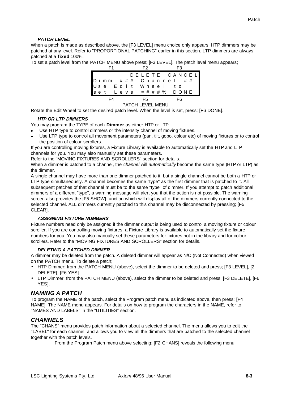#### *PATCH LEVEL*

When a patch is made as described above, the [F3 LEVEL] menu choice only appears. HTP dimmers may be patched at any level. Refer to "PROPORTIONAL PATCHING" earlier in this section. LTP dimmers are always patched at a **fixed** 100%.

To set a patch level from the PATCH MENU above press; [F3 LEVEL]. The patch level menu appears;

|                   |  | F2 | F3                       |  |  |  |  |  |
|-------------------|--|----|--------------------------|--|--|--|--|--|
|                   |  |    | DELETE CANCEL            |  |  |  |  |  |
|                   |  |    | Dimm ### Channel ##      |  |  |  |  |  |
| Use Edit Wheel to |  |    |                          |  |  |  |  |  |
|                   |  |    | set Level = # # # % DONE |  |  |  |  |  |
| FΔ                |  | F5 | F6                       |  |  |  |  |  |
| PATCH LEVEL MENU  |  |    |                          |  |  |  |  |  |

Rotate the Edit Wheel to set the desired patch level. When the level is set, press; [F6 DONE].

#### *HTP OR LTP DIMMERS*

You may program the TYPE of each **Dimmer** as either HTP or LTP.

- Use HTP type to control dimmers or the intensity channel of moving fixtures.
- Use LTP type to control all movement parameters (pan, tilt, gobo, colour etc) of moving fixtures or to control the position of colour scrollers.

If you are controlling moving fixtures, a Fixture Library is available to automatically set the HTP and LTP channels for you. You may also manually set these parameters.

Refer to the "MOVING FIXTURES AND SCROLLERS" section for details.

When a dimmer is patched to a channel, the *channel* will *automatically* become the same type (HTP or LTP) as the dimmer.

A single channel may have more than one dimmer patched to it, but a single channel cannot be both a HTP or LTP type simultaneously. A channel becomes the same "type" as the first dimmer that is patched to it. All subsequent patches of that channel must be to the same "type" of dimmer. If you attempt to patch additional dimmers of a different "type", a warning message will alert you that the action is not possible. The warning screen also provides the [F5 SHOW] function which will display all of the dimmers currently connected to the selected channel. ALL dimmers currently patched to this channel may be disconnected by pressing; [F5 CLEAR].

#### *ASSIGNING FIXTURE NUMBERS*

Fixture numbers need only be assigned if the dimmer output is being used to control a moving fixture or colour scroller. If you are controlling moving fixtures, a Fixture Library is available to automatically set the fixture numbers for you. You may also manually set these parameters for fixtures not in the library and for colour scrollers. Refer to the "MOVING FIXTURES AND SCROLLERS" section for details.

#### *DELETING A PATCHED DIMMER*

A dimmer may be deleted from the patch. A deleted dimmer will appear as N/C (Not Connected) when viewed on the PATCH menu. To delete a patch;

- HTP Dimmer; from the PATCH MENU (above), select the dimmer to be deleted and press; [F3 LEVEL], [2 DELETE], [F6 YES].
- LTP Dimmer; from the PATCH MENU (above), select the dimmer to be deleted and press; [F3 DELETE], [F6 YES].

#### *NAMING A PATCH*

To program the NAME of the patch, select the Program patch menu as indicated above, then press; [F4 NAME]. The NAME menu appears. For details on how to program the characters in the NAME, refer to "NAMES AND LABELS" in the "UTILITIES" section.

# *CHANNELS*

The "CHANS" menu provides patch information about a selected channel. The menu allows you to edit the "LABEL" for each channel, and allows you to view all the dimmers that are patched to the selected channel together with the patch levels.

From the Program Patch menu above selecting; [F2 CHANS] reveals the following menu;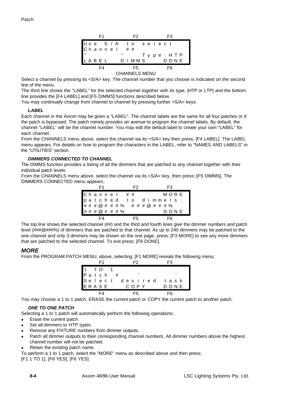|                                 |                      |    |  |  |  |              | F2 |  |    |  |  |  | F3 |  |    |          |  |  |
|---------------------------------|----------------------|----|--|--|--|--------------|----|--|----|--|--|--|----|--|----|----------|--|--|
| Use S/A to select<br>Channel ## |                      |    |  |  |  |              |    |  |    |  |  |  |    |  |    |          |  |  |
|                                 |                      |    |  |  |  |              |    |  |    |  |  |  |    |  |    |          |  |  |
|                                 |                      |    |  |  |  | $\mathbf{H}$ |    |  |    |  |  |  |    |  |    | Туре:НТР |  |  |
| LABEL                           |                      |    |  |  |  | DIMMS        |    |  |    |  |  |  |    |  |    | DONE     |  |  |
|                                 |                      | F4 |  |  |  |              |    |  | F5 |  |  |  |    |  | F6 |          |  |  |
|                                 | <b>CHANNELS MENU</b> |    |  |  |  |              |    |  |    |  |  |  |    |  |    |          |  |  |

Select a channel by pressing its <S/A> key. The channel number that you choose is indicated on the second line of the menu.

The third line shows the "LABEL" for the selected channel together with its type, (HTP or LTP) and the bottom line provides the [F4 LABEL] and [F5 DIMMS] functions described below.

You may continually change from channel to channel by pressing further <S/A> keys.

#### *LABEL*

Each channel in the Axi*om* may be given a "LABEL". The channel labels are the same for all four patches or if the patch is bypassed. The patch merely provides an avenue to program the channel labels. By default, the channel "LABEL" will be the channel *number*. You may edit the default label to create your own "LABEL" for each channel.

From the CHANNELS menu above, select the channel via its <S/A> key then press; [F4 LABEL]. The LABEL menu appears. For details on how to program the characters in the LABEL, refer to "NAMES AND LABELS" in the "UTILITIES" section.

#### *DIMMERS CONNECTED TO CHANNEL*

The DIMMS function provides a listing of all the dimmers that are patched to any channel together with their individual patch levels

From the CHANNELS menu above, select the channel via its <S/A> key, then press; [F5 DIMMS]. The DIMMERS CONNECTED menu appears;

|                                 | F2. | F3   |
|---------------------------------|-----|------|
| Channel ##                      |     | MORE |
| patched to dimmers:             |     |      |
| # # # @ # # # % # # # @ # # # % |     |      |
| # # # @ # # # %                 |     | DONE |
|                                 |     |      |

The top line shows the selected channel (##) and the third and fourth lines give the dimmer numbers and patch level (###@###%) of dimmers that are patched to that channel. As up to 240 dimmers may be patched to the one channel and only 3 dimmers may be shown on the one page, press; [F3 MORE] to see any more dimmers that are patched to the selected channel. To exit press; [F6 DONE].

#### *MORE*

From the PROGRAM PATCH MENU, above, selecting; [F1 MORE] reveals the following menu;

| $1$ TO 1 |                                |      |
|----------|--------------------------------|------|
|          | Patch #<br>Select desired task |      |
|          |                                |      |
| ERASE    | C O P Y                        | DONE |
|          |                                |      |

You may choose a 1 to 1 patch, ERASE the current patch or COPY the current patch to another patch.

#### *ONE TO ONE PATCH*

Selecting a 1 to 1 patch will automatically perform the following operations;

- $\bullet$  Erase the current patch.
- Set all dimmers to HTP types.
- Remove any FIXTURE numbers from dimmer outputs.
- Patch all dimmer outputs to their corresponding channel numbers. All dimmer numbers above the highest channel number will not be patched.
- Retain the existing patch name.

To perform a 1 to 1 patch, select the "MORE" menu as described above and then press;

[F1 1 TO 1], [F6 YES], [F6 YES]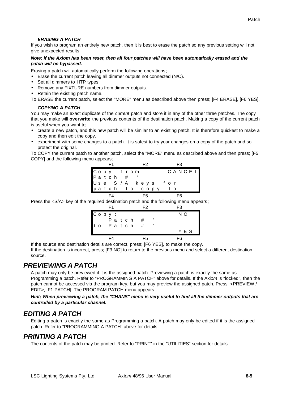#### *ERASING A PATCH*

If you wish to program an entirely new patch, then it is best to erase the patch so any previous setting will not give unexpected results.

#### *Note; If the Axiom has been reset, then all four patches will have been automatically erased and the patch will be bypassed.*

Erasing a patch will automatically perform the following operations;

- Erase the current patch leaving all dimmer outputs not connected (N/C).
- Set all dimmers to HTP types.
- Remove any FIXTURE numbers from dimmer outputs.
- Retain the existing patch name.
- To ERASE the current patch, select the "MORE" menu as described above then press; [F4 ERASE], [F6 YES].

#### *COPYING A PATCH*

You may make an exact duplicate of the *current* patch and store it in any of the other three patches. The copy that you make will **overwrite** the previous contents of the destination patch. Making a copy of the current patch is useful when you want to;

- create a new patch, and this new patch will be similar to an existing patch. It is therefore quickest to make a copy and then edit the copy.
- experiment with some changes to a patch. It is safest to try your changes on a copy of the patch and so protect the original.

To COPY the current patch to another patch, select the "MORE" menu as described above and then press; [F5 COPY] and the following menu appears;

|                        |  |  |  |  |  |  |  | FЗ |        |  |
|------------------------|--|--|--|--|--|--|--|----|--------|--|
|                        |  |  |  |  |  |  |  |    | CANCEL |  |
| Copy from<br>Patch # ' |  |  |  |  |  |  |  |    |        |  |
| Use S/A keys for       |  |  |  |  |  |  |  |    |        |  |
| patch to copy to.      |  |  |  |  |  |  |  |    |        |  |
|                        |  |  |  |  |  |  |  |    |        |  |

Press the <S/A> key of the required destination patch and the following menu appears;

|               |   | -3  |
|---------------|---|-----|
| $C$ o p $y$ : |   | N O |
| Patch         | # |     |
| to Patch      | # |     |
|               |   | YES |
|               |   |     |

If the source and destination details are correct, press; [F6 YES], to make the copy.

If the destination is incorrect, press; [F3 NO] to return to the previous menu and select a different destination source.

# *PREVIEWING A PATCH*

A patch may only be previewed if it is the assigned patch. Previewing a patch is exactly the same as Programming a patch. Refer to "PROGRAMMING A PATCH" above for details. If the Axi*om* is "locked", then the patch cannot be accessed via the program key, but you may preview the assigned patch. Press; <PREVIEW / EDIT>, [F1 PATCH]. The PROGRAM PATCH menu appears.

*Hint; When previewing a patch, the "CHANS" menu is very useful to find all the dimmer outputs that are controlled by a particular channel.*

# *EDITING A PATCH*

Editing a patch is exactly the same as Programming a patch. A patch may only be edited if it is the assigned patch. Refer to "PROGRAMMING A PATCH" above for details.

# *PRINTING A PATCH*

The contents of the patch may be printed. Refer to "PRINT" in the "UTILITIES" section for details.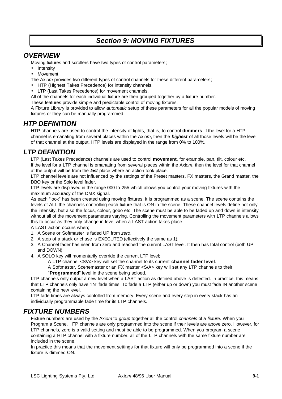# *Section 9: MOVING FIXTURES*

# *OVERVIEW*

Moving fixtures and scrollers have two types of control parameters;

- Intensity
- **Movement**

The Axi*om* provides two different types of control channels for these different parameters;

- HTP (Highest Takes Precedence) for intensity channels.
- LTP (Last Takes Precedence) for movement channels.

All of the channels for each individual fixture are then grouped together by a fixture number.

These features provide simple and predictable control of moving fixtures.

A Fixture Library is provided to allow *automatic* setup of these parameters for all the popular models of moving fixtures or they can be manually programmed.

# *HTP DEFINITION*

HTP channels are used to control the intensity of lights, that is, to control **dimmers**. If the level for a HTP channel is emanating from several places within the Axi*om*, then the *highest* of all those levels will be the level of that channel at the output. HTP levels are displayed in the range from 0% to 100%.

# *LTP DEFINITION*

LTP (Last Takes Precedence) channels are used to control **movement**, for example, pan, tilt, colour etc. If the level for a LTP channel is emanating from several places within the Axi*om*, then the level for that channel at the output will be from the *last* place where an action took place.

LTP channel levels are not influenced by the settings of the Preset masters, FX masters, the Grand master, the DBO key or the Solo level fader.

LTP levels are displayed in the range 000 to 255 which allows you control your moving fixtures with the maximum accuracy of the DMX signal.

As each "look" has been created using moving fixtures, it is programmed as a scene. The scene contains the levels of ALL the channels controlling each fixture that is ON in the scene. These channel levels define not only the intensity, but also the focus, colour, gobo etc. The scene must be able to be faded up and down in intensity without all of the movement parameters varying. Controlling the movement parameters with LTP channels allows this to occur as they only change in level when a LAST action takes place.

- A LAST action occurs when;
- 1. A Scene or Softmaster is faded UP from *zero*.
- 2. A step of a stack or chase is EXECUTED (effectively the same as 1).
- 3. A Channel fader has risen from zero and reached the current LAST level. It then has total control (both UP and DOWN).
- 4. A SOLO key will momentarily override the current LTP level;

A LTP channel <S/A> key will set the channel to its current **channel fader level**.

A Softmaster, Scenemaster or an FX master <S/A> key will set any LTP channels to their "**Programmed**" level in the scene being soloed.

LTP channels only output a new level when a LAST action as defined above is detected. In practice, this means that LTP channels only have "IN" fade times. To fade a LTP (either up or down) you must fade IN another scene containing the new level.

LTP fade times are always contolled from memory. Every scene and every step in every stack has an individually programmable fade time for its LTP channels.

# *FIXTURE NUMBERS*

Fixture numbers are used by the Axi*om* to *group* together all the control *channels* of a *fixture*. When you Program a Scene, HTP channels are only programmed into the scene if their levels are above zero. However, for LTP channels, zero is a valid setting and must be able to be programmed. When you program a scene containing a HTP channel with a fixture number, all of the LTP channels with the same fixture number are included in the scene.

In practice this means that the movement settings for that fixture will only be programmed into a scene if the fixture is dimmed ON.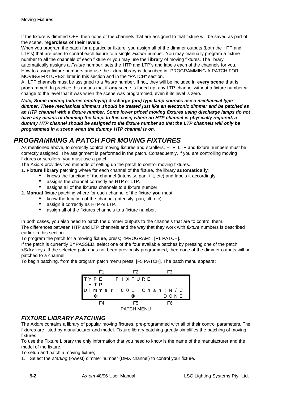If the fixture is dimmed OFF, then none of the channels that are assigned to that fixture will be saved as part of the scene, **regardless of their levels.**

When you program the patch for a particular fixture, you assign all of the dimmer outputs (both the HTP and LTP's) that are used to control each fixture to a single *Fixture* number. You may manually program a fixture number to all the channels of each fixture or you may use the **library** of moving fixtures. The library automatically assigns a *Fixture* number, sets the HTP and LTP's and labels each of the channels for you. How to assign fixture numbers and use the fixture library is described in "PROGRAMMING A PATCH FOR MOVING FIXTURES" later in this section and in the "PATCH" section.

All LTP channels must be assigned to a *fixture* number. If not, they will be included in **every scene** that is programmed. In practice this means that if **any** scene is faded up, any LTP channel without a fixture number will change to the level that it was when the scene was programmed, even if its level is zero.

*Note; Some moving fixtures employing* **discharge** *(arc) type lamp sources use a mechanical type dimmer. These mechanical dimmers should be treated just like an electronic dimmer and be patched as an HTP channel with a fixture number. Some lower priced moving fixtures using discharge lamps do not have any means of dimming the lamp. In this case, where no HTP channel is physically required, a dummy HTP channel should be assigned to the fixture number so that the LTP channels will only be programmed in a scene when the dummy HTP channel is on.*

# *PROGRAMMING A PATCH FOR MOVING FIXTURES*

As mentioned above, to correctly control moving fixtures and scrollers, HTP, LTP and fixture numbers must be correctly assigned. The assignment is performed in the patch. Consequently, if you are controlling moving fixtures or scrollers, you must use a patch.

The Axi*om* provides two methods of setting up the patch to control moving fixtures.

1. **Fixture library** patching where for each channel of the fixture, the library **automatically**;

- knows the function of the channel (intensity, pan, tilt, etc) and labels it accordingly.
- assigns the channel correctly as HTP or LTP.
- assigns all of the fixtures channels to a fixture number.

2. **Manual** fixture patching where for each channel of the fixture **you** must;

- know the function of the channel (intensity, pan, tilt, etc).
- assign it correctly as HTP or LTP.
- assign all of the fixtures channels to a fixture number.

In both cases, you also need to patch the dimmer outputs to the channels that are to control them. The differences between HTP and LTP channels and the way that they work with *fixture* numbers is described

earlier in this section.

To program the patch for a moving fixture, press; <PROGRAM>, [F1 PATCH].

If the patch is currently BYPASSED, select one of the four available patches by pressing one of the patch <S/A> keys. If the selected patch has not been previously programmed, then none of the dimmer outputs will be patched to a channel.

To begin patching, from the program patch menu press; [F5 PATCH]. The patch menu appears;



# *FIXTURE LIBRARY PATCHING*

The Axi*om* contains a library of popular moving fixtures, pre-programmed with all of their control parameters. The fixtures are listed by manufacturer and model. Fixture library patching greatly simplifies the patching of moving fixtures.

To use the Fixture Library the only information that you need to know is the name of the manufacturer and the model of the fixture.

To setup and patch a moving fixture;

1. Select the *starting* (lowest) dimmer number (DMX channel) to control your fixture.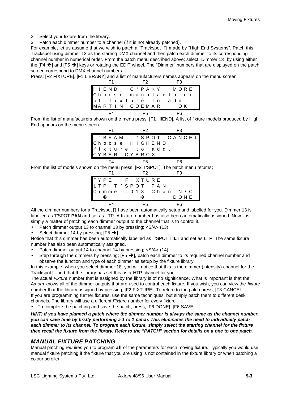2. Select your fixture from the library.

3. Patch each dimmer number to a channel (if it is not already patched).

For example, let us assume that we wish to patch a "Trackspot" © made by "High End Systems". Patch this Trackspot using dimmer 13 as the starting DMX channel and then patch each dimmer to its corresponding channel number in numerical order. From the patch menu described above; select "Dimmer 13" by using either the  $[F4 \leftarrow]$  and  $[F5 \rightarrow]$  keys or rotating the EDIT wheel. The "Dimmer" numbers that are displayed on the patch screen correspond to DMX channel numbers.

Press; [F2 FIXTURE], [F1 LIBRARY] and a list of manufacturers names appears on the menu screen.

| F1            | F2. | F3                  |
|---------------|-----|---------------------|
|               |     | HIEND C'PAKY MORE   |
|               |     | Choose manufacturer |
|               |     | of fixture to add.  |
| MARTIN COEMAR |     | O K                 |
|               | F5  |                     |

From the list of manufacturers shown on the menu press; [F1 HIEND]. A list of fixture models produced by High End appears on the menu screen.

|  | E1. |                        |  |  | F2. |  |  | E3 |  |  |
|--|-----|------------------------|--|--|-----|--|--|----|--|--|
|  |     | II'BEAM T'SPOT CANCELI |  |  |     |  |  |    |  |  |
|  |     | Choose HIGHEND         |  |  |     |  |  |    |  |  |
|  |     | fixture to add.        |  |  |     |  |  |    |  |  |
|  |     | CYBER CYBRCX           |  |  |     |  |  |    |  |  |

F4 F5 F6 From the list of models shown on the menu press; [F2 T'SPOT]. The patch menu returns;

|   | TYPE FIXTURE          |      |  |  |  |
|---|-----------------------|------|--|--|--|
|   | LTP T'SPOT PAN        |      |  |  |  |
|   | Dimmer: 013 Chan: N/C |      |  |  |  |
| ← | →                     | DONE |  |  |  |
|   |                       |      |  |  |  |

All the dimmer numbers for a Trackspot © have been automatically setup and labelled for you. Dimmer 13 is labelled as T'SPOT **PAN** and set as LTP. A fixture number has also been automatically assigned. Now it is simply a matter of patching each dimmer output to the channel that is to control it.

- Patch dimmer output 13 to channel 13 by pressing; <S/A> (13).
- Select dimmer 14 by pressing:  $[F5 \rightarrow]$ .

Notice that this dimmer has been automatically labelled as T'SPOT **TILT** and set as LTP. The same fixture number has also been automatically assigned.

- Patch dimmer output 14 to channel 14 by pressing; <S/A> (14).
- Step through the dimmers by pressing;  $[F5 \rightarrow]$ , patch each dimmer to its required channel number and observe the function and type of each dimmer as setup by the fixture library.

In this example, when you select dimmer 18, you will notice that this is the dimmer (intensity) channel for the Trackspot  $\odot$  and that the library has set this as a HTP channel for you.

The actual *Fixture* number that is assigned by the library is of no significance. What is important is that the Axi*om* knows all of the dimmer outputs that are used to control each fixture. If you wish, you can view the *fixture* number that the library assigned by pressing; [F2 FIXTURE]. To return to the patch press; [F3 CANCEL]. If you are programming further fixtures, use the same techniques, but simply patch them to different desk channels. The library will use a different *Fixture* number for every fixture.

• To complete the patching and save the patch, press; [F6 DONE], [F6 SAVE].

*HINT; If you have planned a patch where the dimmer number is always the same as the channel number, you can save time by firstly performing a 1 to 1 patch. This eliminates the need to individually patch each dimmer to its channel. To program each fixture, simply select the starting channel for the fixture then recall the fixture from the library. Refer to the "PATCH" section for details on a one to one patch.*

#### *MANUAL FIXTURE PATCHING*

Manual patching requires you to program **all** of the parameters for each moving fixture. Typically you would use manual fixture patching if the fixture that you are using is not contained in the fixture library or when patching a colour scroller.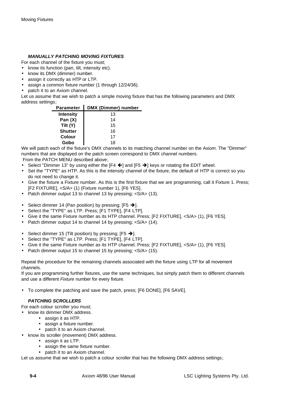#### *MANUALLY PATCHING MOVING FIXTURES*

For each channel of the fixture you must;

- know its function (pan, tilt, intensity etc).
- know its DMX (dimmer) number.
- assign it correctly as HTP or LTP.
- assign a common fixture number (1 through 12/24/36).
- patch it to an Axi*om* channel.

Let us assume that we wish to patch a simple moving fixture that has the following parameters and DMX address settings;

| <b>Parameter</b> | DMX (Dimmer) number |
|------------------|---------------------|
| <b>Intensity</b> | 13                  |
| Pan $(X)$        | 14                  |
| Tilt $(Y)$       | 15                  |
| <b>Shutter</b>   | 16                  |
| <b>Colour</b>    | 17                  |
| Gobo             | 18                  |

We will patch each of the fixture's DMX channels to its matching channel number on the Axi*om*. The "Dimmer" numbers that are displayed on the patch screen correspond to DMX channel numbers. From the PATCH MENU described above;

- Select "Dimmer 13" by using either the  $[F4 \leftarrow]$  and  $[F5 \rightarrow]$  keys or rotating the EDIT wheel.
- Set the "TYPE" as HTP. As this is the intensity channel of the fixture, the default of HTP is correct so you do not need to change it.
- Give the fixture a Fixture number. As this is the first fixture that we are programming, call it Fixture 1. Press; [F2 FIXTURE], <S/A> (1) (Fixture number 1), [F6 YES].
- Patch dimmer output 13 to channel 13 by pressing; <S/A> (13).
- Select dimmer 14 (Pan position) by pressing;  $[FS \rightarrow]$ .
- Select the "TYPE" as LTP. Press; [F1 TYPE], [F4 LTP].
- Give it the same Fixture number as its HTP channel. Press; [F2 FIXTURE], <S/A> (1), [F6 YES].
- Patch dimmer output 14 to channel 14 by pressing; <S/A> (14).
- Select dimmer 15 (Tilt position) by pressing;  $[F5 \rightarrow]$ .
- Select the "TYPE" as LTP. Press; [F1 TYPE], [F4 LTP].
- Give it the same Fixture number as its HTP channel. Press; [F2 FIXTURE], <S/A> (1), [F6 YES].
- Patch dimmer output 15 to channel 15 by pressing; <S/A> (15).

Repeat the procedure for the remaining channels associated with the fixture using LTP for all movement channels.

If you are programming further fixtures, use the same techniques, but simply patch them to different channels and use a different *Fixture* number for every fixture.

• To complete the patching and save the patch, press; [F6 DONE], [F6 SAVE].

#### *PATCHING SCROLLERS*

For each colour scroller you must;

- know its dimmer DMX address.
	- assign it as HTP.
	- assign a fixture number.
	- patch it to an Axiom channel.
- know its scroller (movement) DMX address.
	- assign it as LTP.
	- assign the same fixture number.
	- patch it to an Axiom channel.

Let us assume that we wish to patch a colour scroller that has the following DMX address settings;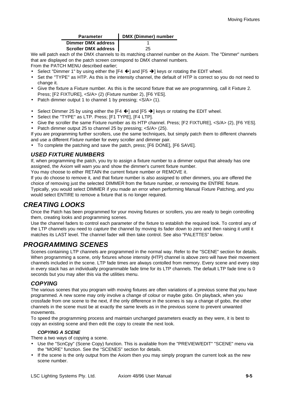| <b>Parameter</b>     | <b>DMX (Dimmer) number</b> |
|----------------------|----------------------------|
| Dimmer DMX address   |                            |
| Scroller DMX address | 25                         |

We will patch each of the DMX channels to its matching channel number on the Axi*om*. The "Dimmer" numbers that are displayed on the patch screen correspond to DMX channel numbers.

From the PATCH MENU described earlier;

- Select "Dimmer 1" by using either the  $[F4 \leftarrow]$  and  $[F5 \rightarrow]$  keys or rotating the EDIT wheel.
- Set the "TYPE" as HTP. As this is the intensity channel, the default of HTP is correct so you do not need to change it.
- Give the fixture a Fixture number. As this is the second fixture that we are programming, call it Fixture 2. Press; [F2 FIXTURE], <S/A> (2) (Fixture number 2), [F6 YES].
- Patch dimmer output 1 to channel 1 by pressing; <S/A> (1).
- Select Dimmer 25 by using either the  $[F4 \leftarrow]$  and  $[F5 \rightarrow]$  keys or rotating the EDIT wheel.
- Select the "TYPE" as LTP. Press; [F1 TYPE], [F4 LTP].
- Give the scroller the same Fixture number as its HTP channel. Press: [F2 FIXTURE], <S/A> (2), [F6 YES].
- Patch dimmer output 25 to channel 25 by pressing; <S/A> (25).

If you are programming further scrollers, use the same techniques, but simply patch them to different channels and use a different *Fixture* number for every scroller and dimmer pair.

• To complete the patching and save the patch, press; [F6 DONE], [F6 SAVE].

# *USED FIXTURE NUMBERS*

If, when programming the patch, you try to assign a fixture number to a dimmer output that already has one assigned, the Axi*om* will warn you and show the dimmer's current fixture number.

You may choose to either RETAIN the current fixture number or REMOVE it.

If you do choose to remove it, and that fixture number is also assigned to other dimmers, you are offered the choice of removing just the selected DIMMER from the fixture number, or removing the ENTIRE fixture.

Typically, you would select DIMMER if you made an error when performing Manual Fixture Patching, and you would select ENTIRE to remove a fixture that is no longer required.

# *CREATING LOOKS*

Once the Patch has been programmed for your moving fixtures or scrollers, you are ready to begin controlling them, creating looks and programming scenes.

Use the channel faders to control each parameter of the fixture to establish the required look. To control any of the LTP channels you need to *capture* the channel by moving its fader down to zero and then raising it until it matches its LAST level. The channel fader will then take control. See also "PALETTES" below.

# *PROGRAMMING SCENES*

Scenes containing LTP channels are programmed in the normal way. Refer to the "SCENE" section for details. When programming a scene, only fixtures whose intensity (HTP) channel is above zero will have their movement channels included in the scene. LTP fade times are always contolled from memory. Every scene and every step in every stack has an individually programmable fade time for its LTP channels. The default LTP fade time is 0 seconds but you may alter this via the utilities menu.

# *COPYING*

The various scenes that you program with moving fixtures are often variations of a previous scene that you have programmed. A new scene may only involve a change of colour or maybe gobo. On playback, when you crossfade from one scene to the next, if the only difference in the scenes is say a change of gobo, the other channels in the scene must be at exactly the same levels as in the previous scene to prevent unwanted movements.

To speed the programming process and maintain unchanged parameters exactly as they were, it is best to copy an existing scene and then edit the copy to create the next look.

#### *COPYING A SCENE*

There a two ways of copying a scene.

- Use the "ScnCpy" (Scene Copy) function. This is available from the "PREVIEW/EDIT" "SCENE" menu via the "MORE" function. See the "SCENES" section for details.
- If the scene is the only output from the Axiom then you may simply program the current look as the new scene number.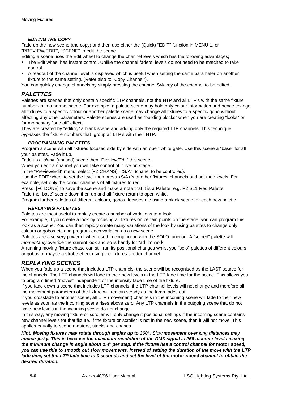#### *EDITING THE COPY*

Fade up the new scene (the copy) and then use either the (Quick) "EDIT" function in MENU 1, or "PREVIEW/EDIT", "SCENE" to edit the scene.

Editing a scene uses the Edit wheel to change the channel levels which has the following advantages;

- The Edit wheel has instant control. Unlike the channel faders, levels do not need to be matched to take control.
- A readout of the channel level is displayed which is useful when setting the same parameter on another fixture to the same setting. (Refer also to "Copy Channel").

You can quickly change channels by simply pressing the channel S/A key of the channel to be edited.

# *PALETTES*

Palettes are scenes that only contain specific LTP channels, not the HTP and all LTP's with the same fixture number as in a normal scene. For example, a palette scene may hold only colour information and hence change all fixtures to a specific colour or another palette scene may change all fixtures to a specific gobo without affecting any other parameters. Palette scenes are used as "building blocks" when you are creating "looks" or for momentary "one off" effects.

They are created by "editing" a blank scene and adding only the required LTP channels. This technique *bypasses* the fixture numbers that group all LTP's with their HTP.

#### *PROGRAMMING PALETTES*

Program a scene with all fixtures focused side by side with an open white gate. Use this scene a "base" for all your palettes. Fade it up.

Fade up a *blank* (unused) scene then "Preview/Edit" this scene.

When you edit a channel you will take control of it live on stage.

In the "Preview/Edit" menu, select [F2 CHANS], <S/A> (chanel to be controlled).

Use the EDIT wheel to set the level then press <S/A>'s of other fixtures' channels and set their levels. For example, set only the colour channels of all fixtures to red.

Press; [F6 DONE] to save the scene and make a note that it is a Palette. e.g. P2 S11 Red Palette Fade the "base" scene down then up and all fixture return to open white.

Program further palettes of different colours, gobos, focuses etc using a blank scene for each new palette.

#### *REPLAYING PALETTES*

Palettes are most useful to rapidly create a number of variations to a look.

For example, if you create a look by focusing all fixtures on certain points on the stage, you can program this look as a scene. You can then rapidly create many variations of the look by using palettes to change only colours or gobos etc and program each variation as a new scene.

Palettes are also very powerful when used in conjunction with the SOLO function. A "soloed" palette will *momentarily* override the current look and so is handy for "ad lib" work.

A running moving fixture chase can still run its positional changes whilst you "solo" palettes of different colours or gobos or maybe a strobe effect using the fixtures shutter channel.

# *REPLAYING SCENES*

When you fade up a scene that includes LTP channels, the scene will be recognised as the LAST source for the channels. The LTP channels will fade to their new levels in the LTP fade time for the scene. This allows you to program timed "moves" independent of the intensity fade time of the fixture.

If you fade down a scene that includes LTP channels, the LTP channel levels will not change and therefore all the movement parameters of the fixture will remain steady as the lamp fades out.

If you crossfade to another scene, all LTP (movement) channels in the incoming scene will fade to their new levels as soon as the incoming scene rises above zero. Any LTP channels in the outgoing scene that do not have new levels in the incoming scene do not change.

In this way, any moving fixture or scroller will only change it positional settings if the incoming scene contains new channel levels for that fixture. If the fixture or scroller is not in the new scene, then it will not move. This applies equally to scene masters, stacks and chases.

*Hint; Moving fixtures may rotate through angles up to 360°. Slow movement over long distances may appear jerky. This is because the maximum resolution of the DMX signal is 256 discrete levels making the minimum change in angle about 1.4° per step. If the fixture has a control channel for* **motor speed***, you can use this to smooth out slow movements. Instead of setting the duration of the move with the LTP fade time, set the LTP fade time to 0 seconds and set the level of the* **motor speed** *channel to obtain the desired duration.*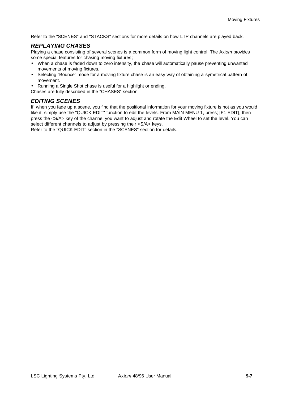Refer to the "SCENES" and "STACKS" sections for more details on how LTP channels are played back.

# *REPLAYING CHASES*

Playing a chase consisting of several scenes is a common form of moving light control. The Axi*om* provides some special features for chasing moving fixtures;

- When a chase is faded down to zero intensity, the chase will automatically pause preventing unwanted movements of moving fixtures.
- Selecting "Bounce" mode for a moving fixture chase is an easy way of obtaining a symetrical pattern of movement.
- Running a Single Shot chase is useful for a highlight or ending.

Chases are fully described in the "CHASES" section.

# *EDITING SCENES*

If, when you fade up a scene, you find that the positional information for your moving fixture is not as you would like it, simply use the "QUICK EDIT" function to edit the levels. From MAIN MENU 1, press; [F1 EDIT], then press the <S/A> key of the channel you want to adjust and rotate the Edit Wheel to set the level. You can select different channels to adjust by pressing their <S/A> keys.

Refer to the "QUICK EDIT" section in the "SCENES" section for details.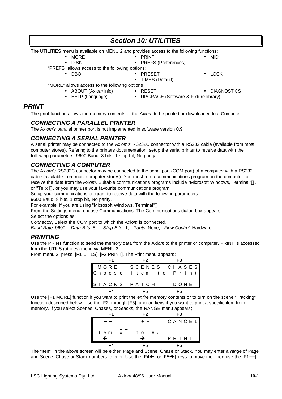# *Section 10: UTILITIES*

The UTILITIES menu is available on MENU 2 and provides access to the following functions;

- MORE PRINT MIDI
- DISK PREFS (Preferences)
- "PREFS" allows access to the following options;
	-
	- DBO PRESET LOCK
		- TIMES (Default)
- "MORE" allows access to the following options;
	- ABOUT (Axiom info) RESET DIAGNOSTICS • HELP (Language) • UPGRAGE (Software & Fixture library)
		-

# *PRINT*

The print function allows the memory contents of the Axi*om* to be printed or downloaded to a Computer.

# *CONNECTING A PARALLEL PRINTER*

The Axi*om's* parallel printer port is not implemented in software version 0.9.

# *CONNECTING A SERIAL PRINTER*

A serial printer may be connected to the Axi*om's* RS232C connector with a RS232 cable (available from most computer stores). Refering to the printers documentation, setup the serial printer to receive data with the following parameters; 9600 Baud, 8 bits, 1 stop bit, No parity.

# *CONNECTING A COMPUTER*

The Axi*om's* RS232C connector may be connected to the serial port (COM port) of a computer with a RS232 cable (available from most computer stores). You must run a communications program on the computer to receive the data from the Axiom. Suitable communications programs include "Microsoft Windows, Terminal"©, or "Telix"©, or you may use your favourite communications program.

Setup your communications program to receive data with the following parameters;

9600 Baud, 8 bits, 1 stop bit, No parity.

For example, if you are using "Microsoft Windows, Terminal"<sup>©</sup>.

From the Settings menu, choose Communications. The Communications dialog box appears. Select the options as;

*Connector*, Select the COM port to which the Axi*om* is connected**.**

*Baud Rate*, 9600; *Data Bits*, 8; *Stop Bits*, 1; *Parity*, None; *Flow Control*, Hardware;

# *PRINTING*

Use the PRINT function to send the memory data from the Axi*om* to the printer or computer. PRINT is accessed from the UTILS (utilities) menu via MENU 2.

From menu 2, press; [F1 UTILS], [F2 PRINT]. The Print menu appears;

|               | F2. | F3                   |
|---------------|-----|----------------------|
|               |     | MORE SCENES CHASES   |
|               |     | Choose item to Print |
| ISTACKS PATCH |     | DONE                 |
|               | F5  | FR                   |

Use the [F1 MORE] function if you want to print the *entire* memory contents or to turn on the scene "Tracking" function described below. Use the [F2] through [F5] function keys if you want to print a specific item from memory. If you select Scenes, Chases, or Stacks, the RANGE menu appears;

| F1                 | F2       | F3     |
|--------------------|----------|--------|
|                    | $+$ $+$  | CANCEL |
| Item $# #$ to<br>← | # #<br>→ | PRINT  |
| FΔ                 | -5       | FR     |

The "Item" in the above screen will be either, Page and Scene, Chase or Stack. You may enter a *range* of Page and Scene, Chase or Stack numbers to print. Use the [F4 $\blacktriangle$ ] or [F5 $\blacktriangleright$ ] keys to move the, then use the [F1--]

- 
-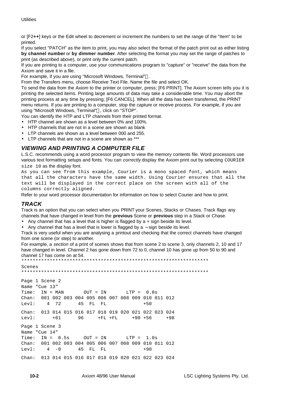or [F2**++**] keys or the Edit wheel to decrement or increment the numbers to set the range of the "Item" to be printed.

If you select "PATCH" as the item to print, you may also select the format of the patch print out as either listing **by channel number** or **by dimmer number**. After selecting the format you may set the range of patches to print (as described above), or print only the current patch.

If you are printing to a computer, use your communications program to "capture" or "receive" the data from the Axi*om* and save it in a file.

For example, if you are using "Microsoft Windows, Terminal"<sup>©</sup>.

From the Transfers menu, choose Receive Text File. Name the file and select OK.

To send the data from the Axi*om* to the printer or computer, press; [F6 PRINT]. The Axi*om* screen tells you it is printing the selected items. Printing large amounts of data may take a considerable time. You may abort the printing process at any time by pressing; [F6 CANCEL]. When all the data has been transferred, the PRINT menu returns. If you are printing to a computer, stop the capture or receive process. For example, if you are using "Microsoft Windows, Terminal"©, click on "STOP".

You can identify the HTP and LTP channels from their printed format.

- HTP channel are shown as a level between 0% and 100%.
- HTP channels that are not in a scene are shown as blank
- LTP channels are shown as a level between 000 and 255.
- LTP channels that are not in a scene are shown as \*\*\*

## *VIEWING AND PRINTING A COMPUTER FILE*

L.S.C. recommends using a word processor program to view the memory contents file. Word processors use various text formatting setups and fonts. You can *correctly* display the Axi*om* print out by selecting COURIER size 10 as the display font.

As you can see from this example, Courier is a mono spaced font, which means that all the characters have the same width. Using Courier ensures that all the text will be displayed in the correct place on the screen with all of the columns correctly aligned.

Refer to your word processor documentation for information on how to select Courier and how to print.

# *TRACK*

Track is an option that you can select when you PRINT your Scenes, Stacks or Chases. Track *flags* any channels that have changed in level from the **previous** Scene or **previous** step in a Stack or Chase.

- Any channel that has a level that is higher is flagged by  $a +$  sign beside its level.
- Any channel that has a level that is lower is flagged by a sign beside its level.

Track is very useful when you are analysing a printout and checking that the correct channels have changed from one scene (or step) to another.

For example, a *section* of a print of scenes shows that from scene 2 to scene 3, only channels 2, 10 and 17 have changed in level. Channel 2 has gone down from 72 to 0, channel 10 has gone up from 50 to 90 and channel 17 has come on at 54.

\*\*\*\*\*\*\*\*\*\*\*\*\*\*\*\*\*\*\*\*\*\*\*\*\*\*\*\*\*\*\*\*\*\*\*\*\*\*\*\*\*\*\*\*\*\*\*\*\*\*\*\*\*\*\*\*\*\*\*\*\*\*\*\*\*\* Scenes \*\*\*\*\*\*\*\*\*\*\*\*\*\*\*\*\*\*\*\*\*\*\*\*\*\*\*\*\*\*\*\*\*\*\*\*\*\*\*\*\*\*\*\*\*\*\*\*\*\*\*\*\*\*\*\*\*\*\*\*\*\*\*\*\*\* Page 1 Scene 2 Name "Cue 13" Time: IN = MAN OUT = IN LTP = 0.0s Chan: 001 002 003 004 005 006 007 008 009 010 011 012 Levl: 4 72 45 FL FL +50 Chan: 013 014 015 016 017 018 019 020 021 022 023 024 Levl: +61 96 +FL +FL +90 +56 +98 Page 1 Scene 3 Name "Cue 14" Time:  $IN = 0.5s$  OUT =  $IN$  LTP =  $1.0s$ Chan: 001 002 003 004 005 006 007 008 009 010 011 012 Levl:  $4 -0$   $45$  FL FL  $+90$ Chan: 013 014 015 016 017 018 019 020 021 022 023 024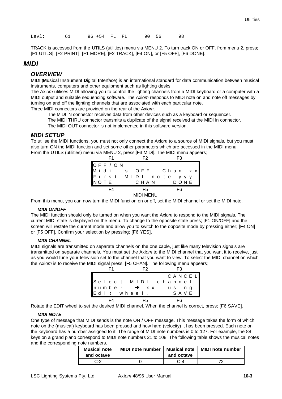Levl: 61 96 +54 FL FL 90 56 98

TRACK is accessed from the UTILS (utilities) menu via MENU 2. To turn track ON or OFF, from menu 2, press; [F1 UTILS], [F2 PRINT], [F1 MORE], [F2 TRACK], [F4 ON], or [F5 OFF], [F6 DONE].

# *MIDI*

#### *OVERVIEW*

MIDI (**M**usical **I**nstrument **D**igital **I**nterface) is an international standard for data communication between musical instruments, computers and other equipment such as lighting desks.

The Axi*om* utilises MIDI allowing you to control the lighting channels from a MIDI keyboard or a computer with a MIDI output and suitable sequencing software. The Axi*om* responds to MIDI note on and note off messages by turning on and off the lighting channels that are associated with each particular note.

Three MIDI connectors are provided on the rear of the Axi*om*.

The MIDI IN connector receives data from other devices such as a keyboard or sequencer.

The MIDI THRU connector transmits a duplicate of the signal received at the MIDI in connector.

The MIDI OUT connector is not implemented in this software version.

#### *MIDI SETUP*

To utilise the MIDI functions, you must not only connect the Axi*om* to a source of MIDI signals, but you must also turn ON the MIDI function and set some other parameters which are accessed in the MIDI menu. From the UTILS (utilities) menu via MENU 2, press;[F3 MIDI]. The MIDI menu appears;

| OFF/ON<br>First MIDI note |                        | Midi is OFF. Chan xx<br>y y y |
|---------------------------|------------------------|-------------------------------|
| <b>NOTE</b>               | CHAN                   | DONE                          |
|                           | F5<br><b>MIDI MENU</b> | F6                            |

From this menu, you can now turn the MIDI function on or off, set the MIDI channel or set the MIDI note.

#### *MIDI ON/OFF*

The MIDI function should only be turned on when you want the Axi*om* to respond to the MIDI signals. The current MIDI state is displayed on the menu. To change to the opposite state press; [F1 ON/OFF] and the screen will restate the current mode and allow you to switch to the opposite mode by pressing either; [F4 ON] or [F5 OFF]. Confirm your selection by pressing; [F6 YES].

#### *MIDI CHANNEL*

MIDI signals are transmitted on separate channels on the one cable, just like many television signals are transmitted on separate channels. You must set the Axi*om* to the MIDI channel that you want it to receive, just as you would tune your television set to the channel that you want to view. To select the MIDI channel on which the Axi*om* is to receive the MIDI signal press; [F5 CHAN]. The following menu appears;

|                     |             |  |  |  |  |  | F2 |  |  |  |  | F3 |  |  |  |  |      |  |         |
|---------------------|-------------|--|--|--|--|--|----|--|--|--|--|----|--|--|--|--|------|--|---------|
|                     |             |  |  |  |  |  |    |  |  |  |  |    |  |  |  |  |      |  | CANCELI |
| Select MIDI channel |             |  |  |  |  |  |    |  |  |  |  |    |  |  |  |  |      |  |         |
| number > xx using   |             |  |  |  |  |  |    |  |  |  |  |    |  |  |  |  |      |  |         |
|                     |             |  |  |  |  |  |    |  |  |  |  |    |  |  |  |  | SAVE |  |         |
|                     | Edit wheel. |  |  |  |  |  | F5 |  |  |  |  |    |  |  |  |  |      |  |         |

Rotate the EDIT wheel to set the desired MIDI channel. When the channel is correct, press; [F6 SAVE].

#### *MIDI NOTE*

One type of message that MIDI sends is the note ON / OFF message. This message takes the form of which note on the (musical) keyboard has been pressed and how hard (velocity) it has been pressed. Each note on the keyboard has a number assigned to it. The range of MIDI note numbers is 0 to 127. For example, the 88 keys on a grand piano correspond to MIDI note numbers 21 to 108, The following table shows the musical notes and the corresponding note numbers.

| <b>Musical note</b><br>and octave | MIDI note number I | <b>Musical note</b><br>and octave | <b>MIDI note number</b> |
|-----------------------------------|--------------------|-----------------------------------|-------------------------|
| C-2                               |                    |                                   |                         |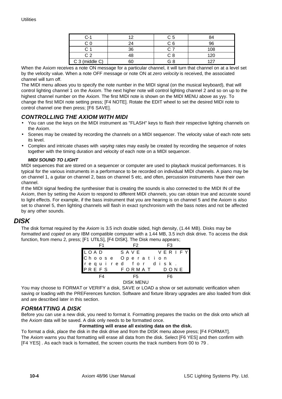| C-1            |    | 35  |     |
|----------------|----|-----|-----|
| СO             | 24 | C 6 | 96  |
| C.             | 36 | C 7 | 108 |
| C 2            | 48 | C 8 | 120 |
| C 3 (middle C) | ካር | 3 8 |     |

When the Axi*om* receives a note ON message for a particular channel, it will turn that channel on at a level set by the velocity value. When a note OFF message or note ON at *zero velocity* is received, the associated channel will turn off.

The MIDI menu allows you to specify the note number in the MIDI signal (on the musical keyboard), that will control lighting channel 1 on the Axi*om*. The next higher note will control lighting channel 2 and so on up to the highest channel number on the Axi*om*. The first MIDI note is shown on the MIDI MENU above as yyy. To change the first MIDI note setting press; [F4 NOTE]. Rotate the EDIT wheel to set the desired MIDI note to control channel one then press; [F6 SAVE].

## *CONTROLLING THE AXIOM WITH MIDI*

- You can use the keys on the MIDI instrument as "FLASH" keys to flash their respective lighting channels on the Axi*om*.
- Scenes may be created by recording the channels on a MIDI sequencer. The velocity value of each note sets its level.
- Complex and intricate chases with *varying* rates may easily be created by recording the sequence of notes together with the timing duration and velocity of each note on a MIDI sequencer.

#### *MIDI SOUND TO LIGHT*

MIDI sequences that are stored on a sequencer or computer are used to playback musical performances. It is typical for the various instruments in a performance to be recorded on individual MIDI channels. A piano may be on channel 1, a guitar on channel 2, bass on channel 5 etc, and often, percussion instruments have their own channel.

If the MIDI signal feeding the synthesiser that is creating the sounds is also connected to the MIDI IN of the Axi*om*, then by setting the Axi*om* to respond to different MIDI *channels*, you can obtain true and accurate sound to light effects. For example, if the bass instrument that you are hearing is on channel 5 and the Axi*om* is also set to channel 5, then lighting channels will flash in exact synchronism with the bass notes and not be affected by any other sounds.

# *DISK*

The disk format required by the Axi*om* is 3.5 inch double sided, high density, (1.44 MB). Disks may be *formatted* and *copied* on any IBM compatible computer with a 1.44 MB, 3.5 inch disk drive. To access the disk function, from menu 2, press; [F1 UTILS], [F4 DISK]. The Disk menu appears;

|      |                    | FЗ            |  |  |  |  |  |  |  |  |  |  |
|------|--------------------|---------------|--|--|--|--|--|--|--|--|--|--|
| LOAD | SAVE               | <b>VERIFY</b> |  |  |  |  |  |  |  |  |  |  |
|      | Choose Operation   |               |  |  |  |  |  |  |  |  |  |  |
|      | required for disk. |               |  |  |  |  |  |  |  |  |  |  |
|      | PREFS FORMAT       | DONE          |  |  |  |  |  |  |  |  |  |  |
| FΔ   | F5.                | F6.           |  |  |  |  |  |  |  |  |  |  |
|      | <b>DISK MENU</b>   |               |  |  |  |  |  |  |  |  |  |  |

You may choose to FORMAT or VERIFY a disk, SAVE or LOAD a show or set automatic verification when saving or loading with the PREFerences function. Software and fixture library upgrades are also loaded from disk and are described later in this section.

# *FORMATTING A DISK*

Before you can use a new disk, you need to format it. Formatting prepares the tracks on the disk onto which all the Axi*om* data will be saved. A disk only needs to be formatted once.

#### **Formatting will erase all existing data on the disk.**

To format a disk, place the disk in the disk drive and from the DISK menu above press; [F4 FORMAT]. The Axi*om* warns you that formatting will erase all data from the disk. Select [F6 YES] and then confirm with [F4 YES] . As each track is formatted, the screen counts the track numbers from 00 to 79 .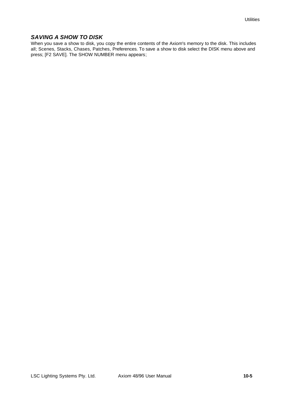# *SAVING A SHOW TO DISK*

When you save a show to disk, you copy the entire contents of the Axi*om*'s memory to the disk. This includes all; Scenes, Stacks, Chases, Patches, Preferences. To save a show to disk select the DISK menu above and press; [F2 SAVE]. The SHOW NUMBER menu appears;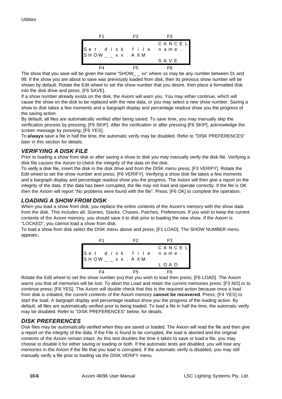

The show that you save will be given the name "SHOW\_ \_ xx" where xx may be any number between 01 and 99. If the show you are about to save was previously loaded from disk, then its previous show number will be shown by default. Rotate the Edit wheel to set the show number that you desire, then place a formatted disk into the disk drive and press; [F6 SAVE].

If a show number already exists on the disk, the Axi*om* will warn you. You may either continue, which will cause the show on the disk to be replaced with the new data, or you may select a new show number. Saving a show to disk takes a few moments and a bargraph display and percentage readout show you the progress of the saving action.

By default, all files are automatically verified after being saved. To save time, you may manually skip the verification process by pressing; [F6 SKIP]. After the verification or after pressing [F6 SKIP], acknowledge the screen message by pressing; [F6 YES].

To **always** save a file in half the time, the automatic verify may be disabled. Refer to "DISK PREFERENCES" later in this section for details.

# *VERIFYING A DISK FILE*

Prior to loading a show from disk or after saving a show to disk you may manually verify the disk file. Verifying a disk file causes the Axi*om* to check the integrity of the data on the disk.

To verify a disk file, insert the disk in the disk drive and from the DISK menu press; [F3 VERIFY]. Rotate the Edit wheel to set the show number and press; [F6 VERIFY]. Verifying a show disk file takes a few moments and a bargraph display and percentage readout show you the progress. The Axi*om* will then give a report on the integrity of the data. If the data has been corrupted, the file may not load and operate correctly. If the file is OK then the Axi*om* will report "No problems were found with the file". Press; [F6 OK] to complete the operation.

# *LOADING A SHOW FROM DISK*

When you load a show from disk, you replace the entire contents of the Axi*om*'s memory with the show data from the disk. This includes all; Scenes, Stacks, Chases, Patches, Preferences. If you wish to keep the current contents of the Axi*om* memory, you should save it to disk prior to loading the new show. If the Axi*om* is "LOCKED", you cannot load a show from disk.

To load a show from disk select the DISK menu above and press; [F1 LOAD]. The SHOW NUMBER menu appears;

|                                     | F2 |        |  |  |  |
|-------------------------------------|----|--------|--|--|--|
|                                     |    | CANCEL |  |  |  |
|                                     |    |        |  |  |  |
| Set disk file name.<br>SHOW__xx.AXM |    |        |  |  |  |
|                                     |    | LOAD   |  |  |  |
|                                     |    |        |  |  |  |

Rotate the Edit wheel to set the show number (xx) that you wish to load then press; [F6 LOAD]. The Axi*om* warns you that all memories will be lost. To abort the Load and retain the current memories press; [F3 NO] or to continue press; [F6 YES]. The Axi*om* will double check that this is the required action because once a load from disk is initiated, the current contents of the Axi*om* memory **cannot be recovered**. Press; [F4 YES] to start the load. A bargraph display and percentage readout show you the progress of the loading action. By default, all files are automatically verified prior to being loaded. To load a file in half the time, the automatic verify may be disabled. Refer to "DISK PREFERENCES" below, for details.

# *DISK PREFERENCES*

Disk files may be *automatically* verified when they are saved or loaded. The Axi*om* will read the file and then give a report on the integrity of the data. If the File is found to be corrupted, the load is aborted and the original contents of the Axi*om* remain intact. As this test doubles the time it takes to save or load a file, you may choose to disable it for either saving or loading or both. If the automatic tests are disabled, you will lose any memories in the Axi*om* if the file that you load is corrupted. If the automatic verify is disabled, you may still manually verify a file prior to loading via the DISK VERIFY menu.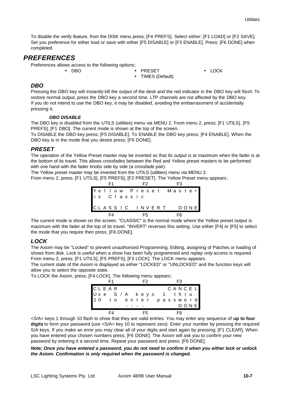To disable the verify feature, from the DISK menu press; [F4 PREFS]. Select either; [F1 LOAD] or [F2 SAVE]. Set you preference for either load or save with either [F5 DISABLE] or [F3 ENABLE]. Press; [F6 DONE] when completed.

# *PREFERENCES*

Preferences allows access to the following options;

- 
- DBO PRESET LOCK • TIMES (Default)

# *DBO*

Pressing the DBO key will *instantly* kill the output of the desk and the red indicator in the DBO key will *flash*. To restore normal output, press the DBO key a second time. LTP channels are not affected by the DBO key. If you do not intend to use the DBO key, it may be disabled, avoiding the embarrassment of accidentally pressing it.

#### *DBO DISABLE*

The DBO key is disabled from the UTILS (utilities) menu via MENU 2. From menu 2, press; [F1 UTILS], [F5 PREFS], [F1 DBO]. The current mode is shown at the top of the screen.

To DISABLE the DBO key press; [F5 DISABLE]. To ENABLE the DBO key press; [F4 ENABLE]. When the DBO key is in the mode that you desire press; [F6 DONE].

## *PRESET*

The operation of the Yellow Preset master may be inverted so that its output is at maximum when the fader is at the bottom of its travel. This allows crossfades between the Red and Yellow preset masters to be performed with one hand with the fader knobs side by side (a crossfade pair).

The Yellow preset master may be inverted from the UTILS (utilities) menu via MENU 2.

From menu 2, press; [F1 UTILS], [F5 PREFS], [F2 PRESET]. The Yellow Preset menu appears;

|                                    | F2 | F3 |
|------------------------------------|----|----|
| Yellow Preset Master<br>is Classic |    |    |
| CLASSIC INVERT DONE                |    |    |
| FΔ                                 | F5 | FR |

The current mode is shown on the screen. "CLASSIC" is the normal mode where the Yellow preset output is maximum with the fader at the top of its travel. "INVERT" reverses this setting. Use either [F4] or [F5] to select the mode that you require then press; [F6 DONE].

# *LOCK*

The Axi*om* may be "Locked" to prevent unauthorised Programming, Editing, assigning of Patches or loading of shows from disk. Lock is useful when a show has been fully programmed and *replay only* access is required. From menu 2, press; [F1 UTILS], [F5 PREFS], [F3 LOCK]. The LOCK menu appears.

The current state of the Axi*om* is displayed as either "LOCKED" or "UNLOCKED" and the function keys will allow you to select the opposite state.

To LOCK the Axi*om*, press; [F4 LOCK]. The following menu appears;

|  |  |  |  |  |  |  | F2. |  |  |  |  |  | F3 |  |  |  |  |  |                                                             |
|--|--|--|--|--|--|--|-----|--|--|--|--|--|----|--|--|--|--|--|-------------------------------------------------------------|
|  |  |  |  |  |  |  |     |  |  |  |  |  |    |  |  |  |  |  | CLEAR CANCEL<br>Use S/A keys 1 thru<br>10 to enter password |
|  |  |  |  |  |  |  |     |  |  |  |  |  |    |  |  |  |  |  |                                                             |
|  |  |  |  |  |  |  |     |  |  |  |  |  |    |  |  |  |  |  |                                                             |
|  |  |  |  |  |  |  |     |  |  |  |  |  |    |  |  |  |  |  | $D$ O N E                                                   |
|  |  |  |  |  |  |  |     |  |  |  |  |  |    |  |  |  |  |  |                                                             |

<S/A> keys 1 through 10 flash to show that they are valid entries. You may enter any sequence of **up to four digits** to form your password (use <S/A> key 10 to represent zero). Enter your number by pressing the required S/A keys. If you make an error you may clear all of your digits and start again by pressing; [F1 CLEAR]. When you have entered your chosen numbers press; [F6 DONE]. The Axi*om* will ask you to confirm your new password by entering it a second time. Repeat your password and press; [F6 DONE].

*Note; Once you have entered a password, you do not need to confirm it when you either lock or unlock the Axiom. Confirmation is only required when the password is changed.*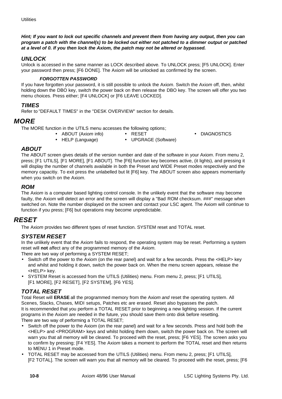*Hint; If you want to lock out specific channels and prevent them from having any output, then you can program a patch with the channel(s) to be locked out either not patched to a dimmer output or patched at a level of 0. If you then lock the Axiom, the patch may not be altered or bypassed.*

#### *UNLOCK*

Unlock is accessed in the same manner as LOCK described above. To UNLOCK press; [F5 UNLOCK]. Enter your password then press; [F6 DONE]. The Axi*om* will be unlocked as confirmed by the screen.

#### *FORGOTTEN PASSWORD*

If you have forgotten your password, it is still possible to unlock the Axi*om*. Switch the Axi*om* off, then, whilst holding down the DBO key, switch the power back on then release the DBO key. The screen will offer you two menu choices. Press either; [F4 UNLOCK] or [F6 LEAVE LOCKED].

# *TIMES*

Refer to "DEFAULT TIMES" in the "DESK OVERVIEW" section for details.

# *MORE*

The MORE function in the UTILS menu accesses the following options;

- ABOUT (Axiom info) RESET DIAGNOSTICS
- HELP (Language) UPGRAGE (Software)
- 

# *ABOUT*

The ABOUT screen gives details of the version number and date of the software in your Axi*om*. From menu 2, press; [F1 UTILS], [F1 MORE], [F1 ABOUT]. The [F6] function key becomes active, (it lights), and pressing it will display the number of channels available in both the Preset and WIDE Preset modes respectively and the memory capacitiy. To exit press the unlabelled but lit [F6] key. The ABOUT screen also appears momentarily when you switch on the Axi*om*.

# *ROM*

The Axi*om* is a computer based lighting control console. In the unlikely event that the software may become faulty, the Axi*om* will detect an error and the screen will display a "Bad ROM checksum. ###" message when switched on. Note the number displayed on the screen and contact your LSC agent. The Axi*om* will continue to function if you press; [F6] but operations may become unpredictable.

# *RESET*

The Axi*om* provides two different types of reset function. SYSTEM reset and TOTAL reset.

# *SYSTEM RESET*

In the unlikely event that the Axi*om* fails to respond, the operating system may be reset. Performing a system reset will **not** affect any of the programmed memory of the Axi*om*.

There are two way of performing a SYSTEM RESET;

- Switch off the power to the Axi*om* (on the rear panel) and wait for a few seconds. Press the <HELP> key and whilst and holding it down, switch the power back on. When the menu screen appears, release the <HELP> key.
- SYSTEM Reset is accessed from the UTILS (Utilities) menu. From menu 2, press; [F1 UTILS], [F1 MORE], [F2 RESET], [F2 SYSTEM], [F6 YES].

# *TOTAL RESET*

Total Reset will **ERASE** all the programmed memory from the Axi*om and* reset the operating system. All Scenes, Stacks, Chases, MIDI setups, Patches etc are erased. Reset also bypasses the patch. It is recommended that you perform a TOTAL RESET prior to beginning a new lighting session*.* If the current programs in the Axi*om* are needed in the future, you should save them onto disk before resetting. There are two way of performing a TOTAL RESET;

- Switch off the power to the Axi*om* (on the rear panel) and wait for a few seconds. Press and hold both the <HELP> and <PROGRAM> keys and whilst holding them down, switch the power back on. The screen will warn you that all memory will be cleared. To proceed with the reset, press; [F6 YES]. The screen asks you to confirm by pressing; [F4 YES]. The Axi*om* takes a moment to perform the TOTAL reset and then returns to MENU 1 in Preset mode.
- TOTAL RESET may be accessed from the UTILS (Utilities) menu. From menu 2, press; [F1 UTILS], [F2 TOTAL]. The screen will warn you that all memory will be cleared. To proceed with the reset, press; [F6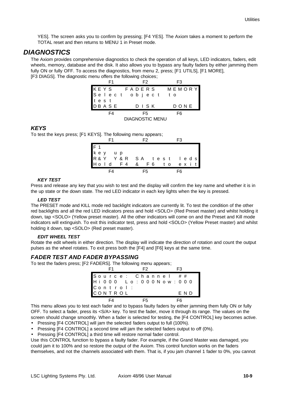YES]. The screen asks you to confirm by pressing; [F4 YES]. The Axi*om* takes a moment to perform the TOTAL reset and then returns to MENU 1 in Preset mode.

# *DIAGNOSTICS*

The Axi*om* provides comprehensive diagnostics to check the operation of all keys, LED indicators, faders, edit wheels, memory, database and the disk. It also allows you to bypass any faulty faders by either jamming them fully ON or fully OFF. To access the diagnostics, from menu 2, press; [F1 UTILS], [F1 MORE], [F3 DIAGS]. The diagnostic menu offers the following choices;

|              | F1 |                        | F2           | F3     |  |
|--------------|----|------------------------|--------------|--------|--|
|              |    | KEYS FADERS            |              | MEMORY |  |
|              |    | Select object          |              | t o    |  |
| test         |    |                        |              |        |  |
| <b>DBASE</b> |    |                        | $D \cup S$ K | DONE   |  |
|              | F4 |                        | F5           | F6     |  |
|              |    | <b>DIAGNOSTIC MENU</b> |              |        |  |

## *KEYS*

To test the keys press; [F1 KEYS]. The following menu appears;

|                                      | F2 | Ξ3          |
|--------------------------------------|----|-------------|
|                                      |    |             |
| F1<br>key up<br>R&Y Y&R SA test leds |    |             |
|                                      |    |             |
| Hold F4 & F6                         |    | exit<br>t o |
| FΔ                                   | F5 | FR          |

#### *KEY TEST*

Press and release any key that you wish to test and the display will confirm the key name and whether it is in the up state or the down state. The red LED indicator in each key lights when the key is pressed.

#### *LED TEST*

The PRESET mode and KILL mode red backlight indicators are currently lit. To test the condition of the other red backlights and all the red LED indicators press and hold <SOLO> (Red Preset master) and whilst holding it down, tap <SOLO> (Yellow preset master). All the other indicators will come on and the Preset and Kill mode indicators will extinguish. To exit this indicator test, press and hold <SOLO> (Yellow Preset master) and whilst holding it down, tap <SOLO> (Red preset master).

#### *EDIT WHEEL TEST*

Rotate the edit wheels in either direction. The display will indicate the direction of rotation and count the output pulses as the wheel rotates. To exit press both the [F4] and [F6] keys at the same time.

# *FADER TEST AND FADER BYPASSING*

To test the faders press; [F2 FADERS]. The following menu appears;

| Source: Channel ##<br>Hi000 Lo:000Now:000 |    |  |  |  |  |  |  |  |  |  |  |  |     |  |
|-------------------------------------------|----|--|--|--|--|--|--|--|--|--|--|--|-----|--|
| Control:                                  |    |  |  |  |  |  |  |  |  |  |  |  |     |  |
| CONTROL                                   |    |  |  |  |  |  |  |  |  |  |  |  | END |  |
|                                           | FΔ |  |  |  |  |  |  |  |  |  |  |  |     |  |

This menu allows you to test each fader and to bypass faulty faders by either jamming them fully ON or fully OFF. To select a fader, press its <S/A> key. To test the fader, move it through its range. The values on the screen should change smoothly. When a fader is selected for testing, the [F4 CONTROL] key becomes active.

- Pressing [F4 CONTROL] will jam the selected faders output to full (100%).
- Pressing [F4 CONTROL] a second time will jam the selected faders output to off (0%).
- Pressing [F4 CONTROL] a third time will restore normal fader control.

Use this CONTROL function to bypass a faulty fader. For example, if the Grand Master was damaged, you could jam it to 100% and so restore the output of the Axi*om*. This control function works on the faders themselves, and not the channels associated with them. That is, if you jam channel 1 fader to 0%, you cannot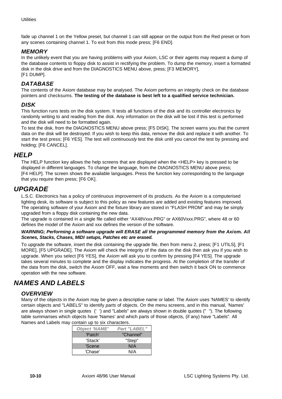fade up channel 1 on the Yellow preset, but channel 1 can still appear on the output from the Red preset or from any scenes containing channel 1. To exit from this mode press; [F6 END].

## *MEMORY*

In the unlikely event that you are having problems with your Axi*om*, LSC or their agents may request a dump of the database contents to floppy disk to assist in rectifying the problem. To dump the memory, insert a formatted disk in the disk drive and from the DIAGNOSTICS MENU above, press; [F3 MEMORY], [F1 DUMP].

# *DATABASE*

The contents of the Axi*om* database may be analysed. The Axi*om* performs an integrity check on the database pointers and checksums. **The testing of the database is best left to a qualified service technician.**

## *DISK*

This function runs tests on the disk system. It tests all functions of the disk and its controller electronics by randomly writing to and reading from the disk. Any information on the disk will be lost if this test is performed and the disk will need to be formatted again.

To test the disk, from the DIAGNOSTICS MENU above press; [F5 DISK]. The screen warns you that the current data on the disk will be destroyed. If you wish to keep this data, remove the disk and replace it with another. To start the test press; [F6 YES]. The test will *continuously* test the disk until you cancel the test by pressing and holding; [F6 CANCEL].

# *HELP*

The HELP function key allows the help screens that are displayed when the <HELP> key is pressed to be displayed in different languages. To change the language, from the DIAGNOSTICS MENU above press; [F4 HELP]. The screen shows the available languages. Press the function key corresponding to the language that you require then press; [F6 OK].

# *UPGRADE*

L.S.C. Electronics has a policy of continuous improvement of its products. As the Axi*om* is a computerised lighting desk, its software is subject to this policy as new features are added and existing features improved. The operating software of your Axi*om* and the fixture library are stored in "FLASH PROM" and may be simply upgraded from a floppy disk containing the new data.

The upgrade is contained in a single file called either "AX48Vxxx.PRG" or AX60Vxxx.PRG", where 48 or 60 defines the model of the Axi*om* and xxx defines the version of the software.

#### *WARNING; Performing a software upgrade will ERASE all the programmed memory from the Axi***om***. All Scenes, Stacks, Chases, MIDI setups, Patches etc are erased.*

To upgrade the software, insert the disk containing the upgrade file, then from menu 2, press; [F1 UTILS], [F1 MORE], [F5 UPGRADE]. The Axi*om* will check the integrity of the data on the disk then ask you if you wish to upgrade. When you select [F6 YES], the Axi*om* will ask you to confirm by pressing [F4 YES]. The upgrade takes several minutes to complete and the display indicates the progress. At the completion of the transfer of the data from the disk, switch the Axi*om* OFF, wait a few moments and then switch it back ON to commence operation with the new software.

# *NAMES AND LABELS*

# *OVERVIEW*

Many of the objects in the Axi*om* may be given a descriptive name or label. The Axi*om* uses 'NAMES' to identify certain objects and "LABELS" to identify *parts* of objects. On the menu screens, and in this manual, 'Names' are always shown in single quotes (' ') and "Labels" are always shown in double quotes (" "). The following table summarises which objects have 'Names' and which parts of those objects, (if any) have "Labels". All Names and Labels may contain up to six characters.

| <b>Object 'NAME'</b> | <b>Part "LABEL"</b> |
|----------------------|---------------------|
| 'Patch'              | "Channel"           |
| 'Stack'              | "Step"              |
| 'Scene               | N/A                 |
| 'Chase'              | N/A                 |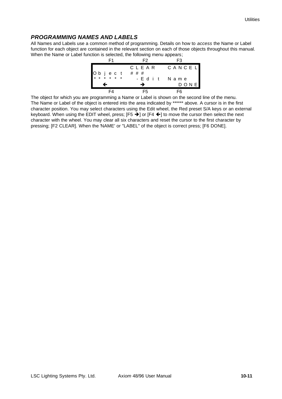# *PROGRAMMING NAMES AND LABELS*

All Names and Labels use a common method of programming. Details on how to *access* the Name or Label function for each object are contained in the relevant section on each of those objects throughout this manual. When the Name or Label function is selected, the following menu appears;

|                         | F2          | F3     |
|-------------------------|-------------|--------|
|                         | CLEAR       | CANCEL |
| Object ###<br>******* F |             |        |
|                         | - Edit Name |        |
| L                       | ▲           | DONE   |
|                         | F5          | FR     |

The object for which you are programming a Name or Label is shown on the second line of the menu. The Name or Label of the object is entered into the area indicated by \*\*\*\*\*\* above. A cursor is in the first character position. You may select characters using the Edit wheel, the Red preset S/A keys or an external keyboard. When using the EDIT wheel, press; [F5  $\rightarrow$ ] or [F4  $\leftarrow$ ] to move the cursor then select the next character with the wheel. You may clear all six characters and reset the cursor to the first character by pressing; [F2 CLEAR]. When the 'NAME' or "LABEL" of the object is correct press; [F6 DONE].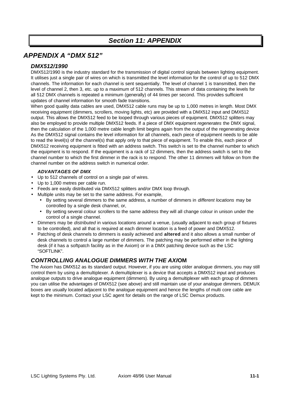# *Section 11: APPENDIX*

# *APPENDIX A "DMX 512"*

## *DMX512/1990*

DMX512/1990 is the industry standard for the transmission of digital control signals between lighting equipment. It utilises just a single pair of wires on which is transmitted the level information for the control of up to 512 DMX channels. The information for each channel is sent sequentially. The level of channel 1 is transmitted, then the level of channel 2, then 3, etc. up to a maximum of 512 channels. This stream of data containing the levels for all 512 DMX channels is repeated a minimum (generally) of 44 times per second. This provides sufficient updates of channel information for smooth fade transitions.

When good quality data cables are used, DMX512 cable runs may be up to 1,000 metres in length. Most DMX receiving equipment (dimmers, scrollers, moving lights, etc) are provided with a DMX512 input and DMX512 output. This allows the DMX512 feed to be looped through various pieces of equipment. DMX512 splitters may also be employed to provide multiple DMX512 feeds. If a piece of DMX equipment *regenerates* the DMX signal, then the calculation of the 1,000 metre cable length limit begins again from the output of the regenerating device As the DMX512 signal contains the level information for all channels, each piece of equipment needs to be able to read the level(s) of the channel(s) that apply only to that piece of equipment. To enable this, each piece of DMX512 receiving equipment is fitted with an address switch. This switch is set to the channel number to which the equipment is to respond. If the equipment is a rack of 12 dimmers, then the address switch is set to the channel number to which the first dimmer in the rack is to respond. The other 11 dimmers will follow on from the channel number on the address switch in numerical order.

#### *ADVANTAGES OF DMX*

- Up to 512 channels of control on a single pair of wires.
- Up to 1,000 metres per cable run.
- Feeds are easily distributed via DMX512 splitters and/or DMX loop through.
- Multiple units may be set to the same address. For example,
	- By setting several dimmers to the same address, a number of dimmers in *different locations* may be controlled by a single desk channel, or,
	- By setting several colour scrollers to the same address they will all change colour in unison under the control of a single channel.
- Dimmers may be *distributed* in various locations around a venue, (usually adjacent to each group of fixtures to be controlled), and all that is required at each dimmer location is a feed of power and DMX512.
- Patching of desk channels to dimmers is easily achieved and **altered** and it also allows a small number of desk channels to control a large number of dimmers. The patching may be performed either in the lighting desk (if it has a softpatch facility as in the Axi*om*) or in a DMX patching device such as the LSC "SOFTLINK".

# *CONTROLLING ANALOGUE DIMMERS WITH THE AXI***OM**

The Axi*om* has DMX512 as its standard output. However, if you are using older analogue dimmers, you may still control them by using a demultiplexer. A demultiplexer is a device that accepts a DMX512 input and produces analogue outputs to drive analogue equipment (dimmers). By using a demultiplexer with each group of dimmers you can utilise the advantages of DMX512 (see above) and still maintain use of your analogue dimmers. DEMUX boxes are usually located adjacent to the analogue equipment and hence the lengths of multi core cable are kept to the minimum. Contact your LSC agent for details on the range of LSC Demux products.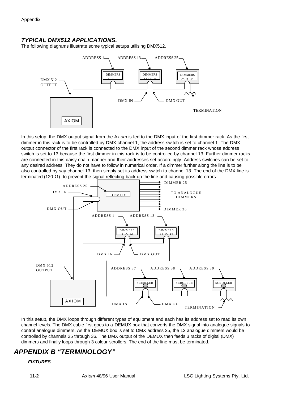# *TYPICAL DMX512 APPLICATIONS.*

The following diagrams illustrate some typical setups utilising DMX512.



In this setup, the DMX output signal from the Axi*om* is fed to the DMX input of the first dimmer rack. As the first dimmer in this rack is to be controlled by DMX channel 1, the address switch is set to channel 1. The DMX output connector of the first rack is connected to the DMX input of the second dimmer rack whose address switch is set to 13 because the first dimmer in this rack is to be controlled by channel 13. Further dimmer racks are connected in this daisy chain manner and their addresses set accordingly. Address switches can be set to any desired address. They do not have to follow in numerical order. If a dimmer further along the line is to be also controlled by say channel 13, then simply set its address switch to channel 13. The end of the DMX line is terminated (120 Ω) to prevent the signal reflecting back up the line and causing possible errors.



In this setup, the DMX loops through different types of equipment and each has its address set to read its own channel levels. The DMX cable first goes to a DEMUX box that converts the DMX signal into analogue signals to control analogue dimmers. As the DEMUX box is set to DMX address 25, the 12 analogue dimmers would be controlled by channels 25 through 36. The DMX output of the DEMUX then feeds 3 racks of digital (DMX) dimmers and finally loops through 3 colour scrollers. The end of the line must be terminated.

# *APPENDIX B "TERMINOLOGY"*

#### *FIXTURES*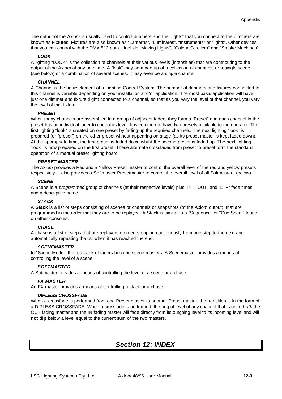The output of the Axi*om* is usually used to control dimmers and the "lights" that you connect to the dimmers are known as Fixtures. Fixtures are also known as "Lanterns", "Luminares", "Instruments" or "lights". Other devices that you can control with the DMX 512 output include "Moving Lights", "Colour Scrollers" and "Smoke Machines".

#### *LOOK*

A lighting "LOOK" is the collection of channels at their various levels (intensities) that are contributing to the output of the Axi*om* at any one time. A "look" may be made up of a collection of channels or a single scene (see below) or a combination of several scenes. It may even be a single channel.

#### *CHANNEL*

A Channel is the basic element of a Lighting Control System. The number of dimmers and fixtures connected to this channel is variable depending on your installation and/or application. The most basic application will have just one dimmer and fixture (light) connected to a channel, so that as you vary the level of that channel, you vary the level of that fixture.

#### *PRESET*

When many channels are assembled in a group of adjacent faders they form a "Preset" and each channel in the preset has an individual fader to control its level. It is common to have two presets available to the operator. The first lighting "look" is created on one preset by fading up the required channels. The next lighting "look" is prepared (or "preset") on the other preset without appearing on stage (as its preset master is kept faded down). At the appropriate time, the first preset is faded down whilst the second preset is faded up. The next lighting "look" is now prepared on the first preset. These alternate crossfades from preset to preset form the standard operation of a manual preset lighting board.

#### *PRESET MASTER*

The Axi*om* provides a Red and a Yellow Preset master to control the overall level of the red and yellow presets respectively. It also provides a Softmaster Presetmaster to control the overall level of all Softmasters (below).

#### *SCENE*

A Scene is a *programmed* group of channels (at their respective levels) plus "IN", "OUT" and "LTP" fade times and a descriptive name.

#### *STACK*

A **Stack** is a list of steps consisting of scenes or channels or snapshots (of the Axi*om* output), that are programmed in the order that they are to be replayed. A Stack is similar to a "Sequence" or "Cue Sheet" found on other consoles.

#### *CHASE*

A chase is a list of steps that are replayed in order, stepping continuously from one step to the next and automatically repeating the list when it has reached the end.

#### *SCENEMASTER*

In "Scene Mode", the red bank of faders become scene masters. A Scenemaster provides a means of controlling the level of a scene.

#### *SOFTMASTER*

A Submaster provides a means of controlling the level of a scene or a chase.

#### *FX MASTER*

An FX master provides a means of controlling a stack or a chase.

#### *DIPLESS CROSSFADE*

When a crossfade is performed from one Preset master to another Preset master, the transition is in the form of a DIPLESS CROSSFADE. When a crossfade is performed, the output level of any channel that is on in *both* the OUT fading master and the IN fading master will fade directly from its outgoing level to its incoming level and will **not dip** below a level equal to the current sum of the two masters.

# *Section 12: INDEX*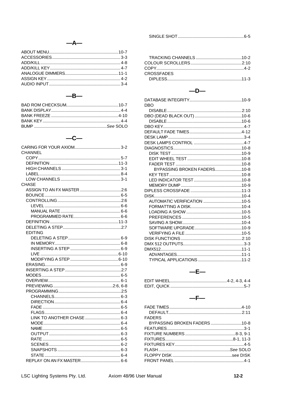#### $-A-$

#### $-B-$

#### $-c-$

| CHANNEL                    |  |
|----------------------------|--|
|                            |  |
|                            |  |
|                            |  |
|                            |  |
|                            |  |
| CHASE                      |  |
|                            |  |
|                            |  |
|                            |  |
|                            |  |
|                            |  |
|                            |  |
|                            |  |
|                            |  |
| <b>EDITING</b>             |  |
|                            |  |
|                            |  |
|                            |  |
|                            |  |
|                            |  |
|                            |  |
|                            |  |
|                            |  |
|                            |  |
|                            |  |
|                            |  |
|                            |  |
|                            |  |
|                            |  |
|                            |  |
| LINK TO ANOTHER CHASE  6-3 |  |
|                            |  |
|                            |  |
|                            |  |
|                            |  |
|                            |  |
|                            |  |
|                            |  |
|                            |  |

|--|--|

| <b>CROSSFADES</b> |  |
|-------------------|--|
|                   |  |

#### $-D-$

| DBO                         |  |
|-----------------------------|--|
|                             |  |
|                             |  |
|                             |  |
|                             |  |
|                             |  |
|                             |  |
|                             |  |
|                             |  |
|                             |  |
|                             |  |
|                             |  |
| BYPASSING BROKEN FADERS10-8 |  |
|                             |  |
|                             |  |
|                             |  |
|                             |  |
|                             |  |
|                             |  |
|                             |  |
|                             |  |
|                             |  |
|                             |  |
|                             |  |
|                             |  |
|                             |  |
|                             |  |
|                             |  |
|                             |  |
|                             |  |
|                             |  |

| $-$ E $-$ |  |
|-----------|--|
|           |  |
|           |  |

# $-F-$

| <b>FADERS</b> |  |
|---------------|--|
|               |  |
|               |  |
|               |  |
|               |  |
|               |  |
|               |  |
|               |  |
|               |  |
|               |  |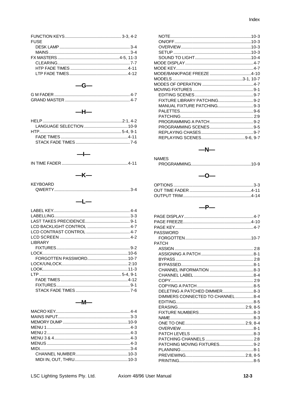| <b>FUSE</b> |  |
|-------------|--|
|             |  |
|             |  |
|             |  |
|             |  |
|             |  |
|             |  |
|             |  |

#### $-G-$

## $-H-$

#### $-$

# $-K-$

| KEYBOARD |  |
|----------|--|
|          |  |

# $-L-$

| LIBRARY |  |
|---------|--|
|         |  |
|         |  |
|         |  |
|         |  |
|         |  |
|         |  |
|         |  |
|         |  |
|         |  |

#### $-M-$

## $-N-$

| <b>NAMES</b> |  |
|--------------|--|
|              |  |

#### $-0-$

#### $-P-$

| PASSWORD                        |  |
|---------------------------------|--|
|                                 |  |
| PATCH                           |  |
|                                 |  |
|                                 |  |
|                                 |  |
|                                 |  |
|                                 |  |
|                                 |  |
|                                 |  |
|                                 |  |
| DELETING A PATCHED DIMMER8-3    |  |
| DIMMERS CONNECTED TO CHANNEL8-4 |  |
|                                 |  |
|                                 |  |
|                                 |  |
|                                 |  |
|                                 |  |
|                                 |  |
|                                 |  |
|                                 |  |
|                                 |  |
|                                 |  |
|                                 |  |
|                                 |  |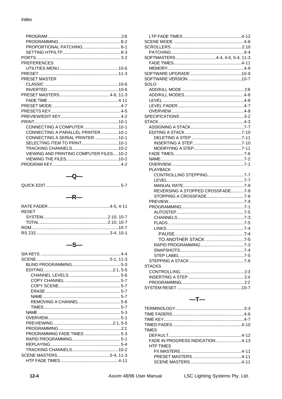| PREFERENCES                                    |  |
|------------------------------------------------|--|
|                                                |  |
|                                                |  |
| PRESET MASTER                                  |  |
|                                                |  |
|                                                |  |
|                                                |  |
|                                                |  |
|                                                |  |
|                                                |  |
|                                                |  |
|                                                |  |
| CONNECTING A COMPUTER  10-1                    |  |
| CONNECTING A PARALLEL PRINTER 10-1             |  |
| CONNECTING A SERIAL PRINTER 10-1               |  |
| SELECTING ITEM TO PRINT 10-1                   |  |
|                                                |  |
| <b>VIEWING AND PRINTING COMPUTER FILES10-2</b> |  |
|                                                |  |
|                                                |  |
|                                                |  |

| $-$ Q $-$ |  |
|-----------|--|
|           |  |

 $-R-$ 

| <b>RESET</b> |  |
|--------------|--|
|              |  |
|              |  |
|              |  |
|              |  |
|              |  |

 $-*S*$ 

| SOLO                             |  |
|----------------------------------|--|
|                                  |  |
|                                  |  |
|                                  |  |
|                                  |  |
|                                  |  |
|                                  |  |
|                                  |  |
|                                  |  |
|                                  |  |
|                                  |  |
|                                  |  |
|                                  |  |
|                                  |  |
|                                  |  |
|                                  |  |
|                                  |  |
| <b>PLAYBACK</b>                  |  |
|                                  |  |
|                                  |  |
|                                  |  |
| REVERSING A STOPPED CROSSFADE7-8 |  |
|                                  |  |
|                                  |  |
|                                  |  |
|                                  |  |
|                                  |  |
|                                  |  |
|                                  |  |
|                                  |  |
| TO ANOTHER STACK 7-5             |  |
|                                  |  |
|                                  |  |
|                                  |  |
|                                  |  |
| <b>STACKS</b>                    |  |
|                                  |  |
|                                  |  |
|                                  |  |
|                                  |  |
|                                  |  |

# $-T-$

| <b>TIMES</b>                     |  |
|----------------------------------|--|
|                                  |  |
| FADE IN PROGRESS INDICATION 4-13 |  |
| <b>HTP TIMES</b>                 |  |
|                                  |  |
|                                  |  |
|                                  |  |